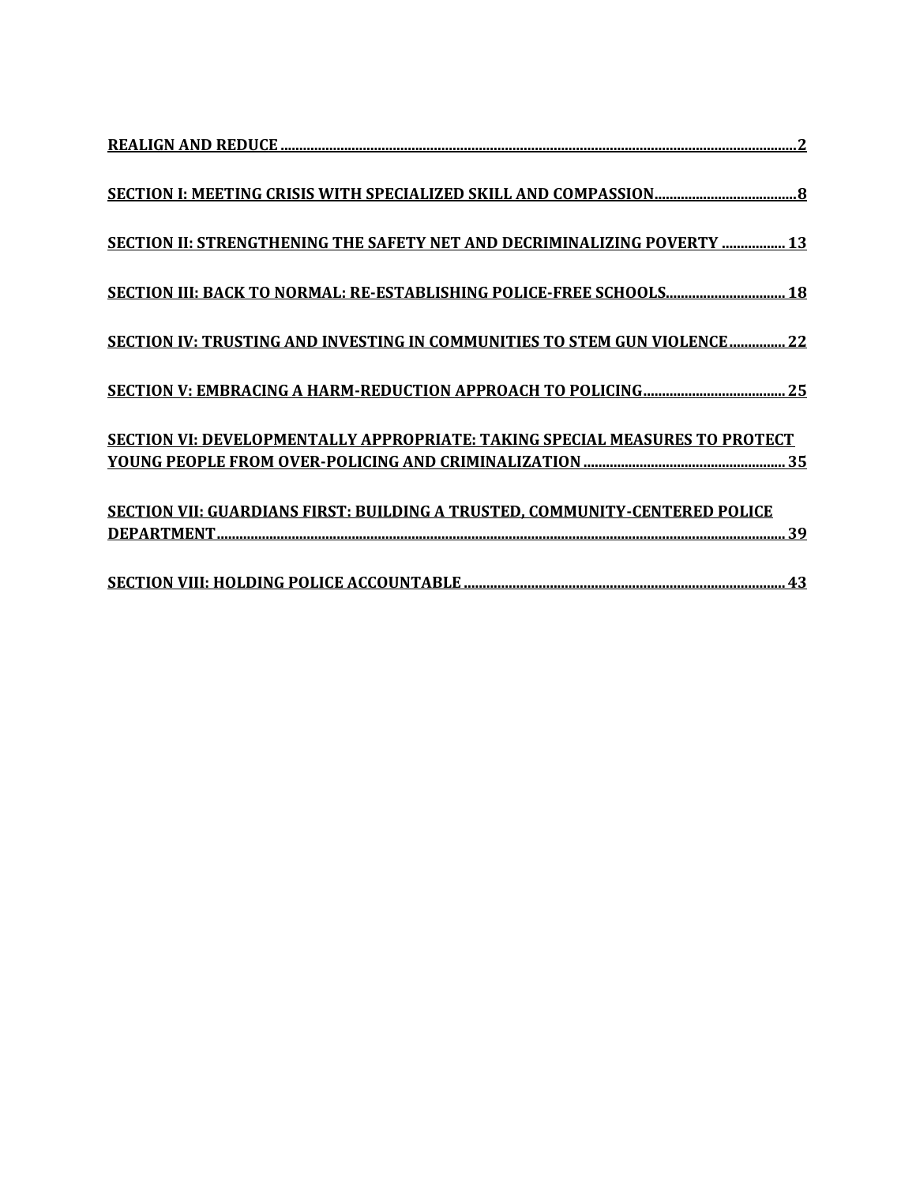| SECTION II: STRENGTHENING THE SAFETY NET AND DECRIMINALIZING POVERTY  13    |
|-----------------------------------------------------------------------------|
| SECTION III: BACK TO NORMAL: RE-ESTABLISHING POLICE-FREE SCHOOLS 18         |
| SECTION IV: TRUSTING AND INVESTING IN COMMUNITIES TO STEM GUN VIOLENCE 22   |
|                                                                             |
| SECTION VI: DEVELOPMENTALLY APPROPRIATE: TAKING SPECIAL MEASURES TO PROTECT |
| SECTION VII: GUARDIANS FIRST: BUILDING A TRUSTED, COMMUNITY-CENTERED POLICE |
|                                                                             |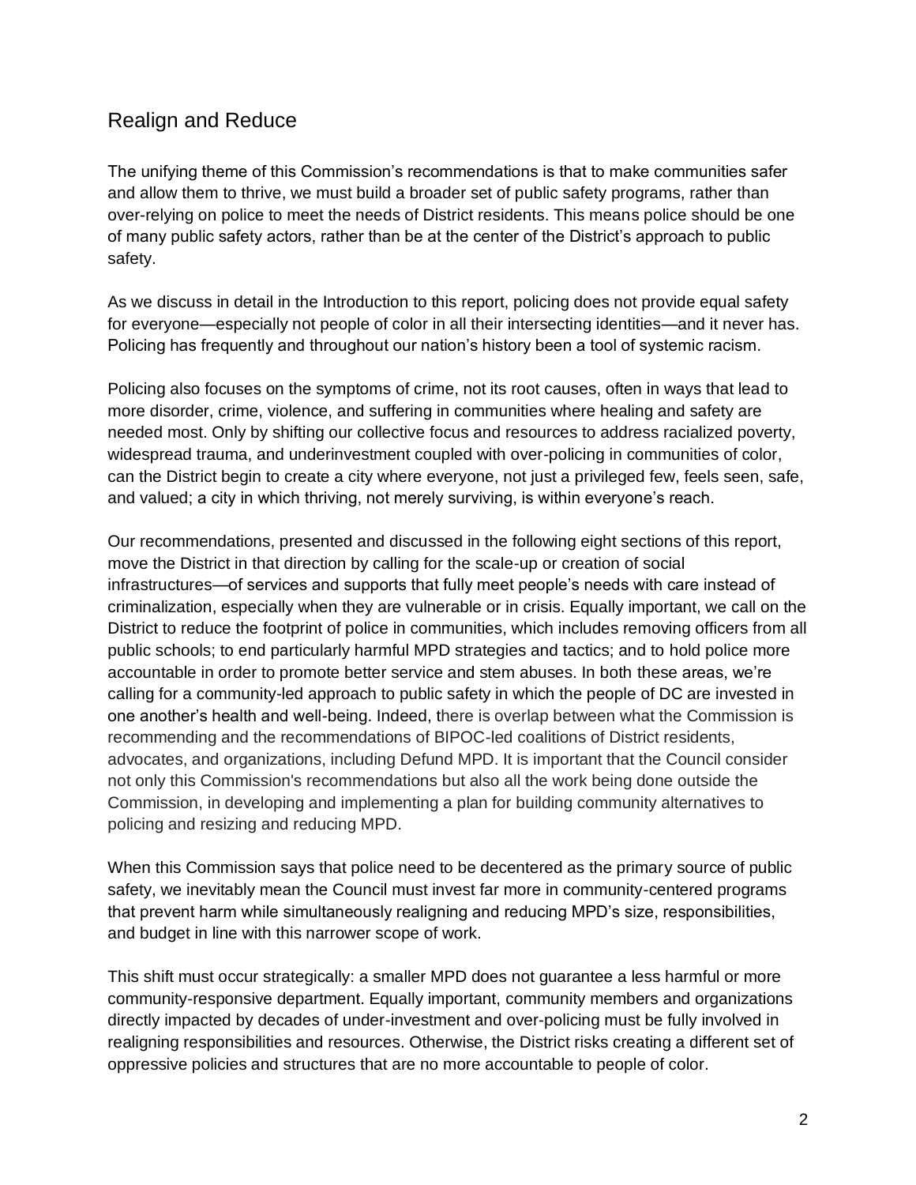# <span id="page-1-0"></span>Realign and Reduce

The unifying theme of this Commission's recommendations is that to make communities safer and allow them to thrive, we must build a broader set of public safety programs, rather than over-relying on police to meet the needs of District residents. This means police should be one of many public safety actors, rather than be at the center of the District's approach to public safety.

As we discuss in detail in the Introduction to this report, policing does not provide equal safety for everyone—especially not people of color in all their intersecting identities—and it never has. Policing has frequently and throughout our nation's history been a tool of systemic racism.

Policing also focuses on the symptoms of crime, not its root causes, often in ways that lead to more disorder, crime, violence, and suffering in communities where healing and safety are needed most. Only by shifting our collective focus and resources to address racialized poverty, widespread trauma, and underinvestment coupled with over-policing in communities of color, can the District begin to create a city where everyone, not just a privileged few, feels seen, safe, and valued; a city in which thriving, not merely surviving, is within everyone's reach.

Our recommendations, presented and discussed in the following eight sections of this report, move the District in that direction by calling for the scale-up or creation of social infrastructures—of services and supports that fully meet people's needs with care instead of criminalization, especially when they are vulnerable or in crisis. Equally important, we call on the District to reduce the footprint of police in communities, which includes removing officers from all public schools; to end particularly harmful MPD strategies and tactics; and to hold police more accountable in order to promote better service and stem abuses. In both these areas, we're calling for a community-led approach to public safety in which the people of DC are invested in one another's health and well-being. Indeed, there is overlap between what the Commission is recommending and the recommendations of BIPOC-led coalitions of District residents, advocates, and organizations, including Defund MPD. It is important that the Council consider not only this Commission's recommendations but also all the work being done outside the Commission, in developing and implementing a plan for building community alternatives to policing and resizing and reducing MPD.

When this Commission says that police need to be decentered as the primary source of public safety, we inevitably mean the Council must invest far more in community-centered programs that prevent harm while simultaneously realigning and reducing MPD's size, responsibilities, and budget in line with this narrower scope of work.

This shift must occur strategically: a smaller MPD does not guarantee a less harmful or more community-responsive department. Equally important, community members and organizations directly impacted by decades of under-investment and over-policing must be fully involved in realigning responsibilities and resources. Otherwise, the District risks creating a different set of oppressive policies and structures that are no more accountable to people of color.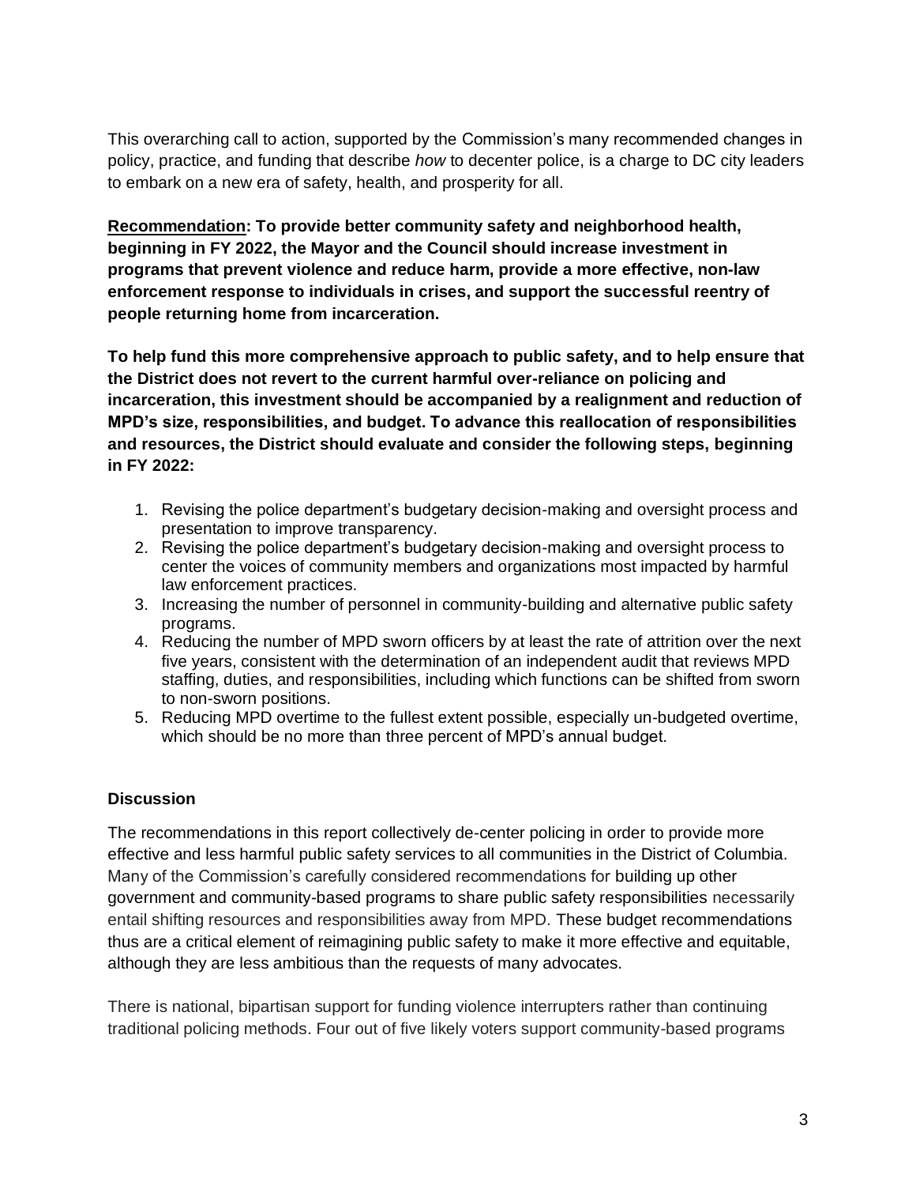This overarching call to action, supported by the Commission's many recommended changes in policy, practice, and funding that describe *how* to decenter police, is a charge to DC city leaders to embark on a new era of safety, health, and prosperity for all.

**Recommendation: To provide better community safety and neighborhood health, beginning in FY 2022, the Mayor and the Council should increase investment in programs that prevent violence and reduce harm, provide a more effective, non-law enforcement response to individuals in crises, and support the successful reentry of people returning home from incarceration.** 

**To help fund this more comprehensive approach to public safety, and to help ensure that the District does not revert to the current harmful over-reliance on policing and incarceration, this investment should be accompanied by a realignment and reduction of MPD's size, responsibilities, and budget. To advance this reallocation of responsibilities and resources, the District should evaluate and consider the following steps, beginning in FY 2022:**

- 1. Revising the police department's budgetary decision-making and oversight process and presentation to improve transparency.
- 2. Revising the police department's budgetary decision-making and oversight process to center the voices of community members and organizations most impacted by harmful law enforcement practices.
- 3. Increasing the number of personnel in community-building and alternative public safety programs.
- 4. Reducing the number of MPD sworn officers by at least the rate of attrition over the next five years, consistent with the determination of an independent audit that reviews MPD staffing, duties, and responsibilities, including which functions can be shifted from sworn to non-sworn positions.
- 5. Reducing MPD overtime to the fullest extent possible, especially un-budgeted overtime, which should be no more than three percent of MPD's annual budget.

## **Discussion**

The recommendations in this report collectively de-center policing in order to provide more effective and less harmful public safety services to all communities in the District of Columbia. Many of the Commission's carefully considered recommendations for building up other government and community-based programs to share public safety responsibilities necessarily entail shifting resources and responsibilities away from MPD. These budget recommendations thus are a critical element of reimagining public safety to make it more effective and equitable, although they are less ambitious than the requests of many advocates.

There is national, bipartisan support for funding violence interrupters rather than continuing traditional policing methods. Four out of five likely voters support community-based programs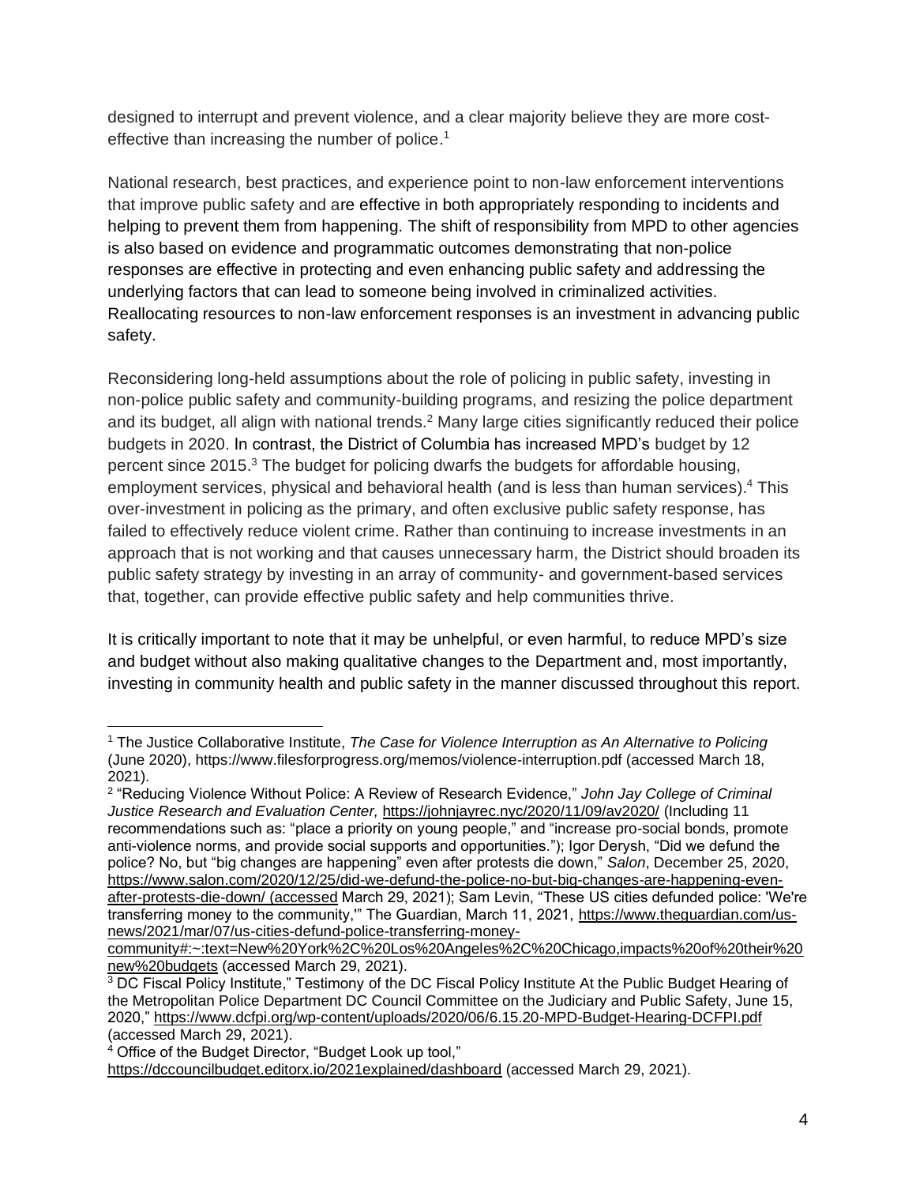designed to interrupt and prevent violence, and a clear majority believe they are more costeffective than increasing the number of police.<sup>1</sup>

National research, best practices, and experience point to non-law enforcement interventions that improve public safety and are effective in both appropriately responding to incidents and helping to prevent them from happening. The shift of responsibility from MPD to other agencies is also based on evidence and programmatic outcomes demonstrating that non-police responses are effective in protecting and even enhancing public safety and addressing the underlying factors that can lead to someone being involved in criminalized activities. Reallocating resources to non-law enforcement responses is an investment in advancing public safety.

Reconsidering long-held assumptions about the role of policing in public safety, investing in non-police public safety and community-building programs, and resizing the police department and its budget, all align with national trends.<sup>2</sup> Many large cities significantly reduced their police budgets in 2020. In contrast, the District of Columbia has increased MPD's budget by 12 percent since 2015.<sup>3</sup> The budget for policing dwarfs the budgets for affordable housing, employment services, physical and behavioral health (and is less than human services).<sup>4</sup> This over-investment in policing as the primary, and often exclusive public safety response, has failed to effectively reduce violent crime. Rather than continuing to increase investments in an approach that is not working and that causes unnecessary harm, the District should broaden its public safety strategy by investing in an array of community- and government-based services that, together, can provide effective public safety and help communities thrive.

It is critically important to note that it may be unhelpful, or even harmful, to reduce MPD's size and budget without also making qualitative changes to the Department and, most importantly, investing in community health and public safety in the manner discussed throughout this report.

<sup>1</sup> The Justice Collaborative Institute, *The Case for Violence Interruption as An Alternative to Policing* (June 2020), https://www.filesforprogress.org/memos/violence-interruption.pdf (accessed March 18, 2021).

<sup>2</sup> "Reducing Violence Without Police: A Review of Research Evidence," *John Jay College of Criminal Justice Research and Evaluation Center,* <https://johnjayrec.nyc/2020/11/09/av2020/> (Including 11 recommendations such as: "place a priority on young people," and "increase pro-social bonds, promote anti-violence norms, and provide social supports and opportunities."); Igor Derysh, "Did we defund the police? No, but "big changes are happening" even after protests die down," *Salon*, December 25, 2020, [https://www.salon.com/2020/12/25/did-we-defund-the-police-no-but-big-changes-are-happening-even](https://www.salon.com/2020/12/25/did-we-defund-the-police-no-but-big-changes-are-happening-even-after-protests-die-down/%20(accessed)[after-protests-die-down/ \(accessed](https://www.salon.com/2020/12/25/did-we-defund-the-police-no-but-big-changes-are-happening-even-after-protests-die-down/%20(accessed) March 29, 2021); Sam Levin, "These US cities defunded police: 'We're transferring money to the community,'" The Guardian, March 11, 2021, [https://www.theguardian.com/us](https://www.theguardian.com/us-news/2021/mar/07/us-cities-defund-police-transferring-money-community#:~:text=New%20York%2C%20Los%20Angeles%2C%20Chicago,impacts%20of%20their%20new%20budgets)[news/2021/mar/07/us-cities-defund-police-transferring-money-](https://www.theguardian.com/us-news/2021/mar/07/us-cities-defund-police-transferring-money-community#:~:text=New%20York%2C%20Los%20Angeles%2C%20Chicago,impacts%20of%20their%20new%20budgets)

[community#:~:text=New%20York%2C%20Los%20Angeles%2C%20Chicago,impacts%20of%20their%20](https://www.theguardian.com/us-news/2021/mar/07/us-cities-defund-police-transferring-money-community#:~:text=New%20York%2C%20Los%20Angeles%2C%20Chicago,impacts%20of%20their%20new%20budgets) [new%20budgets](https://www.theguardian.com/us-news/2021/mar/07/us-cities-defund-police-transferring-money-community#:~:text=New%20York%2C%20Los%20Angeles%2C%20Chicago,impacts%20of%20their%20new%20budgets) (accessed March 29, 2021).

<sup>&</sup>lt;sup>3</sup> DC Fiscal Policy Institute," Testimony of the DC Fiscal Policy Institute At the Public Budget Hearing of the Metropolitan Police Department DC Council Committee on the Judiciary and Public Safety, June 15, 2020,"<https://www.dcfpi.org/wp-content/uploads/2020/06/6.15.20-MPD-Budget-Hearing-DCFPI.pdf> (accessed March 29, 2021).

<sup>4</sup> Office of the Budget Director, "Budget Look up tool,"

<https://dccouncilbudget.editorx.io/2021explained/dashboard> (accessed March 29, 2021).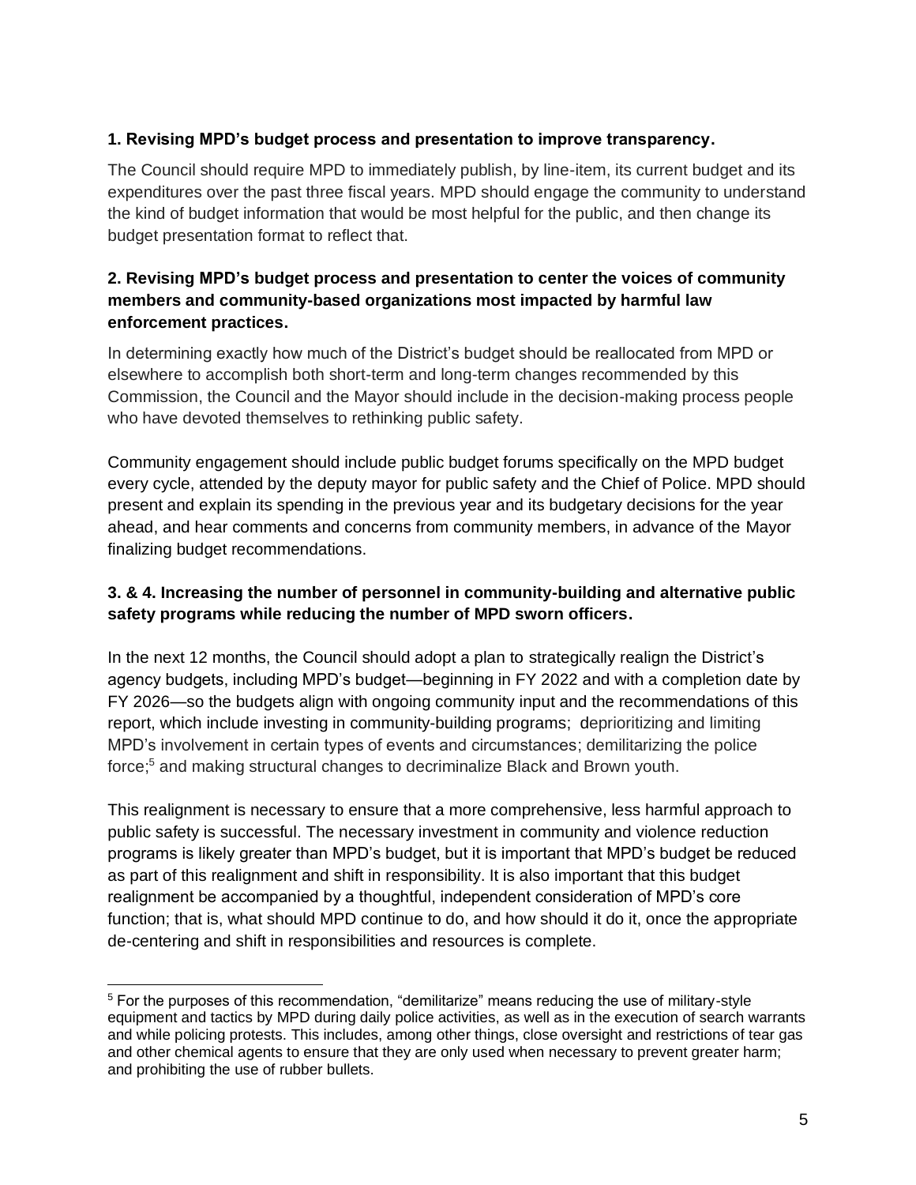# **1. Revising MPD's budget process and presentation to improve transparency.**

The Council should require MPD to immediately publish, by line-item, its current budget and its expenditures over the past three fiscal years. MPD should engage the community to understand the kind of budget information that would be most helpful for the public, and then change its budget presentation format to reflect that.

## **2. Revising MPD's budget process and presentation to center the voices of community members and community-based organizations most impacted by harmful law enforcement practices.**

In determining exactly how much of the District's budget should be reallocated from MPD or elsewhere to accomplish both short-term and long-term changes recommended by this Commission, the Council and the Mayor should include in the decision-making process people who have devoted themselves to rethinking public safety.

Community engagement should include public budget forums specifically on the MPD budget every cycle, attended by the deputy mayor for public safety and the Chief of Police. MPD should present and explain its spending in the previous year and its budgetary decisions for the year ahead, and hear comments and concerns from community members, in advance of the Mayor finalizing budget recommendations.

# **3. & 4. Increasing the number of personnel in community-building and alternative public safety programs while reducing the number of MPD sworn officers.**

In the next 12 months, the Council should adopt a plan to strategically realign the District's agency budgets, including MPD's budget—beginning in FY 2022 and with a completion date by FY 2026—so the budgets align with ongoing community input and the recommendations of this report, which include investing in community-building programs; deprioritizing and limiting MPD's involvement in certain types of events and circumstances; demilitarizing the police force; <sup>5</sup> and making structural changes to decriminalize Black and Brown youth.

This realignment is necessary to ensure that a more comprehensive, less harmful approach to public safety is successful. The necessary investment in community and violence reduction programs is likely greater than MPD's budget, but it is important that MPD's budget be reduced as part of this realignment and shift in responsibility. It is also important that this budget realignment be accompanied by a thoughtful, independent consideration of MPD's core function; that is, what should MPD continue to do, and how should it do it, once the appropriate de-centering and shift in responsibilities and resources is complete.

<sup>5</sup> For the purposes of this recommendation, "demilitarize" means reducing the use of military-style equipment and tactics by MPD during daily police activities, as well as in the execution of search warrants and while policing protests. This includes, among other things, close oversight and restrictions of tear gas and other chemical agents to ensure that they are only used when necessary to prevent greater harm; and prohibiting the use of rubber bullets.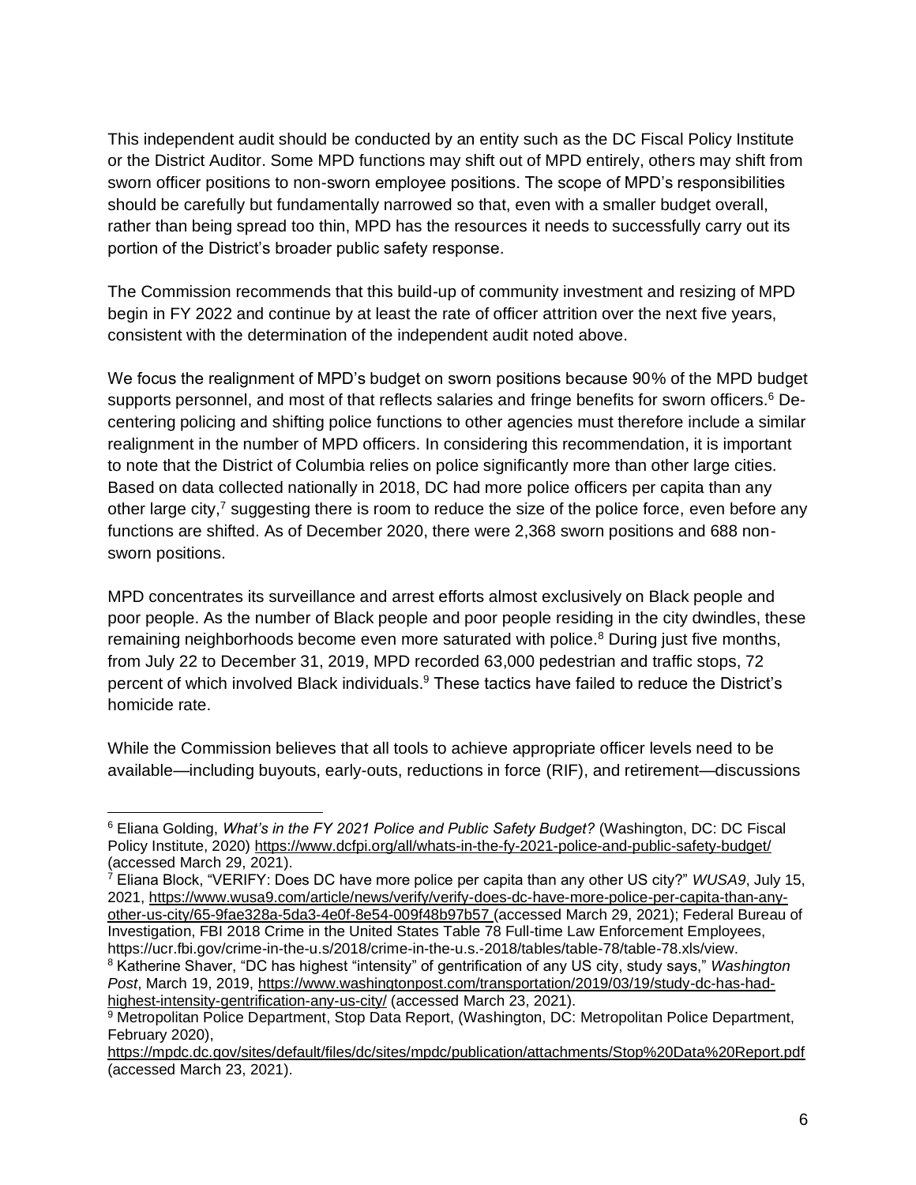This independent audit should be conducted by an entity such as the DC Fiscal Policy Institute or the District Auditor. Some MPD functions may shift out of MPD entirely, others may shift from sworn officer positions to non-sworn employee positions. The scope of MPD's responsibilities should be carefully but fundamentally narrowed so that, even with a smaller budget overall, rather than being spread too thin, MPD has the resources it needs to successfully carry out its portion of the District's broader public safety response.

The Commission recommends that this build-up of community investment and resizing of MPD begin in FY 2022 and continue by at least the rate of officer attrition over the next five years, consistent with the determination of the independent audit noted above.

We focus the realignment of MPD's budget on sworn positions because 90% of the MPD budget supports personnel, and most of that reflects salaries and fringe benefits for sworn officers.<sup>6</sup> Decentering policing and shifting police functions to other agencies must therefore include a similar realignment in the number of MPD officers. In considering this recommendation, it is important to note that the District of Columbia relies on police significantly more than other large cities. Based on data collected nationally in 2018, DC had more police officers per capita than any other large city, $^7$  suggesting there is room to reduce the size of the police force, even before any functions are shifted. As of December 2020, there were 2,368 sworn positions and 688 nonsworn positions.

MPD concentrates its surveillance and arrest efforts almost exclusively on Black people and poor people. As the number of Black people and poor people residing in the city dwindles, these remaining neighborhoods become even more saturated with police.<sup>8</sup> During just five months, from July 22 to December 31, 2019, MPD recorded 63,000 pedestrian and traffic stops, 72 percent of which involved Black individuals.<sup>9</sup> These tactics have failed to reduce the District's homicide rate.

While the Commission believes that all tools to achieve appropriate officer levels need to be available—including buyouts, early-outs, reductions in force (RIF), and retirement—discussions

<sup>6</sup> Eliana Golding, *What's in the FY 2021 Police and Public Safety Budget?* (Washington, DC: DC Fiscal Policy Institute, 2020)<https://www.dcfpi.org/all/whats-in-the-fy-2021-police-and-public-safety-budget/> (accessed March 29, 2021).

<sup>7</sup> Eliana Block, "VERIFY: Does DC have more police per capita than any other US city?" *WUSA9*, July 15, 2021, [https://www.wusa9.com/article/news/verify/verify-does-dc-have-more-police-per-capita-than-any](https://www.wusa9.com/article/news/verify/verify-does-dc-have-more-police-per-capita-than-any-other-us-city/65-9fae328a-5da3-4e0f-8e54-009f48b97b57)[other-us-city/65-9fae328a-5da3-4e0f-8e54-009f48b97b57](https://www.wusa9.com/article/news/verify/verify-does-dc-have-more-police-per-capita-than-any-other-us-city/65-9fae328a-5da3-4e0f-8e54-009f48b97b57) (accessed March 29, 2021); Federal Bureau of Investigation, FBI 2018 Crime in the United States Table 78 Full-time Law Enforcement Employees, https://ucr.fbi.gov/crime-in-the-u.s/2018/crime-in-the-u.s.-2018/tables/table-78/table-78.xls/view. <sup>8</sup> Katherine Shaver, "DC has highest "intensity" of gentrification of any US city, study says," *Washington Post*, March 19, 2019, [https://www.washingtonpost.com/transportation/2019/03/19/study-dc-has-had](https://www.washingtonpost.com/transportation/2019/03/19/study-dc-has-had-highest-intensity-gentrification-any-us-city/)[highest-intensity-gentrification-any-us-city/](https://www.washingtonpost.com/transportation/2019/03/19/study-dc-has-had-highest-intensity-gentrification-any-us-city/) (accessed March 23, 2021).

<sup>&</sup>lt;sup>9</sup> Metropolitan Police Department, Stop Data Report, (Washington, DC: Metropolitan Police Department, February 2020),

<https://mpdc.dc.gov/sites/default/files/dc/sites/mpdc/publication/attachments/Stop%20Data%20Report.pdf> (accessed March 23, 2021).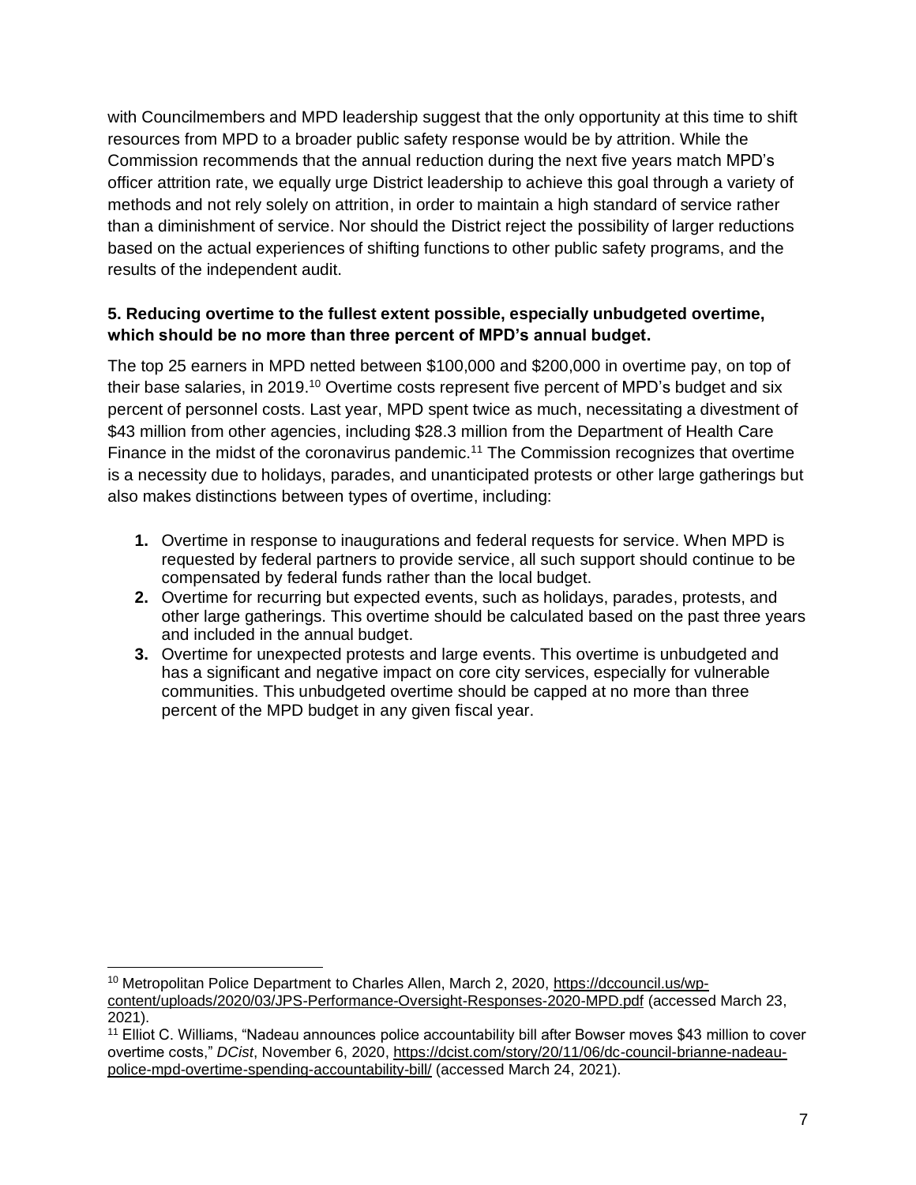with Councilmembers and MPD leadership suggest that the only opportunity at this time to shift resources from MPD to a broader public safety response would be by attrition. While the Commission recommends that the annual reduction during the next five years match MPD's officer attrition rate, we equally urge District leadership to achieve this goal through a variety of methods and not rely solely on attrition, in order to maintain a high standard of service rather than a diminishment of service. Nor should the District reject the possibility of larger reductions based on the actual experiences of shifting functions to other public safety programs, and the results of the independent audit.

# **5. Reducing overtime to the fullest extent possible, especially unbudgeted overtime, which should be no more than three percent of MPD's annual budget.**

The top 25 earners in MPD netted between \$100,000 and \$200,000 in overtime pay, on top of their base salaries, in 2019.<sup>10</sup> Overtime costs represent five percent of MPD's budget and six percent of personnel costs. Last year, MPD spent twice as much, necessitating a divestment of \$43 million from other agencies, including \$28.3 million from the Department of Health Care Finance in the midst of the coronavirus pandemic.<sup>11</sup> The Commission recognizes that overtime is a necessity due to holidays, parades, and unanticipated protests or other large gatherings but also makes distinctions between types of overtime, including:

- **1.** Overtime in response to inaugurations and federal requests for service. When MPD is requested by federal partners to provide service, all such support should continue to be compensated by federal funds rather than the local budget.
- **2.** Overtime for recurring but expected events, such as holidays, parades, protests, and other large gatherings. This overtime should be calculated based on the past three years and included in the annual budget.
- **3.** Overtime for unexpected protests and large events. This overtime is unbudgeted and has a significant and negative impact on core city services, especially for vulnerable communities. This unbudgeted overtime should be capped at no more than three percent of the MPD budget in any given fiscal year.

<sup>10</sup> Metropolitan Police Department to Charles Allen, March 2, 2020, [https://dccouncil.us/wp](https://dccouncil.us/wp-content/uploads/2020/03/JPS-Performance-Oversight-Responses-2020-MPD.pdf)[content/uploads/2020/03/JPS-Performance-Oversight-Responses-2020-MPD.pdf](https://dccouncil.us/wp-content/uploads/2020/03/JPS-Performance-Oversight-Responses-2020-MPD.pdf) (accessed March 23, 2021).

<sup>&</sup>lt;sup>11</sup> Elliot C. Williams, "Nadeau announces police accountability bill after Bowser moves \$43 million to cover overtime costs," *DCist*, November 6, 2020, [https://dcist.com/story/20/11/06/dc-council-brianne-nadeau](https://dcist.com/story/20/11/06/dc-council-brianne-nadeau-police-mpd-overtime-spending-accountability-bill/)[police-mpd-overtime-spending-accountability-bill/](https://dcist.com/story/20/11/06/dc-council-brianne-nadeau-police-mpd-overtime-spending-accountability-bill/) (accessed March 24, 2021).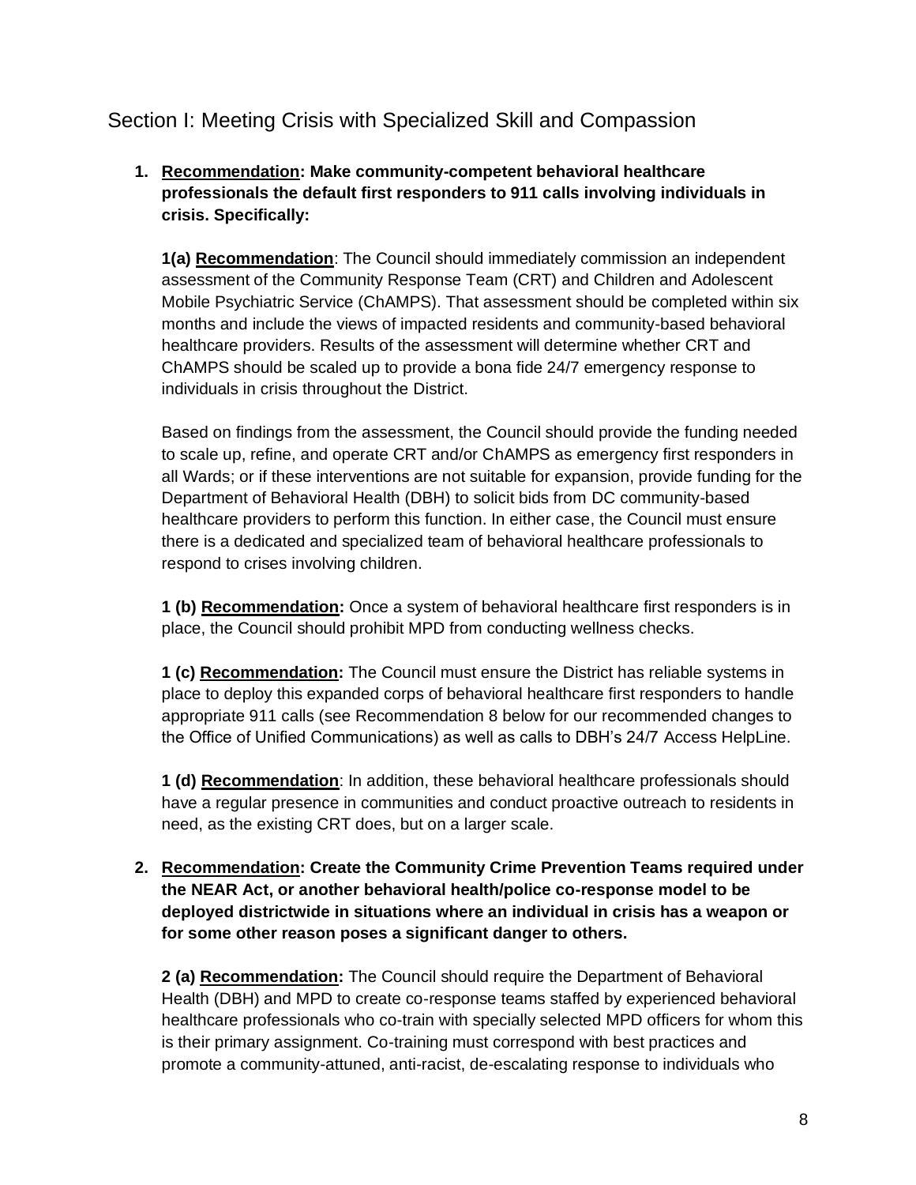# <span id="page-7-0"></span>Section I: Meeting Crisis with Specialized Skill and Compassion

# **1. Recommendation: Make community-competent behavioral healthcare professionals the default first responders to 911 calls involving individuals in crisis. Specifically:**

**1(a) Recommendation**: The Council should immediately commission an independent assessment of the Community Response Team (CRT) and Children and Adolescent Mobile Psychiatric Service (ChAMPS). That assessment should be completed within six months and include the views of impacted residents and community-based behavioral healthcare providers. Results of the assessment will determine whether CRT and ChAMPS should be scaled up to provide a bona fide 24/7 emergency response to individuals in crisis throughout the District.

Based on findings from the assessment, the Council should provide the funding needed to scale up, refine, and operate CRT and/or ChAMPS as emergency first responders in all Wards; or if these interventions are not suitable for expansion, provide funding for the Department of Behavioral Health (DBH) to solicit bids from DC community-based healthcare providers to perform this function. In either case, the Council must ensure there is a dedicated and specialized team of behavioral healthcare professionals to respond to crises involving children.

**1 (b) Recommendation:** Once a system of behavioral healthcare first responders is in place, the Council should prohibit MPD from conducting wellness checks.

**1 (c) Recommendation:** The Council must ensure the District has reliable systems in place to deploy this expanded corps of behavioral healthcare first responders to handle appropriate 911 calls (see Recommendation 8 below for our recommended changes to the Office of Unified Communications) as well as calls to DBH's 24/7 Access HelpLine.

**1 (d) Recommendation**: In addition, these behavioral healthcare professionals should have a regular presence in communities and conduct proactive outreach to residents in need, as the existing CRT does, but on a larger scale.

**2. Recommendation: Create the Community Crime Prevention Teams required under the NEAR Act, or another behavioral health/police co-response model to be deployed districtwide in situations where an individual in crisis has a weapon or for some other reason poses a significant danger to others.** 

**2 (a) Recommendation:** The Council should require the Department of Behavioral Health (DBH) and MPD to create co-response teams staffed by experienced behavioral healthcare professionals who co-train with specially selected MPD officers for whom this is their primary assignment. Co-training must correspond with best practices and promote a community-attuned, anti-racist, de-escalating response to individuals who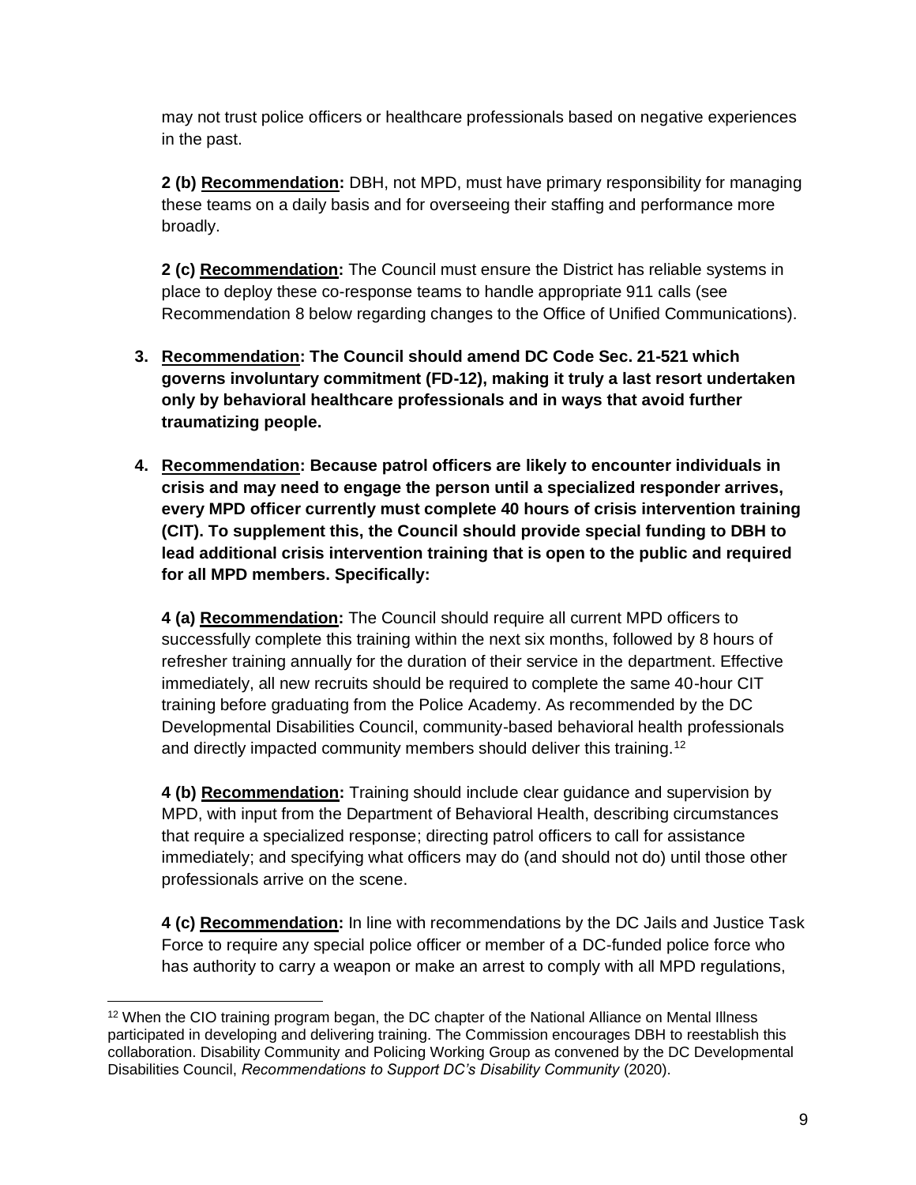may not trust police officers or healthcare professionals based on negative experiences in the past.

**2 (b) Recommendation:** DBH, not MPD, must have primary responsibility for managing these teams on a daily basis and for overseeing their staffing and performance more broadly.

**2 (c) Recommendation:** The Council must ensure the District has reliable systems in place to deploy these co-response teams to handle appropriate 911 calls (see Recommendation 8 below regarding changes to the Office of Unified Communications).

- **3. Recommendation: The Council should amend DC Code Sec. 21-521 which governs involuntary commitment (FD-12), making it truly a last resort undertaken only by behavioral healthcare professionals and in ways that avoid further traumatizing people.**
- **4. Recommendation: Because patrol officers are likely to encounter individuals in crisis and may need to engage the person until a specialized responder arrives, every MPD officer currently must complete 40 hours of crisis intervention training (CIT). To supplement this, the Council should provide special funding to DBH to lead additional crisis intervention training that is open to the public and required for all MPD members. Specifically:**

**4 (a) Recommendation:** The Council should require all current MPD officers to successfully complete this training within the next six months, followed by 8 hours of refresher training annually for the duration of their service in the department. Effective immediately, all new recruits should be required to complete the same 40-hour CIT training before graduating from the Police Academy. As recommended by the DC Developmental Disabilities Council, community-based behavioral health professionals and directly impacted community members should deliver this training.<sup>12</sup>

**4 (b) Recommendation:** Training should include clear guidance and supervision by MPD, with input from the Department of Behavioral Health, describing circumstances that require a specialized response; directing patrol officers to call for assistance immediately; and specifying what officers may do (and should not do) until those other professionals arrive on the scene.

**4 (c) Recommendation:** In line with recommendations by the DC Jails and Justice Task Force to require any special police officer or member of a DC-funded police force who has authority to carry a weapon or make an arrest to comply with all MPD regulations,

<sup>&</sup>lt;sup>12</sup> When the CIO training program began, the DC chapter of the National Alliance on Mental Illness participated in developing and delivering training. The Commission encourages DBH to reestablish this collaboration. Disability Community and Policing Working Group as convened by the DC Developmental Disabilities Council, *Recommendations to Support DC's Disability Community* (2020).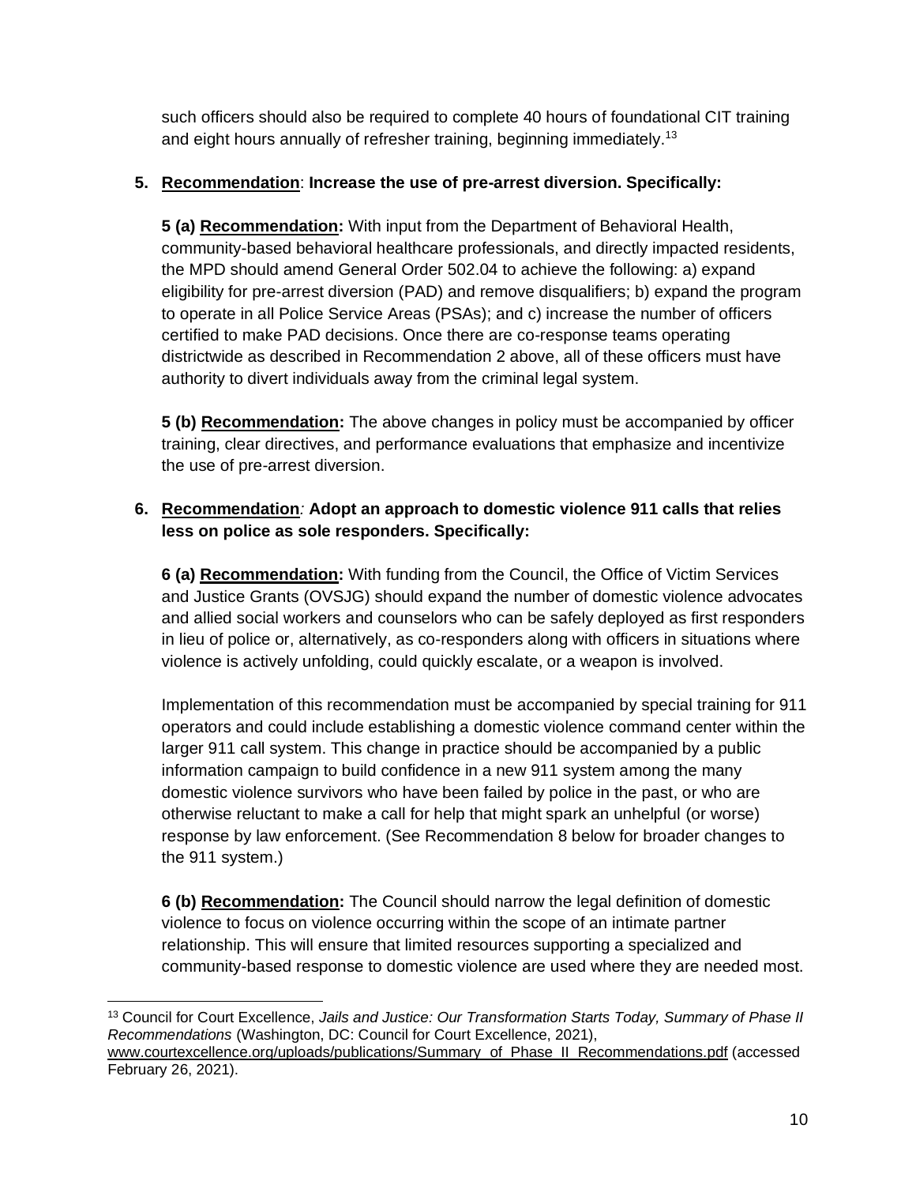such officers should also be required to complete 40 hours of foundational CIT training and eight hours annually of refresher training, beginning immediately.<sup>13</sup>

# **5. Recommendation**: **Increase the use of pre-arrest diversion. Specifically:**

**5 (a) Recommendation:** With input from the Department of Behavioral Health, community-based behavioral healthcare professionals, and directly impacted residents, the MPD should amend General Order 502.04 to achieve the following: a) expand eligibility for pre-arrest diversion (PAD) and remove disqualifiers; b) expand the program to operate in all Police Service Areas (PSAs); and c) increase the number of officers certified to make PAD decisions. Once there are co-response teams operating districtwide as described in Recommendation 2 above, all of these officers must have authority to divert individuals away from the criminal legal system.

**5 (b) Recommendation:** The above changes in policy must be accompanied by officer training, clear directives, and performance evaluations that emphasize and incentivize the use of pre-arrest diversion.

# **6. Recommendation***:* **Adopt an approach to domestic violence 911 calls that relies less on police as sole responders. Specifically:**

**6 (a) Recommendation:** With funding from the Council, the Office of Victim Services and Justice Grants (OVSJG) should expand the number of domestic violence advocates and allied social workers and counselors who can be safely deployed as first responders in lieu of police or, alternatively, as co-responders along with officers in situations where violence is actively unfolding, could quickly escalate, or a weapon is involved.

Implementation of this recommendation must be accompanied by special training for 911 operators and could include establishing a domestic violence command center within the larger 911 call system. This change in practice should be accompanied by a public information campaign to build confidence in a new 911 system among the many domestic violence survivors who have been failed by police in the past, or who are otherwise reluctant to make a call for help that might spark an unhelpful (or worse) response by law enforcement. (See Recommendation 8 below for broader changes to the 911 system.)

**6 (b) Recommendation:** The Council should narrow the legal definition of domestic violence to focus on violence occurring within the scope of an intimate partner relationship. This will ensure that limited resources supporting a specialized and community-based response to domestic violence are used where they are needed most.

<sup>13</sup> Council for Court Excellence, *Jails and Justice: Our Transformation Starts Today, Summary of Phase II Recommendations* (Washington, DC: Council for Court Excellence, 2021), [www.courtexcellence.org/uploads/publications/Summary\\_of\\_Phase\\_II\\_Recommendations.pdf](http://www.courtexcellence.org/uploads/publications/Summary_of_Phase_II_Recommendations.pdf) (accessed February 26, 2021).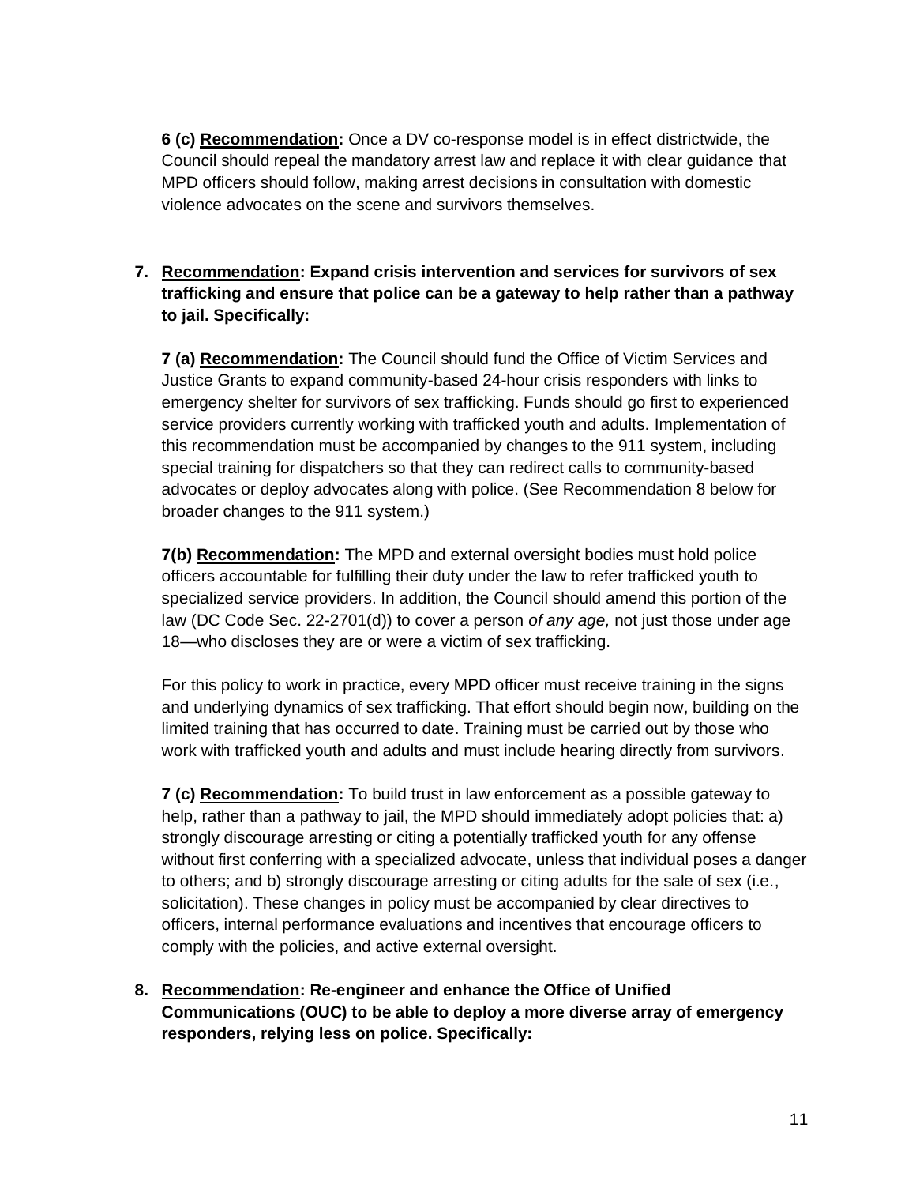**6 (c) Recommendation:** Once a DV co-response model is in effect districtwide, the Council should repeal the mandatory arrest law and replace it with clear guidance that MPD officers should follow, making arrest decisions in consultation with domestic violence advocates on the scene and survivors themselves.

# **7. Recommendation: Expand crisis intervention and services for survivors of sex trafficking and ensure that police can be a gateway to help rather than a pathway to jail. Specifically:**

**7 (a) Recommendation:** The Council should fund the Office of Victim Services and Justice Grants to expand community-based 24-hour crisis responders with links to emergency shelter for survivors of sex trafficking. Funds should go first to experienced service providers currently working with trafficked youth and adults. Implementation of this recommendation must be accompanied by changes to the 911 system, including special training for dispatchers so that they can redirect calls to community-based advocates or deploy advocates along with police. (See Recommendation 8 below for broader changes to the 911 system.)

**7(b) Recommendation:** The MPD and external oversight bodies must hold police officers accountable for fulfilling their duty under the law to refer trafficked youth to specialized service providers. In addition, the Council should amend this portion of the law (DC Code Sec. 22-2701(d)) to cover a person *of any age,* not just those under age 18—who discloses they are or were a victim of sex trafficking.

For this policy to work in practice, every MPD officer must receive training in the signs and underlying dynamics of sex trafficking. That effort should begin now, building on the limited training that has occurred to date. Training must be carried out by those who work with trafficked youth and adults and must include hearing directly from survivors.

**7 (c) Recommendation:** To build trust in law enforcement as a possible gateway to help, rather than a pathway to jail, the MPD should immediately adopt policies that: a) strongly discourage arresting or citing a potentially trafficked youth for any offense without first conferring with a specialized advocate, unless that individual poses a danger to others; and b) strongly discourage arresting or citing adults for the sale of sex (i.e., solicitation). These changes in policy must be accompanied by clear directives to officers, internal performance evaluations and incentives that encourage officers to comply with the policies, and active external oversight.

**8. Recommendation: Re-engineer and enhance the Office of Unified Communications (OUC) to be able to deploy a more diverse array of emergency responders, relying less on police. Specifically:**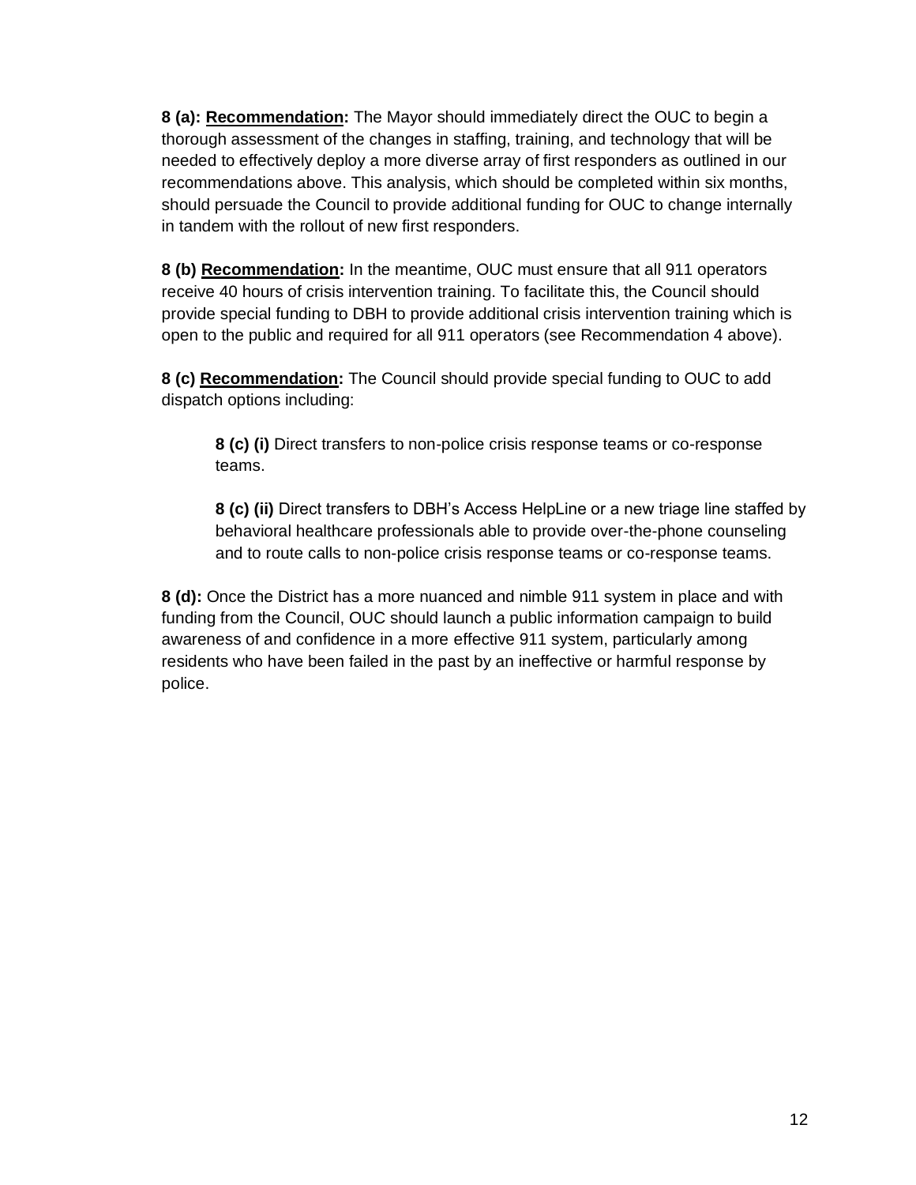**8 (a): Recommendation:** The Mayor should immediately direct the OUC to begin a thorough assessment of the changes in staffing, training, and technology that will be needed to effectively deploy a more diverse array of first responders as outlined in our recommendations above. This analysis, which should be completed within six months, should persuade the Council to provide additional funding for OUC to change internally in tandem with the rollout of new first responders.

**8 (b) Recommendation:** In the meantime, OUC must ensure that all 911 operators receive 40 hours of crisis intervention training. To facilitate this, the Council should provide special funding to DBH to provide additional crisis intervention training which is open to the public and required for all 911 operators (see Recommendation 4 above).

**8 (c) Recommendation:** The Council should provide special funding to OUC to add dispatch options including:

**8 (c) (i)** Direct transfers to non-police crisis response teams or co-response teams.

**8 (c) (ii)** Direct transfers to DBH's Access HelpLine or a new triage line staffed by behavioral healthcare professionals able to provide over-the-phone counseling and to route calls to non-police crisis response teams or co-response teams.

**8 (d):** Once the District has a more nuanced and nimble 911 system in place and with funding from the Council, OUC should launch a public information campaign to build awareness of and confidence in a more effective 911 system, particularly among residents who have been failed in the past by an ineffective or harmful response by police.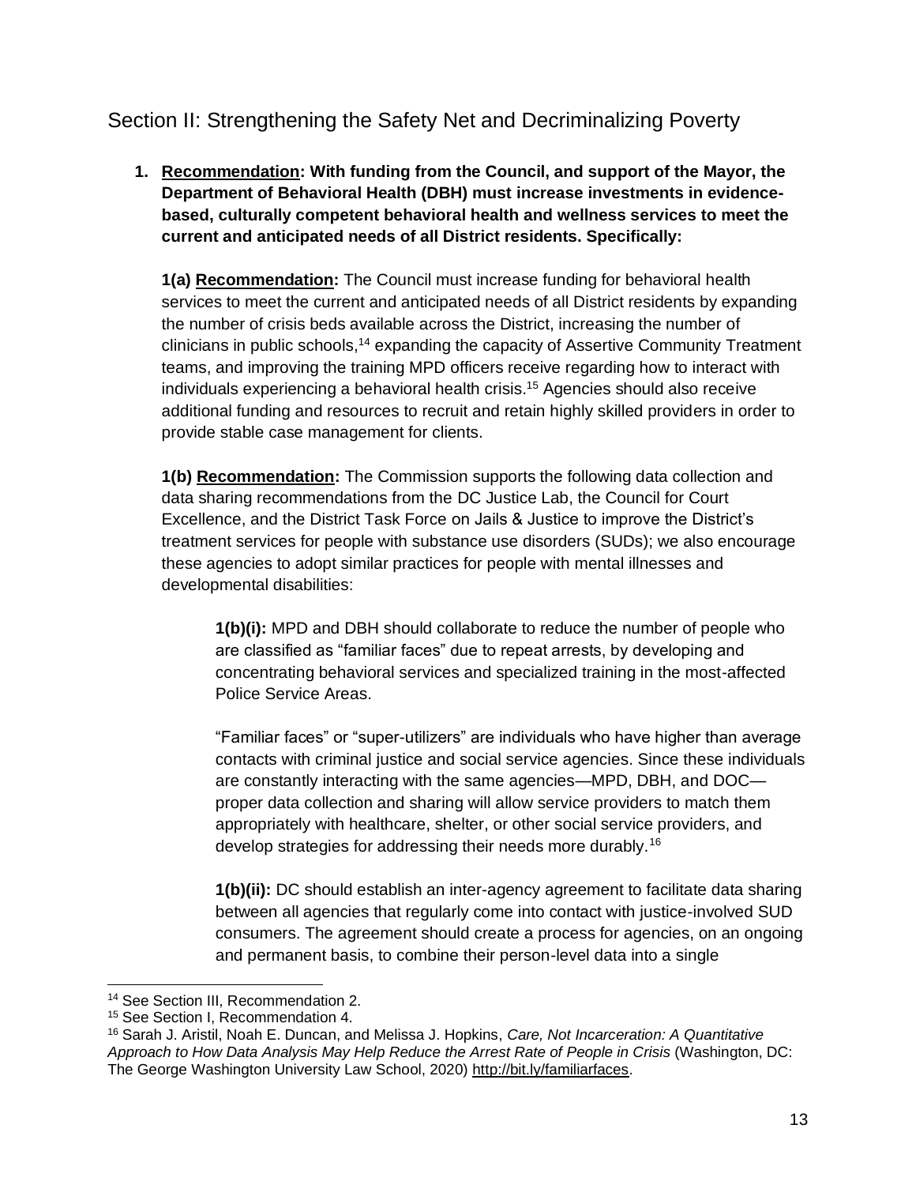# <span id="page-12-0"></span>Section II: Strengthening the Safety Net and Decriminalizing Poverty

**1. Recommendation: With funding from the Council, and support of the Mayor, the Department of Behavioral Health (DBH) must increase investments in evidencebased, culturally competent behavioral health and wellness services to meet the current and anticipated needs of all District residents. Specifically:**

**1(a) Recommendation:** The Council must increase funding for behavioral health services to meet the current and anticipated needs of all District residents by expanding the number of crisis beds available across the District, increasing the number of clinicians in public schools,<sup>14</sup> expanding the capacity of Assertive Community Treatment teams, and improving the training MPD officers receive regarding how to interact with individuals experiencing a behavioral health crisis.<sup>15</sup> Agencies should also receive additional funding and resources to recruit and retain highly skilled providers in order to provide stable case management for clients.

**1(b) Recommendation:** The Commission supports the following data collection and data sharing recommendations from the DC Justice Lab, the Council for Court Excellence, and the District Task Force on Jails & Justice to improve the District's treatment services for people with substance use disorders (SUDs); we also encourage these agencies to adopt similar practices for people with mental illnesses and developmental disabilities:

**1(b)(i):** MPD and DBH should collaborate to reduce the number of people who are classified as "familiar faces" due to repeat arrests, by developing and concentrating behavioral services and specialized training in the most-affected Police Service Areas.

"Familiar faces" or "super-utilizers" are individuals who have higher than average contacts with criminal justice and social service agencies. Since these individuals are constantly interacting with the same agencies—MPD, DBH, and DOC proper data collection and sharing will allow service providers to match them appropriately with healthcare, shelter, or other social service providers, and develop strategies for addressing their needs more durably.<sup>16</sup>

**1(b)(ii):** DC should establish an inter-agency agreement to facilitate data sharing between all agencies that regularly come into contact with justice-involved SUD consumers. The agreement should create a process for agencies, on an ongoing and permanent basis, to combine their person-level data into a single

<sup>&</sup>lt;sup>14</sup> See Section III, Recommendation 2.

<sup>15</sup> See Section I, Recommendation 4.

<sup>16</sup> Sarah J. Aristil, Noah E. Duncan, and Melissa J. Hopkins, *Care, Not Incarceration: A Quantitative*  Approach to How Data Analysis May Help Reduce the Arrest Rate of People in Crisis (Washington, DC: The George Washington University Law School, 2020) [http://bit.ly/familiarfaces.](http://bit.ly/familiarfaces)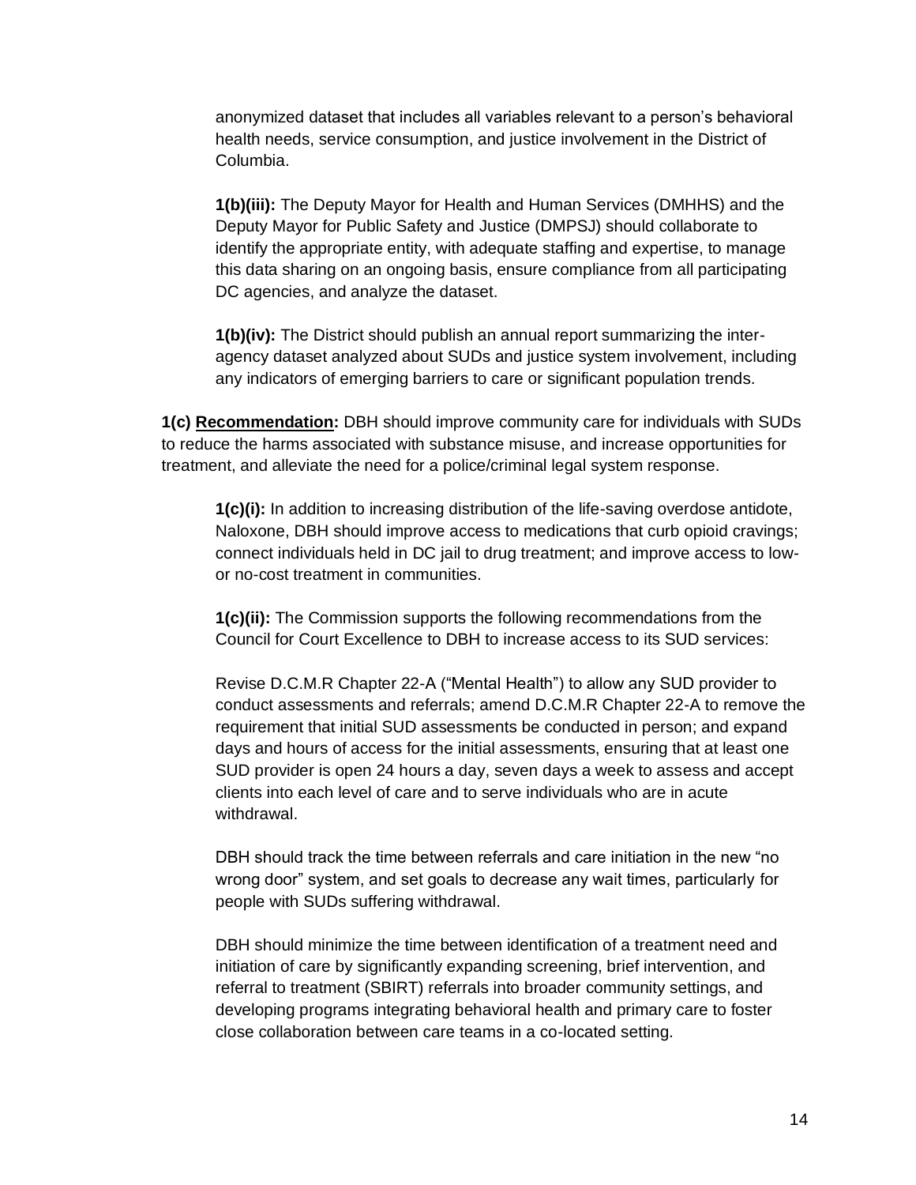anonymized dataset that includes all variables relevant to a person's behavioral health needs, service consumption, and justice involvement in the District of Columbia.

**1(b)(iii):** The Deputy Mayor for Health and Human Services (DMHHS) and the Deputy Mayor for Public Safety and Justice (DMPSJ) should collaborate to identify the appropriate entity, with adequate staffing and expertise, to manage this data sharing on an ongoing basis, ensure compliance from all participating DC agencies, and analyze the dataset.

**1(b)(iv):** The District should publish an annual report summarizing the interagency dataset analyzed about SUDs and justice system involvement, including any indicators of emerging barriers to care or significant population trends.

**1(c) Recommendation:** DBH should improve community care for individuals with SUDs to reduce the harms associated with substance misuse, and increase opportunities for treatment, and alleviate the need for a police/criminal legal system response.

**1(c)(i):** In addition to increasing distribution of the life-saving overdose antidote, Naloxone, DBH should improve access to medications that curb opioid cravings; connect individuals held in DC jail to drug treatment; and improve access to lowor no-cost treatment in communities.

**1(c)(ii):** The Commission supports the following recommendations from the Council for Court Excellence to DBH to increase access to its SUD services:

Revise D.C.M.R Chapter 22-A ("Mental Health") to allow any SUD provider to conduct assessments and referrals; amend D.C.M.R Chapter 22-A to remove the requirement that initial SUD assessments be conducted in person; and expand days and hours of access for the initial assessments, ensuring that at least one SUD provider is open 24 hours a day, seven days a week to assess and accept clients into each level of care and to serve individuals who are in acute withdrawal.

DBH should track the time between referrals and care initiation in the new "no wrong door" system, and set goals to decrease any wait times, particularly for people with SUDs suffering withdrawal.

DBH should minimize the time between identification of a treatment need and initiation of care by significantly expanding screening, brief intervention, and referral to treatment (SBIRT) referrals into broader community settings, and developing programs integrating behavioral health and primary care to foster close collaboration between care teams in a co-located setting.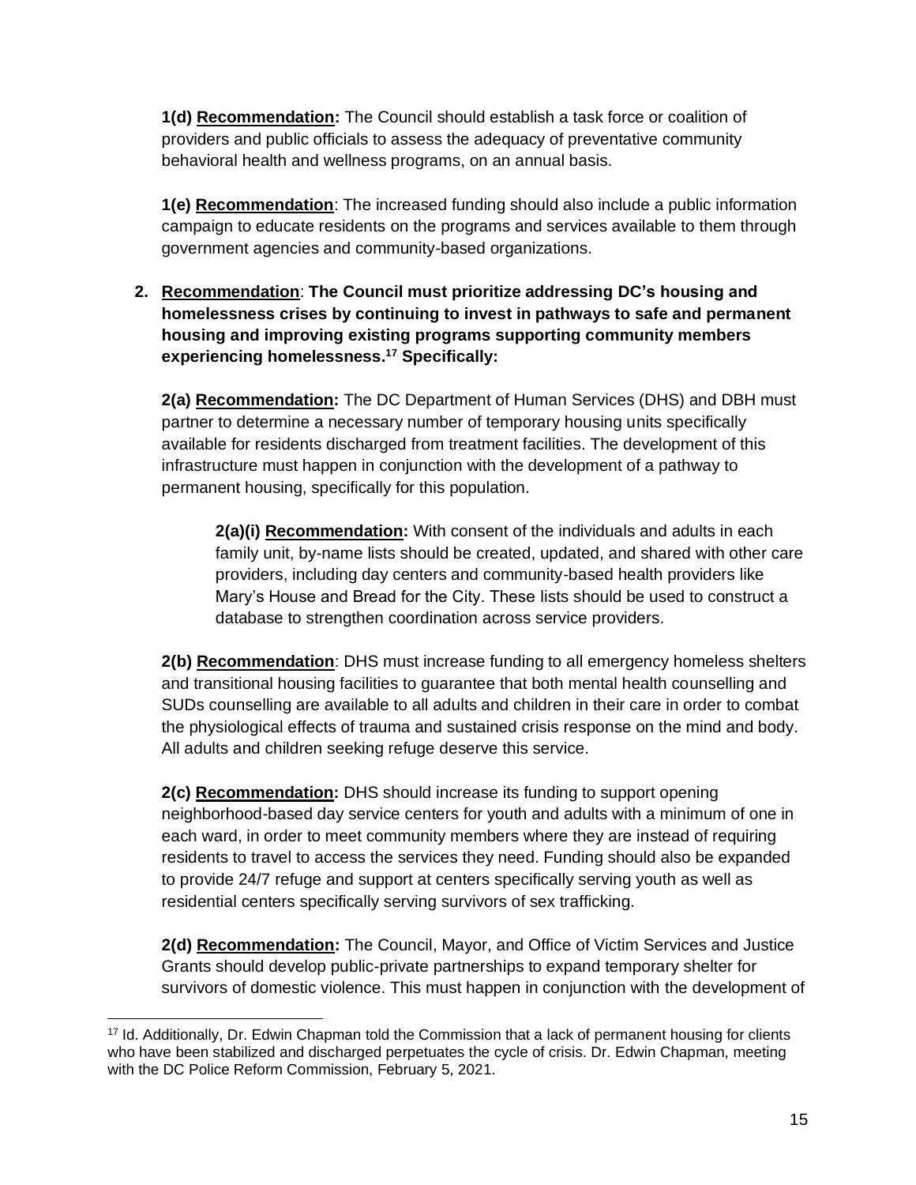**1(d) Recommendation:** The Council should establish a task force or coalition of providers and public officials to assess the adequacy of preventative community behavioral health and wellness programs, on an annual basis.

**1(e) Recommendation**: The increased funding should also include a public information campaign to educate residents on the programs and services available to them through government agencies and community-based organizations.

**2. Recommendation**: **The Council must prioritize addressing DC's housing and homelessness crises by continuing to invest in pathways to safe and permanent housing and improving existing programs supporting community members experiencing homelessness.<sup>17</sup> Specifically:**

**2(a) Recommendation:** The DC Department of Human Services (DHS) and DBH must partner to determine a necessary number of temporary housing units specifically available for residents discharged from treatment facilities. The development of this infrastructure must happen in conjunction with the development of a pathway to permanent housing, specifically for this population.

**2(a)(i) Recommendation:** With consent of the individuals and adults in each family unit, by-name lists should be created, updated, and shared with other care providers, including day centers and community-based health providers like Mary's House and Bread for the City. These lists should be used to construct a database to strengthen coordination across service providers.

**2(b) Recommendation**: DHS must increase funding to all emergency homeless shelters and transitional housing facilities to guarantee that both mental health counselling and SUDs counselling are available to all adults and children in their care in order to combat the physiological effects of trauma and sustained crisis response on the mind and body. All adults and children seeking refuge deserve this service.

**2(c) Recommendation:** DHS should increase its funding to support opening neighborhood-based day service centers for youth and adults with a minimum of one in each ward, in order to meet community members where they are instead of requiring residents to travel to access the services they need. Funding should also be expanded to provide 24/7 refuge and support at centers specifically serving youth as well as residential centers specifically serving survivors of sex trafficking.

**2(d) Recommendation:** The Council, Mayor, and Office of Victim Services and Justice Grants should develop public-private partnerships to expand temporary shelter for survivors of domestic violence. This must happen in conjunction with the development of

<sup>17</sup> Id. Additionally, Dr. Edwin Chapman told the Commission that a lack of permanent housing for clients who have been stabilized and discharged perpetuates the cycle of crisis. Dr. Edwin Chapman, meeting with the DC Police Reform Commission, February 5, 2021.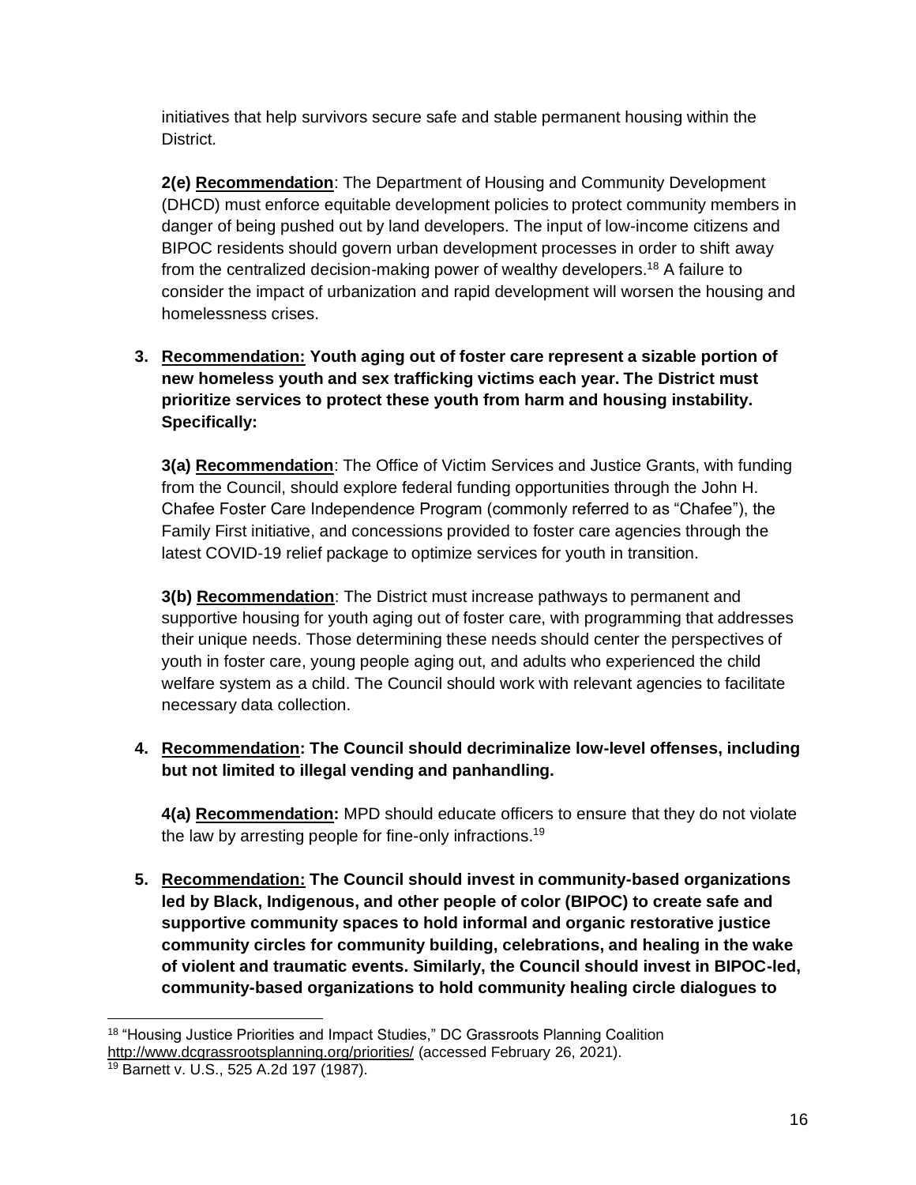initiatives that help survivors secure safe and stable permanent housing within the District.

**2(e) Recommendation**: The Department of Housing and Community Development (DHCD) must enforce equitable development policies to protect community members in danger of being pushed out by land developers. The input of low-income citizens and BIPOC residents should govern urban development processes in order to shift away from the centralized decision-making power of wealthy developers.<sup>18</sup> A failure to consider the impact of urbanization and rapid development will worsen the housing and homelessness crises.

# **3. Recommendation: Youth aging out of foster care represent a sizable portion of new homeless youth and sex trafficking victims each year. The District must prioritize services to protect these youth from harm and housing instability. Specifically:**

**3(a) Recommendation**: The Office of Victim Services and Justice Grants, with funding from the Council, should explore federal funding opportunities through the John H. Chafee Foster Care Independence Program (commonly referred to as "Chafee"), the Family First initiative, and concessions provided to foster care agencies through the latest COVID-19 relief package to optimize services for youth in transition.

**3(b) Recommendation**: The District must increase pathways to permanent and supportive housing for youth aging out of foster care, with programming that addresses their unique needs. Those determining these needs should center the perspectives of youth in foster care, young people aging out, and adults who experienced the child welfare system as a child. The Council should work with relevant agencies to facilitate necessary data collection.

# **4. Recommendation: The Council should decriminalize low-level offenses, including but not limited to illegal vending and panhandling.**

**4(a) Recommendation:** MPD should educate officers to ensure that they do not violate the law by arresting people for fine-only infractions.<sup>19</sup>

**5. Recommendation: The Council should invest in community-based organizations led by Black, Indigenous, and other people of color (BIPOC) to create safe and supportive community spaces to hold informal and organic restorative justice community circles for community building, celebrations, and healing in the wake of violent and traumatic events. Similarly, the Council should invest in BIPOC-led, community-based organizations to hold community healing circle dialogues to** 

<sup>&</sup>lt;sup>18</sup> "Housing Justice Priorities and Impact Studies," DC Grassroots Planning Coalition <http://www.dcgrassrootsplanning.org/priorities/> (accessed February 26, 2021).

<sup>19</sup> Barnett v. U.S., 525 A.2d 197 (1987).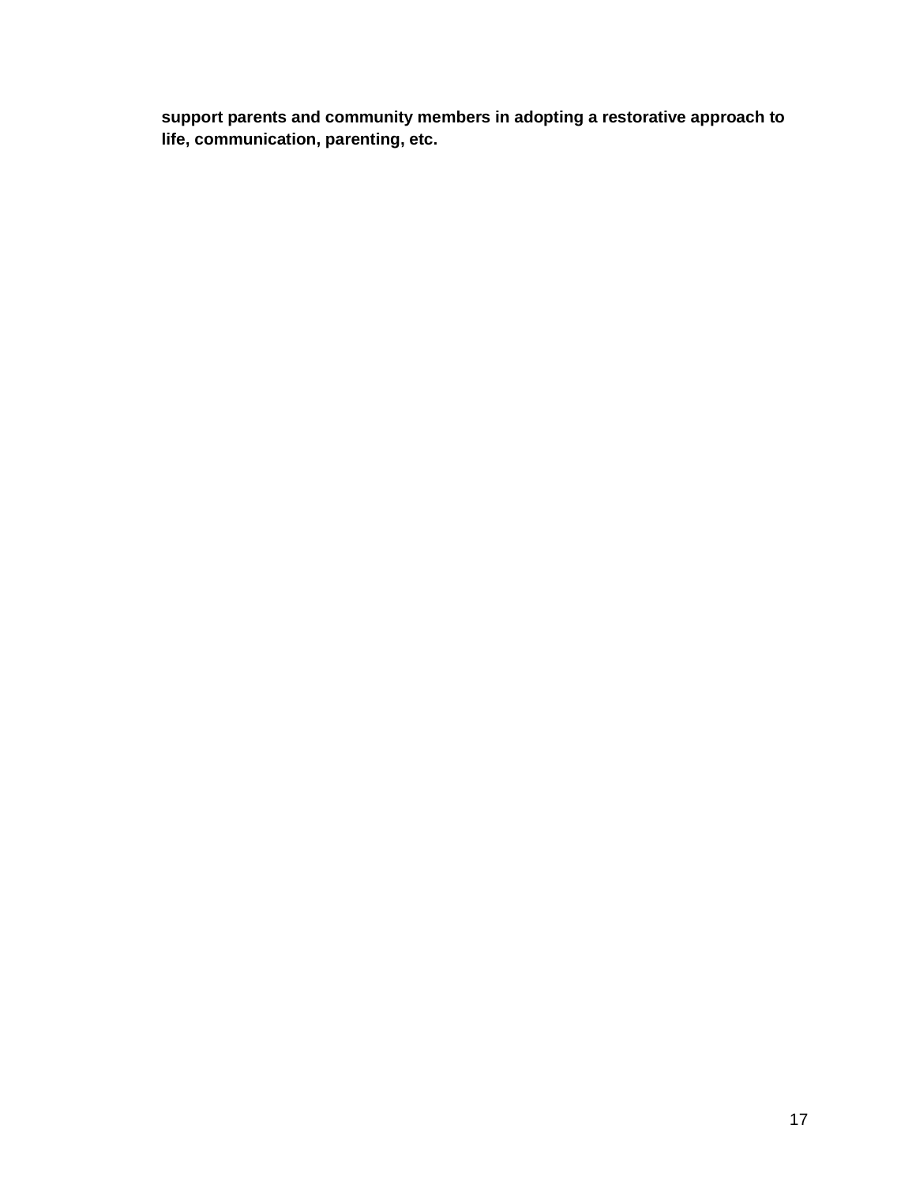**support parents and community members in adopting a restorative approach to life, communication, parenting, etc.**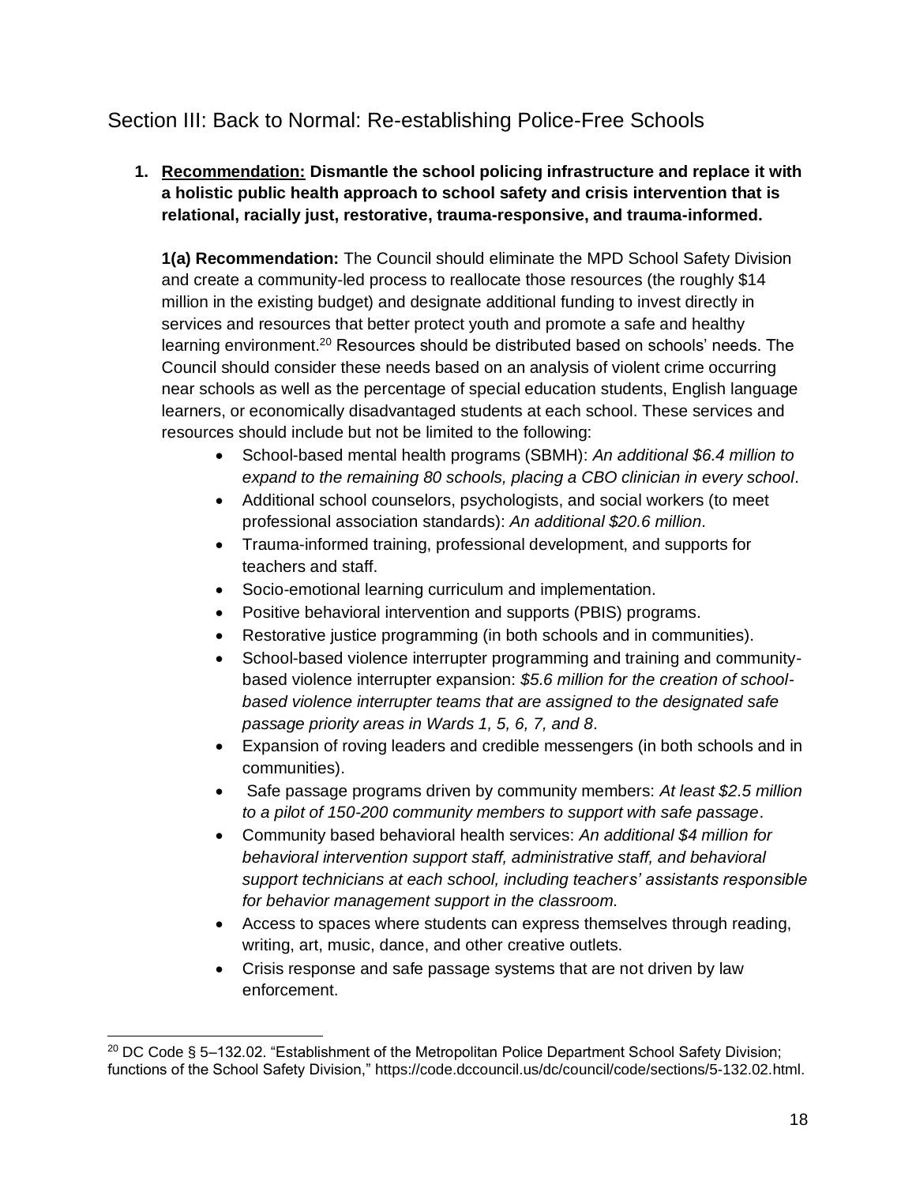# <span id="page-17-0"></span>Section III: Back to Normal: Re-establishing Police-Free Schools

# **1. Recommendation: Dismantle the school policing infrastructure and replace it with a holistic public health approach to school safety and crisis intervention that is relational, racially just, restorative, trauma-responsive, and trauma-informed.**

**1(a) Recommendation:** The Council should eliminate the MPD School Safety Division and create a community-led process to reallocate those resources (the roughly \$14 million in the existing budget) and designate additional funding to invest directly in services and resources that better protect youth and promote a safe and healthy learning environment.<sup>20</sup> Resources should be distributed based on schools' needs. The Council should consider these needs based on an analysis of violent crime occurring near schools as well as the percentage of special education students, English language learners, or economically disadvantaged students at each school. These services and resources should include but not be limited to the following:

- School-based mental health programs (SBMH): *An additional \$6.4 million to expand to the remaining 80 schools, placing a CBO clinician in every school.*
- Additional school counselors, psychologists, and social workers (to meet professional association standards): *An additional \$20.6 million.*
- Trauma-informed training, professional development, and supports for teachers and staff.
- Socio-emotional learning curriculum and implementation.
- Positive behavioral intervention and supports (PBIS) programs.
- Restorative justice programming (in both schools and in communities).
- School-based violence interrupter programming and training and communitybased violence interrupter expansion: *\$5.6 million for the creation of schoolbased violence interrupter teams that are assigned to the designated safe passage priority areas in Wards 1, 5, 6, 7, and 8*.
- Expansion of roving leaders and credible messengers (in both schools and in communities).
- Safe passage programs driven by community members: *At least \$2.5 million to a pilot of 150-200 community members to support with safe passage*.
- Community based behavioral health services: *An additional \$4 million for behavioral intervention support staff, administrative staff, and behavioral support technicians at each school, including teachers' assistants responsible for behavior management support in the classroom.*
- Access to spaces where students can express themselves through reading, writing, art, music, dance, and other creative outlets.
- Crisis response and safe passage systems that are not driven by law enforcement.

 $^{20}$  DC Code § 5–132.02. "Establishment of the Metropolitan Police Department School Safety Division; functions of the School Safety Division," [https://code.dccouncil.us/dc/council/code/sections/5-132.02.html.](https://code.dccouncil.us/dc/council/code/sections/5-132.02.html)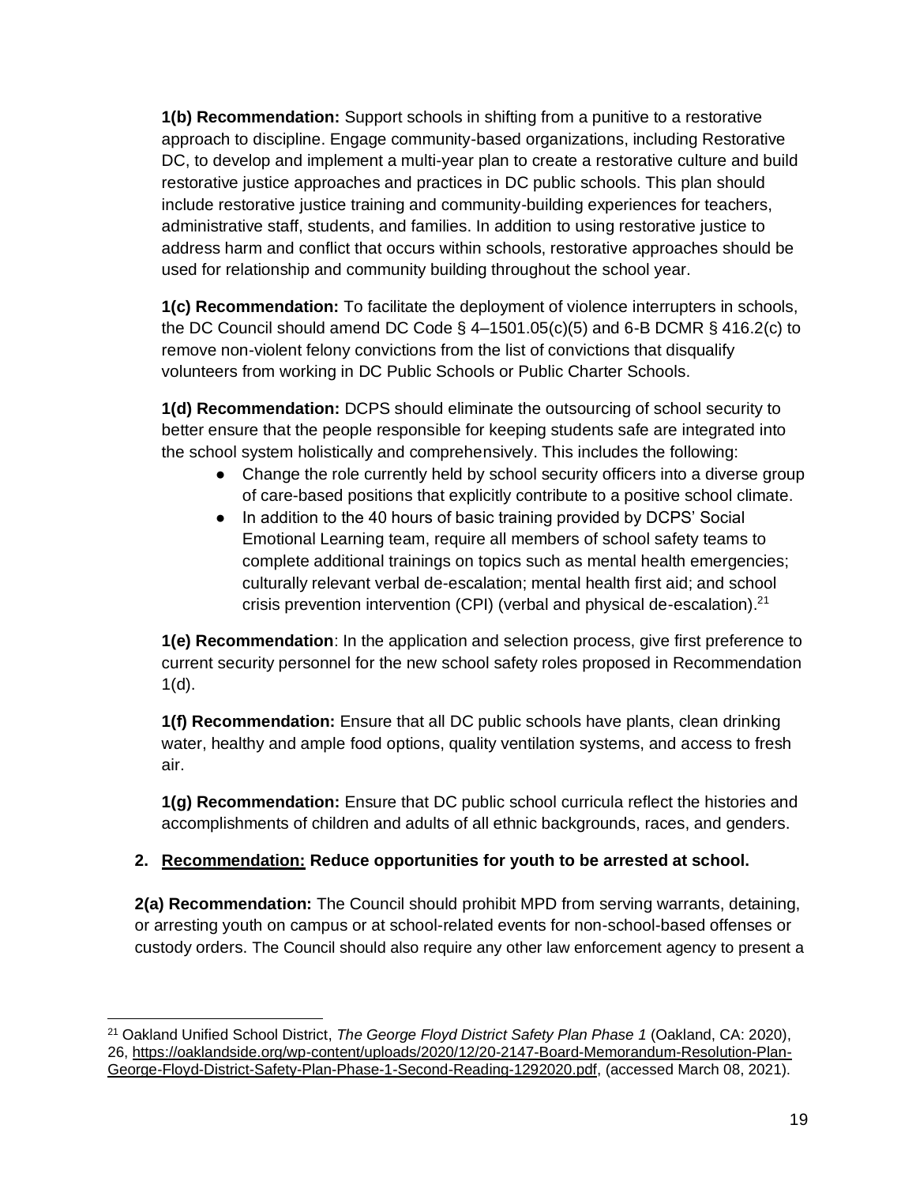**1(b) Recommendation:** Support schools in shifting from a punitive to a restorative approach to discipline. Engage community-based organizations, including Restorative DC, to develop and implement a multi-year plan to create a restorative culture and build restorative justice approaches and practices in DC public schools. This plan should include restorative justice training and community-building experiences for teachers, administrative staff, students, and families. In addition to using restorative justice to address harm and conflict that occurs within schools, restorative approaches should be used for relationship and community building throughout the school year.

**1(c) Recommendation:** To facilitate the deployment of violence interrupters in schools, the DC Council should amend DC Code  $\S$  4-1501.05(c)(5) and 6-B DCMR  $\S$  416.2(c) to remove non-violent felony convictions from the list of convictions that disqualify volunteers from working in DC Public Schools or Public Charter Schools.

**1(d) Recommendation:** DCPS should eliminate the outsourcing of school security to better ensure that the people responsible for keeping students safe are integrated into the school system holistically and comprehensively. This includes the following:

- Change the role currently held by school security officers into a diverse group of care-based positions that explicitly contribute to a positive school climate.
- In addition to the 40 hours of basic training provided by DCPS' Social Emotional Learning team, require all members of school safety teams to complete additional trainings on topics such as mental health emergencies; culturally relevant verbal de-escalation; mental health first aid; and school crisis prevention intervention (CPI) (verbal and physical de-escalation).<sup>21</sup>

**1(e) Recommendation**: In the application and selection process, give first preference to current security personnel for the new school safety roles proposed in Recommendation  $1(d)$ .

**1(f) Recommendation:** Ensure that all DC public schools have plants, clean drinking water, healthy and ample food options, quality ventilation systems, and access to fresh air.

**1(g) Recommendation:** Ensure that DC public school curricula reflect the histories and accomplishments of children and adults of all ethnic backgrounds, races, and genders.

# **2. Recommendation: Reduce opportunities for youth to be arrested at school.**

**2(a) Recommendation:** The Council should prohibit MPD from serving warrants, detaining, or arresting youth on campus or at school-related events for non-school-based offenses or custody orders. The Council should also require any other law enforcement agency to present a

<sup>21</sup> Oakland Unified School District, *The George Floyd District Safety Plan Phase 1* (Oakland, CA: 2020), 26, [https://oaklandside.org/wp-content/uploads/2020/12/20-2147-Board-Memorandum-Resolution-Plan-](https://oaklandside.org/wp-content/uploads/2020/12/20-2147-Board-Memorandum-Resolution-Plan-George-Floyd-District-Safety-Plan-Phase-1-Second-Reading-1292020.pdf)[George-Floyd-District-Safety-Plan-Phase-1-Second-Reading-1292020.pdf,](https://oaklandside.org/wp-content/uploads/2020/12/20-2147-Board-Memorandum-Resolution-Plan-George-Floyd-District-Safety-Plan-Phase-1-Second-Reading-1292020.pdf) (accessed March 08, 2021).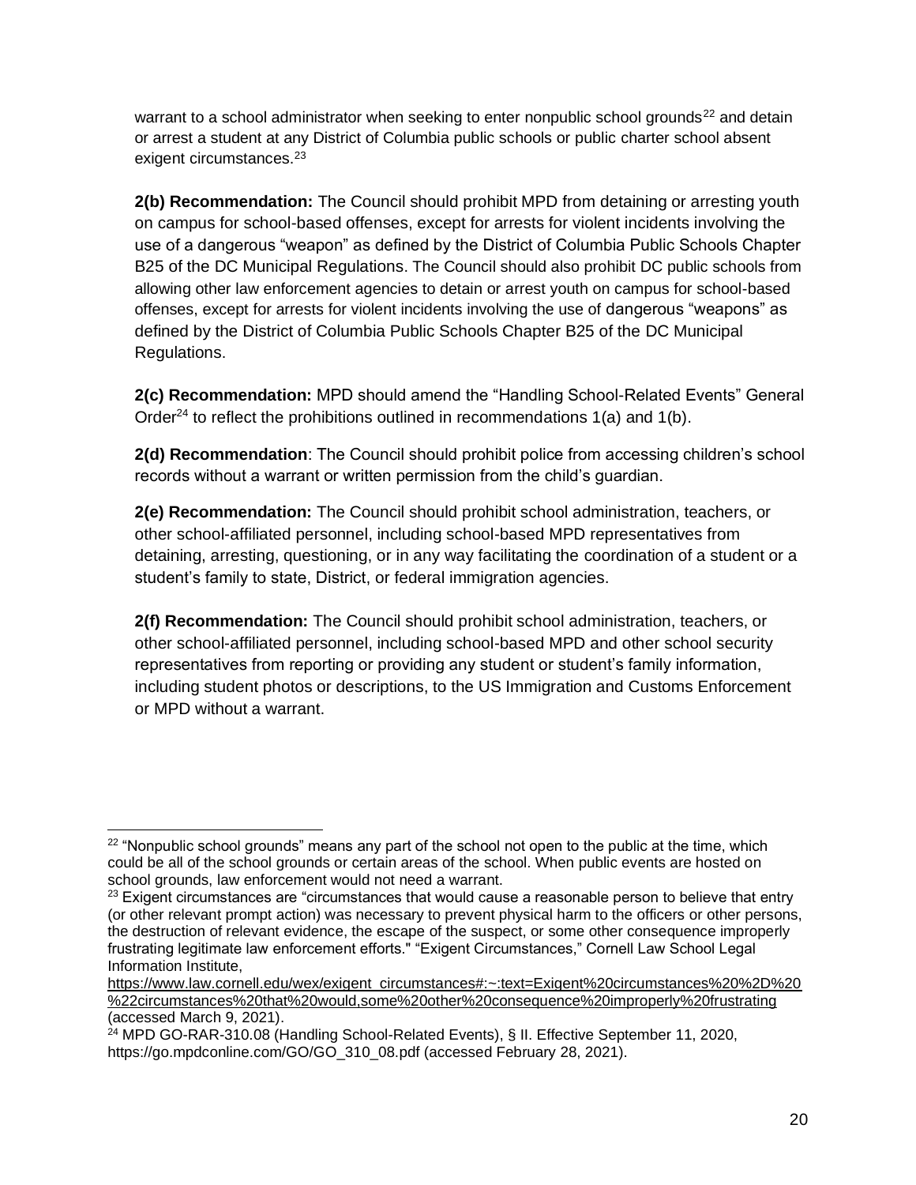warrant to a school administrator when seeking to enter nonpublic school grounds<sup>22</sup> and detain or arrest a student at any District of Columbia public schools or public charter school absent exigent circumstances.<sup>23</sup>

**2(b) Recommendation:** The Council should prohibit MPD from detaining or arresting youth on campus for school-based offenses, except for arrests for violent incidents involving the use of a dangerous "weapon" as defined by the District of Columbia Public Schools Chapter B25 of the DC Municipal Regulations. The Council should also prohibit DC public schools from allowing other law enforcement agencies to detain or arrest youth on campus for school-based offenses, except for arrests for violent incidents involving the use of dangerous "weapons" as defined by the District of Columbia Public Schools Chapter B25 of the DC Municipal Regulations.

**2(c) Recommendation:** MPD should amend the "Handling School-Related Events" General Order<sup>24</sup> to reflect the prohibitions outlined in recommendations  $1(a)$  and  $1(b)$ .

**2(d) Recommendation**: The Council should prohibit police from accessing children's school records without a warrant or written permission from the child's guardian.

**2(e) Recommendation:** The Council should prohibit school administration, teachers, or other school-affiliated personnel, including school-based MPD representatives from detaining, arresting, questioning, or in any way facilitating the coordination of a student or a student's family to state, District, or federal immigration agencies.

**2(f) Recommendation:** The Council should prohibit school administration, teachers, or other school-affiliated personnel, including school-based MPD and other school security representatives from reporting or providing any student or student's family information, including student photos or descriptions, to the US Immigration and Customs Enforcement or MPD without a warrant.

 $22$  "Nonpublic school grounds" means any part of the school not open to the public at the time, which could be all of the school grounds or certain areas of the school. When public events are hosted on school grounds, law enforcement would not need a warrant.

 $23$  Exigent circumstances are "circumstances that would cause a reasonable person to believe that entry (or other relevant prompt action) was necessary to prevent physical harm to the officers or other persons, the destruction of relevant evidence, the escape of the suspect, or some other consequence improperly frustrating legitimate law enforcement efforts." "Exigent Circumstances," Cornell Law School Legal Information Institute,

[https://www.law.cornell.edu/wex/exigent\\_circumstances#:~:text=Exigent%20circumstances%20%2D%20](https://www.law.cornell.edu/wex/exigent_circumstances#:~:text=Exigent%20circumstances%20%2D%20%22circumstances%20that%20would,some%20other%20consequence%20improperly%20frustrating) [%22circumstances%20that%20would,some%20other%20consequence%20improperly%20frustrating](https://www.law.cornell.edu/wex/exigent_circumstances#:~:text=Exigent%20circumstances%20%2D%20%22circumstances%20that%20would,some%20other%20consequence%20improperly%20frustrating) (accessed March 9, 2021).

 $24$  MPD GO-RAR-310.08 (Handling School-Related Events), § II. Effective September 11, 2020, https://go.mpdconline.com/GO/GO\_310\_08.pdf (accessed February 28, 2021).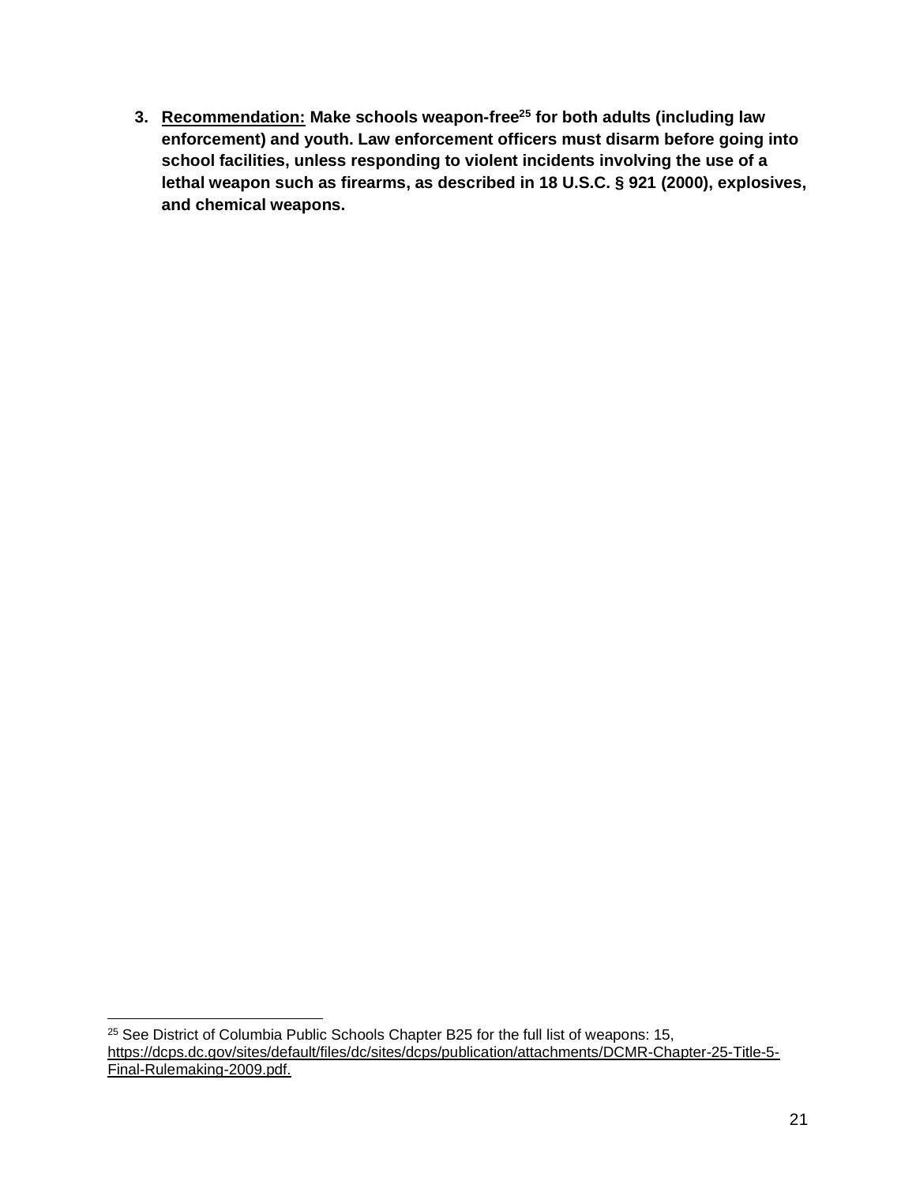**3. Recommendation: Make schools weapon-free<sup>25</sup> for both adults (including law enforcement) and youth. Law enforcement officers must disarm before going into school facilities, unless responding to violent incidents involving the use of a lethal weapon such as firearms, as described in 18 U.S.C. § 921 (2000), explosives, and chemical weapons.** 

<sup>&</sup>lt;sup>25</sup> See District of Columbia Public Schools Chapter B25 for the full list of weapons: 15, [https://dcps.dc.gov/sites/default/files/dc/sites/dcps/publication/attachments/DCMR-Chapter-25-Title-5-](https://dcps.dc.gov/sites/default/files/dc/sites/dcps/publication/attachments/DCMR-Chapter-25-Title-5-Final-Rulemaking-2009.pdf) [Final-Rulemaking-2009.pdf.](https://dcps.dc.gov/sites/default/files/dc/sites/dcps/publication/attachments/DCMR-Chapter-25-Title-5-Final-Rulemaking-2009.pdf)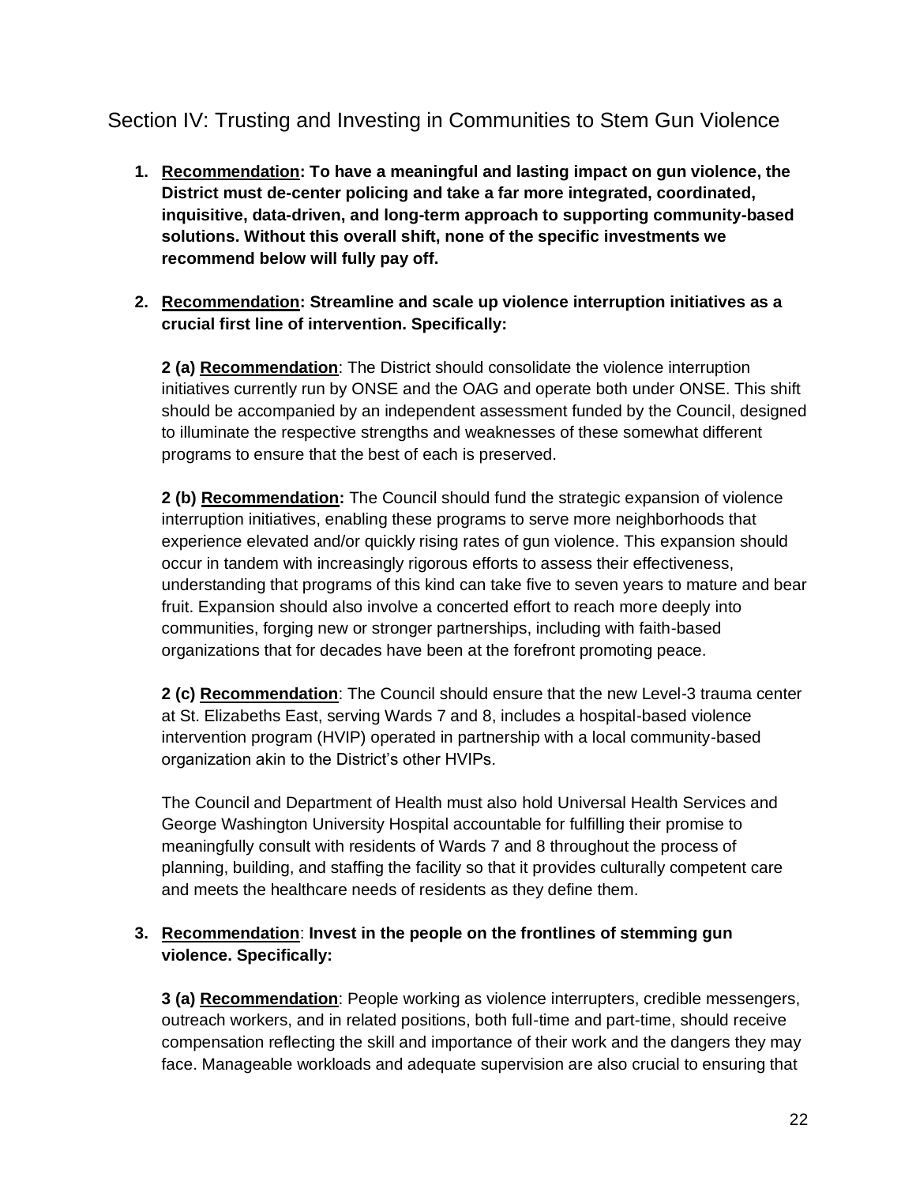# <span id="page-21-0"></span>Section IV: Trusting and Investing in Communities to Stem Gun Violence

- **1. Recommendation: To have a meaningful and lasting impact on gun violence, the District must de-center policing and take a far more integrated, coordinated, inquisitive, data-driven, and long-term approach to supporting community-based solutions. Without this overall shift, none of the specific investments we recommend below will fully pay off.**
- **2. Recommendation: Streamline and scale up violence interruption initiatives as a crucial first line of intervention. Specifically:**

**2 (a) Recommendation**: The District should consolidate the violence interruption initiatives currently run by ONSE and the OAG and operate both under ONSE. This shift should be accompanied by an independent assessment funded by the Council, designed to illuminate the respective strengths and weaknesses of these somewhat different programs to ensure that the best of each is preserved.

**2 (b) Recommendation:** The Council should fund the strategic expansion of violence interruption initiatives, enabling these programs to serve more neighborhoods that experience elevated and/or quickly rising rates of gun violence. This expansion should occur in tandem with increasingly rigorous efforts to assess their effectiveness, understanding that programs of this kind can take five to seven years to mature and bear fruit. Expansion should also involve a concerted effort to reach more deeply into communities, forging new or stronger partnerships, including with faith-based organizations that for decades have been at the forefront promoting peace.

**2 (c) Recommendation**: The Council should ensure that the new Level-3 trauma center at St. Elizabeths East, serving Wards 7 and 8, includes a hospital-based violence intervention program (HVIP) operated in partnership with a local community-based organization akin to the District's other HVIPs.

The Council and Department of Health must also hold Universal Health Services and George Washington University Hospital accountable for fulfilling their promise to meaningfully consult with residents of Wards 7 and 8 throughout the process of planning, building, and staffing the facility so that it provides culturally competent care and meets the healthcare needs of residents as they define them.

## **3. Recommendation**: **Invest in the people on the frontlines of stemming gun violence. Specifically:**

**3 (a) Recommendation**: People working as violence interrupters, credible messengers, outreach workers, and in related positions, both full-time and part-time, should receive compensation reflecting the skill and importance of their work and the dangers they may face. Manageable workloads and adequate supervision are also crucial to ensuring that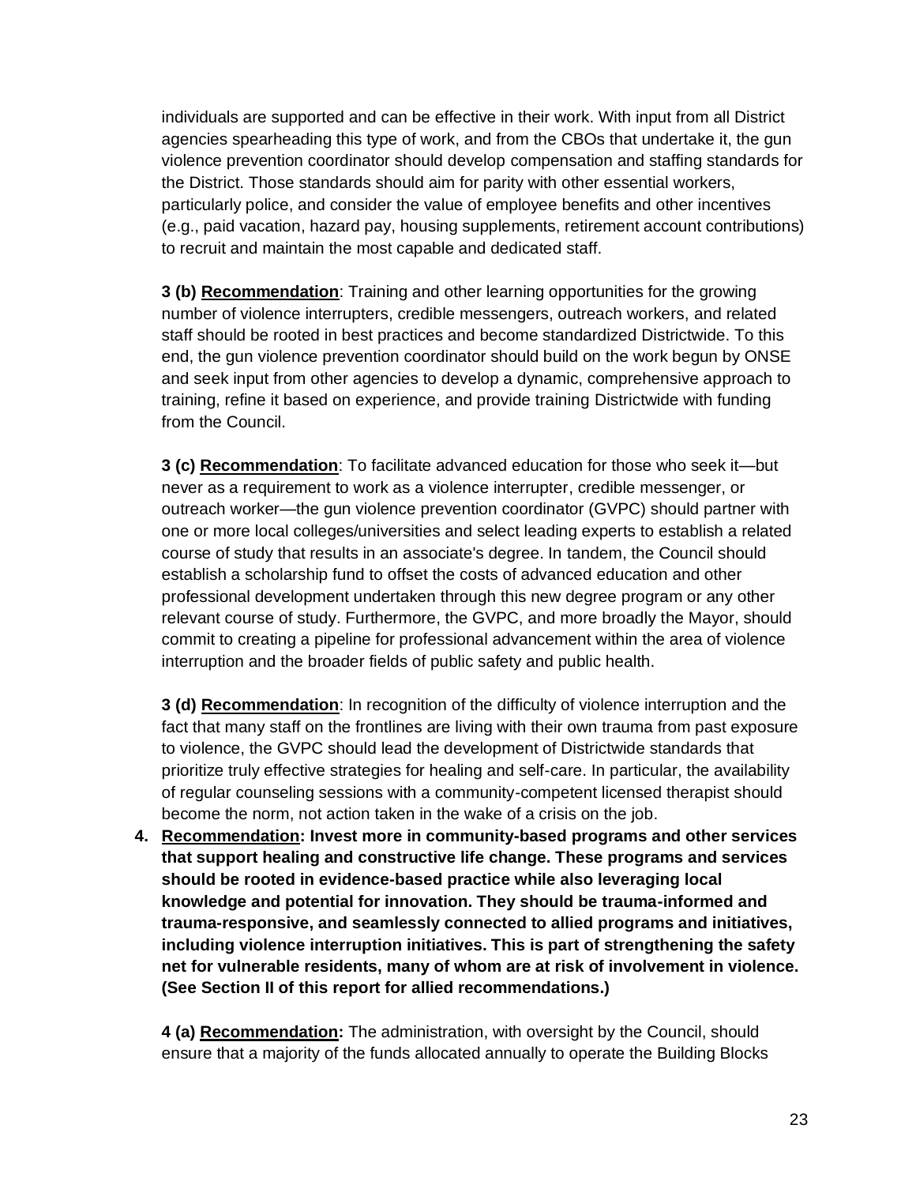individuals are supported and can be effective in their work. With input from all District agencies spearheading this type of work, and from the CBOs that undertake it, the gun violence prevention coordinator should develop compensation and staffing standards for the District. Those standards should aim for parity with other essential workers, particularly police, and consider the value of employee benefits and other incentives (e.g., paid vacation, hazard pay, housing supplements, retirement account contributions) to recruit and maintain the most capable and dedicated staff.

**3 (b) Recommendation**: Training and other learning opportunities for the growing number of violence interrupters, credible messengers, outreach workers, and related staff should be rooted in best practices and become standardized Districtwide. To this end, the gun violence prevention coordinator should build on the work begun by ONSE and seek input from other agencies to develop a dynamic, comprehensive approach to training, refine it based on experience, and provide training Districtwide with funding from the Council.

**3 (c) Recommendation**: To facilitate advanced education for those who seek it—but never as a requirement to work as a violence interrupter, credible messenger, or outreach worker—the gun violence prevention coordinator (GVPC) should partner with one or more local colleges/universities and select leading experts to establish a related course of study that results in an associate's degree. In tandem, the Council should establish a scholarship fund to offset the costs of advanced education and other professional development undertaken through this new degree program or any other relevant course of study. Furthermore, the GVPC, and more broadly the Mayor, should commit to creating a pipeline for professional advancement within the area of violence interruption and the broader fields of public safety and public health.

**3 (d) Recommendation**: In recognition of the difficulty of violence interruption and the fact that many staff on the frontlines are living with their own trauma from past exposure to violence, the GVPC should lead the development of Districtwide standards that prioritize truly effective strategies for healing and self-care. In particular, the availability of regular counseling sessions with a community-competent licensed therapist should become the norm, not action taken in the wake of a crisis on the job.

**4. Recommendation: Invest more in community-based programs and other services that support healing and constructive life change. These programs and services should be rooted in evidence-based practice while also leveraging local knowledge and potential for innovation. They should be trauma-informed and trauma-responsive, and seamlessly connected to allied programs and initiatives, including violence interruption initiatives. This is part of strengthening the safety net for vulnerable residents, many of whom are at risk of involvement in violence. (See Section II of this report for allied recommendations.)**

**4 (a) Recommendation:** The administration, with oversight by the Council, should ensure that a majority of the funds allocated annually to operate the Building Blocks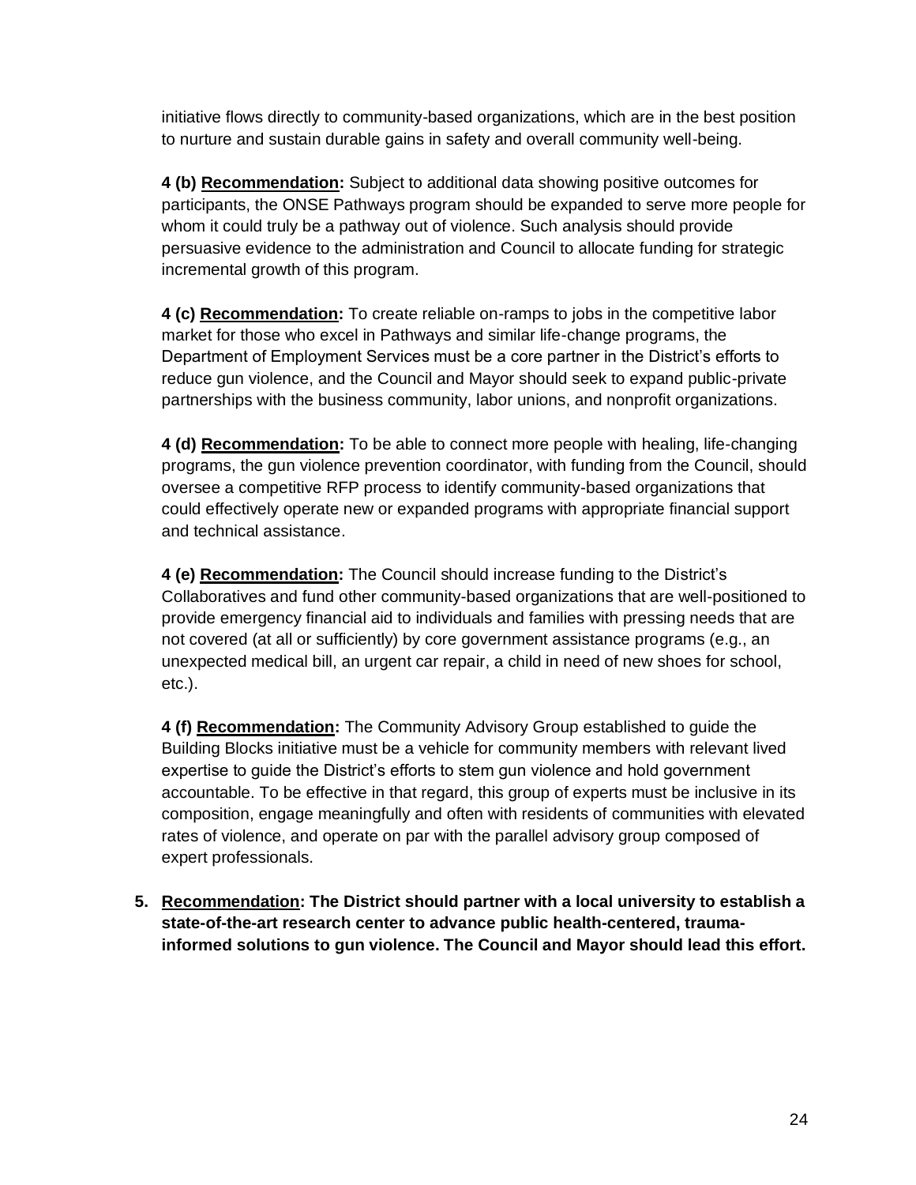initiative flows directly to community-based organizations, which are in the best position to nurture and sustain durable gains in safety and overall community well-being.

**4 (b) Recommendation:** Subject to additional data showing positive outcomes for participants, the ONSE Pathways program should be expanded to serve more people for whom it could truly be a pathway out of violence. Such analysis should provide persuasive evidence to the administration and Council to allocate funding for strategic incremental growth of this program.

**4 (c) Recommendation:** To create reliable on-ramps to jobs in the competitive labor market for those who excel in Pathways and similar life-change programs, the Department of Employment Services must be a core partner in the District's efforts to reduce gun violence, and the Council and Mayor should seek to expand public-private partnerships with the business community, labor unions, and nonprofit organizations.

**4 (d) Recommendation:** To be able to connect more people with healing, life-changing programs, the gun violence prevention coordinator, with funding from the Council, should oversee a competitive RFP process to identify community-based organizations that could effectively operate new or expanded programs with appropriate financial support and technical assistance.

**4 (e) Recommendation:** The Council should increase funding to the District's Collaboratives and fund other community-based organizations that are well-positioned to provide emergency financial aid to individuals and families with pressing needs that are not covered (at all or sufficiently) by core government assistance programs (e.g., an unexpected medical bill, an urgent car repair, a child in need of new shoes for school, etc.).

**4 (f) Recommendation:** The Community Advisory Group established to guide the Building Blocks initiative must be a vehicle for community members with relevant lived expertise to guide the District's efforts to stem gun violence and hold government accountable. To be effective in that regard, this group of experts must be inclusive in its composition, engage meaningfully and often with residents of communities with elevated rates of violence, and operate on par with the parallel advisory group composed of expert professionals.

**5. Recommendation: The District should partner with a local university to establish a state-of-the-art research center to advance public health-centered, traumainformed solutions to gun violence. The Council and Mayor should lead this effort.**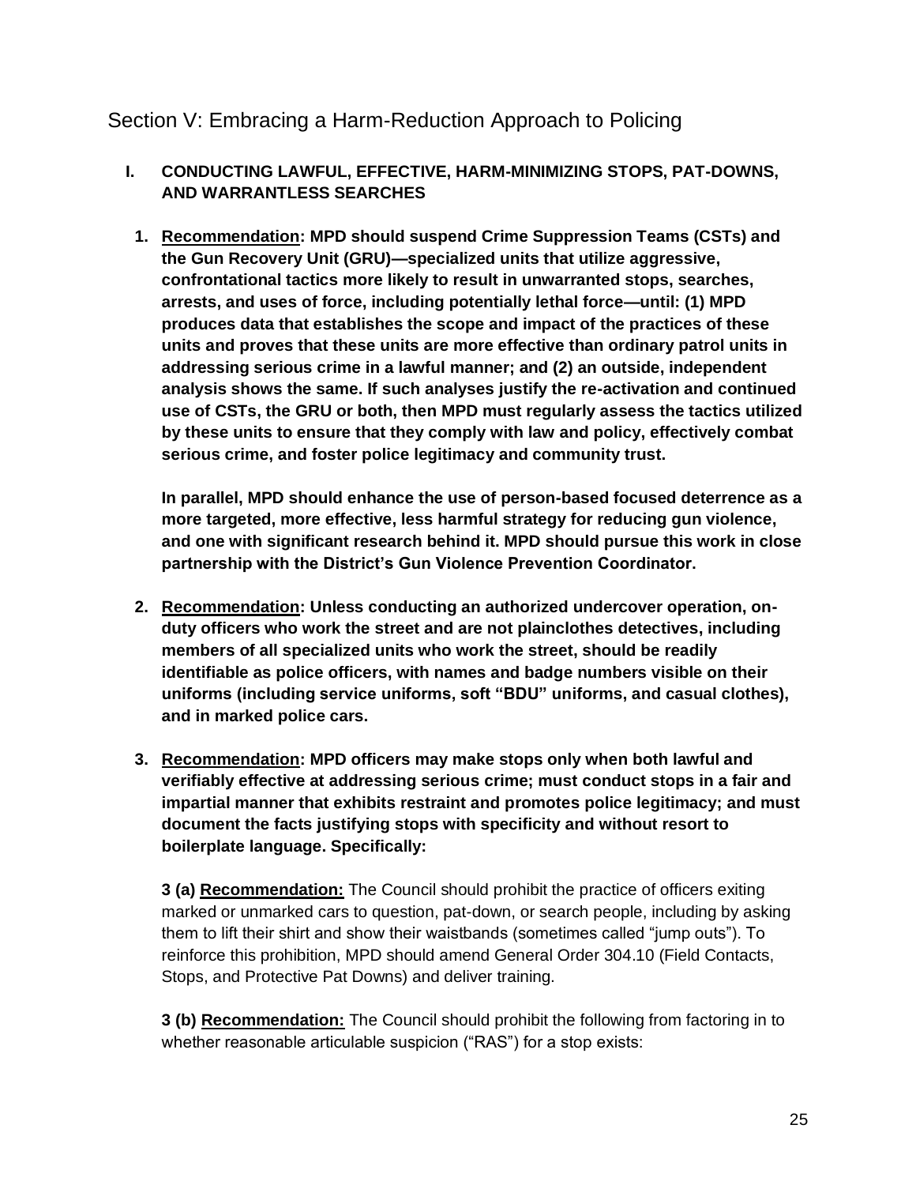# <span id="page-24-0"></span>Section V: Embracing a Harm-Reduction Approach to Policing

# **I. CONDUCTING LAWFUL, EFFECTIVE, HARM-MINIMIZING STOPS, PAT-DOWNS, AND WARRANTLESS SEARCHES**

**1. Recommendation: MPD should suspend Crime Suppression Teams (CSTs) and the Gun Recovery Unit (GRU)—specialized units that utilize aggressive, confrontational tactics more likely to result in unwarranted stops, searches, arrests, and uses of force, including potentially lethal force—until: (1) MPD produces data that establishes the scope and impact of the practices of these units and proves that these units are more effective than ordinary patrol units in addressing serious crime in a lawful manner; and (2) an outside, independent analysis shows the same. If such analyses justify the re-activation and continued use of CSTs, the GRU or both, then MPD must regularly assess the tactics utilized by these units to ensure that they comply with law and policy, effectively combat serious crime, and foster police legitimacy and community trust.**

**In parallel, MPD should enhance the use of person-based focused deterrence as a more targeted, more effective, less harmful strategy for reducing gun violence, and one with significant research behind it. MPD should pursue this work in close partnership with the District's Gun Violence Prevention Coordinator.**

- **2. Recommendation: Unless conducting an authorized undercover operation, onduty officers who work the street and are not plainclothes detectives, including members of all specialized units who work the street, should be readily identifiable as police officers, with names and badge numbers visible on their uniforms (including service uniforms, soft "BDU" uniforms, and casual clothes), and in marked police cars.**
- **3. Recommendation: MPD officers may make stops only when both lawful and verifiably effective at addressing serious crime; must conduct stops in a fair and impartial manner that exhibits restraint and promotes police legitimacy; and must document the facts justifying stops with specificity and without resort to boilerplate language. Specifically:**

**3 (a) Recommendation:** The Council should prohibit the practice of officers exiting marked or unmarked cars to question, pat-down, or search people, including by asking them to lift their shirt and show their waistbands (sometimes called "jump outs"). To reinforce this prohibition, MPD should amend General Order 304.10 (Field Contacts, Stops, and Protective Pat Downs) and deliver training.

**3 (b) Recommendation:** The Council should prohibit the following from factoring in to whether reasonable articulable suspicion ("RAS") for a stop exists: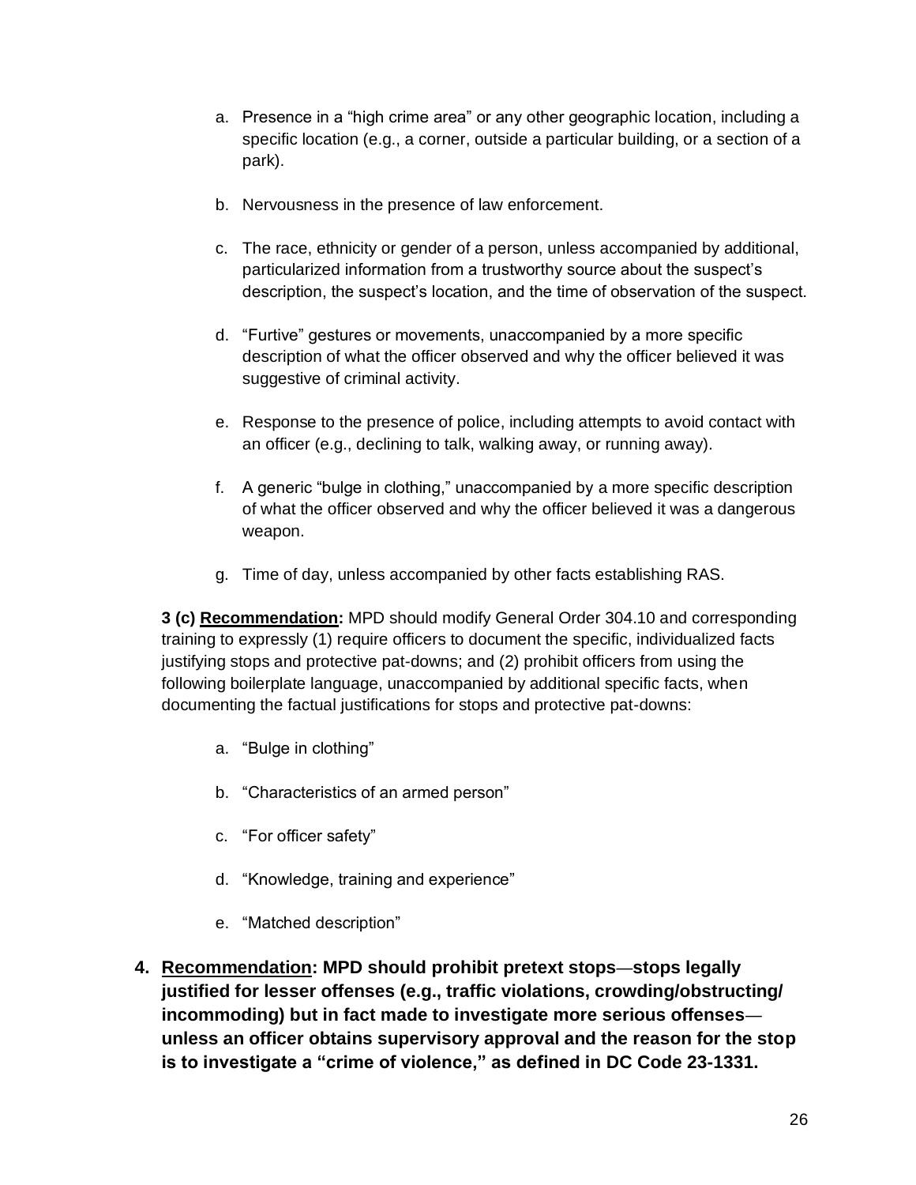- a. Presence in a "high crime area" or any other geographic location, including a specific location (e.g., a corner, outside a particular building, or a section of a park).
- b. Nervousness in the presence of law enforcement.
- c. The race, ethnicity or gender of a person, unless accompanied by additional, particularized information from a trustworthy source about the suspect's description, the suspect's location, and the time of observation of the suspect.
- d. "Furtive" gestures or movements, unaccompanied by a more specific description of what the officer observed and why the officer believed it was suggestive of criminal activity.
- e. Response to the presence of police, including attempts to avoid contact with an officer (e.g., declining to talk, walking away, or running away).
- f. A generic "bulge in clothing," unaccompanied by a more specific description of what the officer observed and why the officer believed it was a dangerous weapon.
- g. Time of day, unless accompanied by other facts establishing RAS.

**3 (c) Recommendation:** MPD should modify General Order 304.10 and corresponding training to expressly (1) require officers to document the specific, individualized facts justifying stops and protective pat-downs; and (2) prohibit officers from using the following boilerplate language, unaccompanied by additional specific facts, when documenting the factual justifications for stops and protective pat-downs:

- a. "Bulge in clothing"
- b. "Characteristics of an armed person"
- c. "For officer safety"
- d. "Knowledge, training and experience"
- e. "Matched description"
- **4. Recommendation: MPD should prohibit pretext stops**—**stops legally justified for lesser offenses (e.g., traffic violations, crowding/obstructing/ incommoding) but in fact made to investigate more serious offenses unless an officer obtains supervisory approval and the reason for the stop is to investigate a "crime of violence," as defined in DC Code 23-1331.**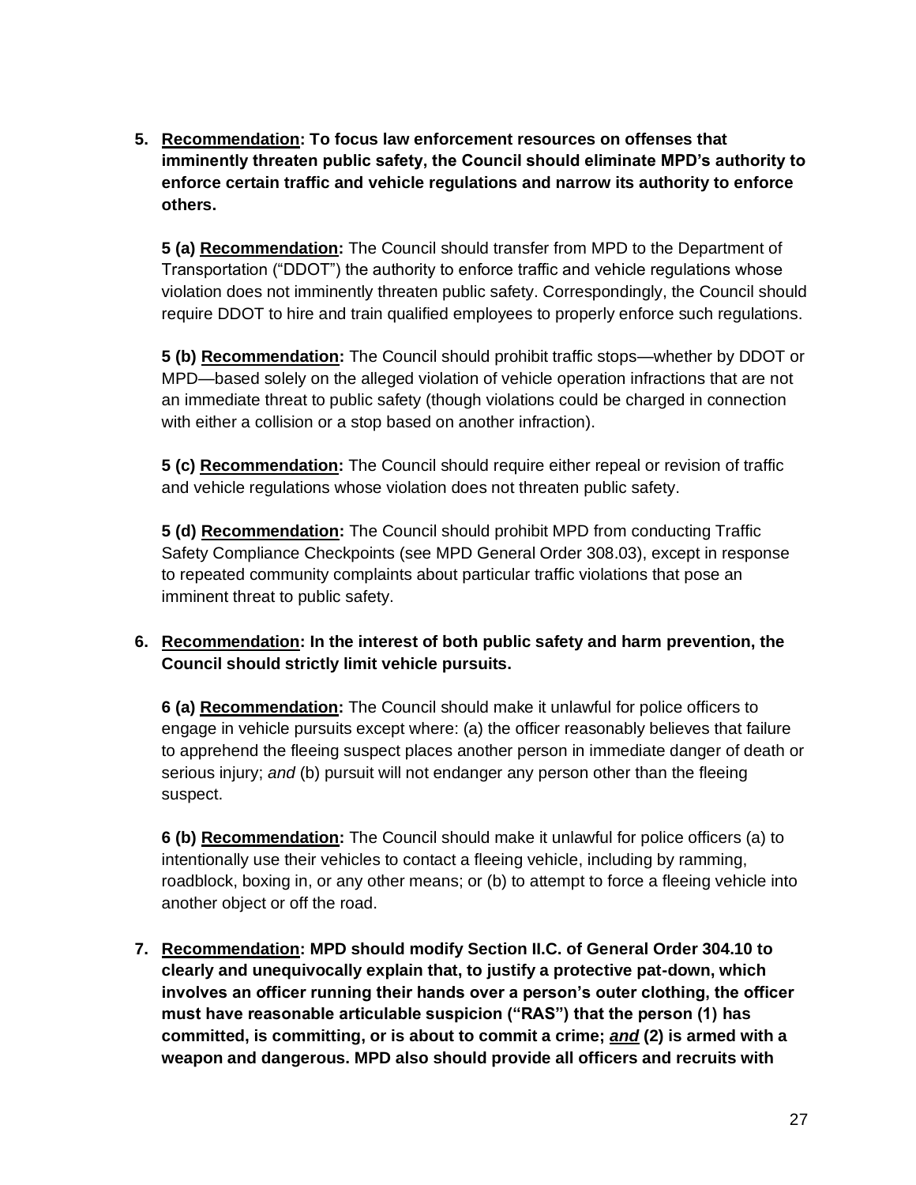**5. Recommendation: To focus law enforcement resources on offenses that imminently threaten public safety, the Council should eliminate MPD's authority to enforce certain traffic and vehicle regulations and narrow its authority to enforce others.**

**5 (a) Recommendation:** The Council should transfer from MPD to the Department of Transportation ("DDOT") the authority to enforce traffic and vehicle regulations whose violation does not imminently threaten public safety. Correspondingly, the Council should require DDOT to hire and train qualified employees to properly enforce such regulations.

**5 (b) Recommendation:** The Council should prohibit traffic stops—whether by DDOT or MPD—based solely on the alleged violation of vehicle operation infractions that are not an immediate threat to public safety (though violations could be charged in connection with either a collision or a stop based on another infraction).

**5 (c) Recommendation:** The Council should require either repeal or revision of traffic and vehicle regulations whose violation does not threaten public safety.

**5 (d) Recommendation:** The Council should prohibit MPD from conducting Traffic Safety Compliance Checkpoints (see MPD General Order 308.03), except in response to repeated community complaints about particular traffic violations that pose an imminent threat to public safety.

# **6. Recommendation: In the interest of both public safety and harm prevention, the Council should strictly limit vehicle pursuits.**

**6 (a) Recommendation:** The Council should make it unlawful for police officers to engage in vehicle pursuits except where: (a) the officer reasonably believes that failure to apprehend the fleeing suspect places another person in immediate danger of death or serious injury; *and* (b) pursuit will not endanger any person other than the fleeing suspect.

**6 (b) Recommendation:** The Council should make it unlawful for police officers (a) to intentionally use their vehicles to contact a fleeing vehicle, including by ramming, roadblock, boxing in, or any other means; or (b) to attempt to force a fleeing vehicle into another object or off the road.

**7. Recommendation: MPD should modify Section II.C. of General Order 304.10 to clearly and unequivocally explain that, to justify a protective pat-down, which involves an officer running their hands over a person's outer clothing, the officer must have reasonable articulable suspicion ("RAS") that the person (1) has committed, is committing, or is about to commit a crime;** *and* **(2) is armed with a weapon and dangerous. MPD also should provide all officers and recruits with**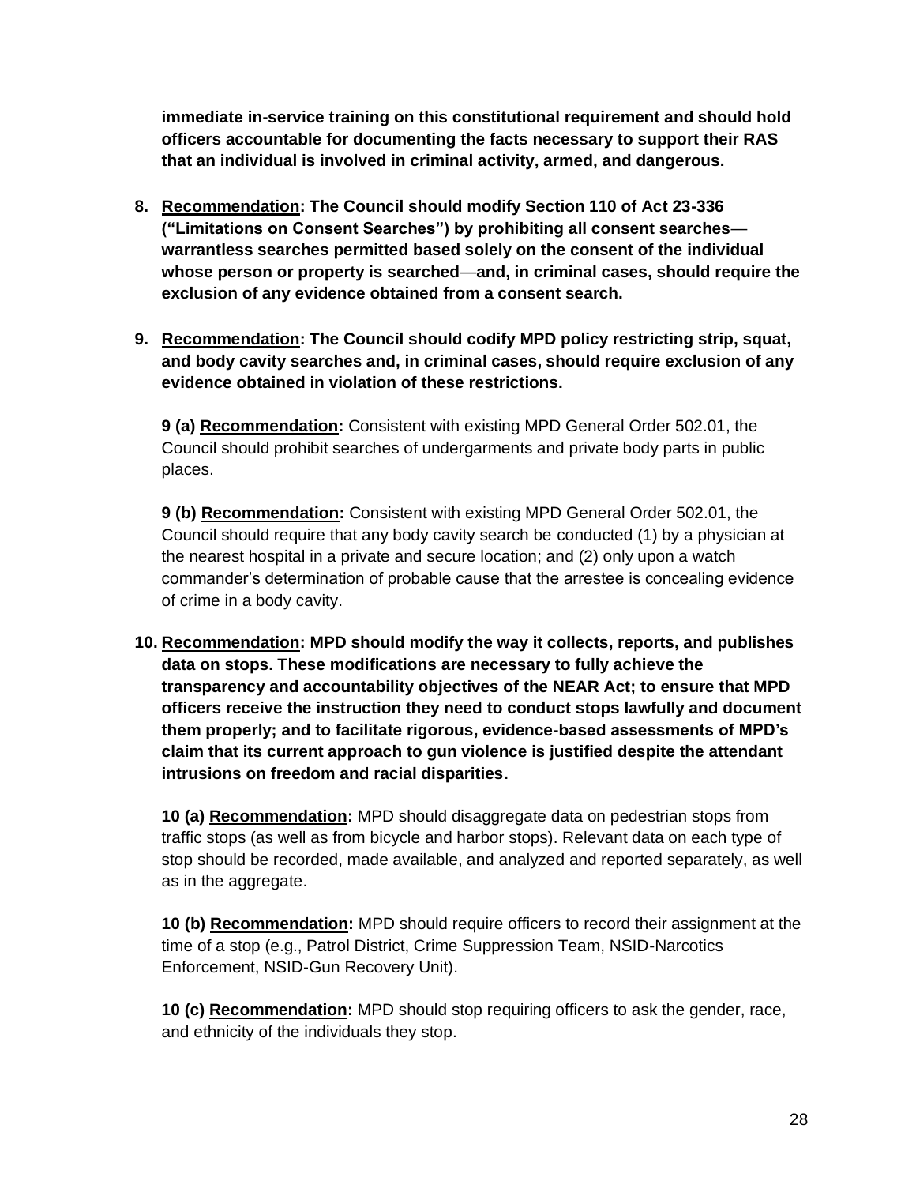**immediate in-service training on this constitutional requirement and should hold officers accountable for documenting the facts necessary to support their RAS that an individual is involved in criminal activity, armed, and dangerous.**

- **8. Recommendation: The Council should modify Section 110 of Act 23-336 ("Limitations on Consent Searches") by prohibiting all consent searches warrantless searches permitted based solely on the consent of the individual whose person or property is searched**—**and, in criminal cases, should require the exclusion of any evidence obtained from a consent search.**
- **9. Recommendation: The Council should codify MPD policy restricting strip, squat, and body cavity searches and, in criminal cases, should require exclusion of any evidence obtained in violation of these restrictions.**

**9 (a) Recommendation:** Consistent with existing MPD General Order 502.01, the Council should prohibit searches of undergarments and private body parts in public places.

**9 (b) Recommendation:** Consistent with existing MPD General Order 502.01, the Council should require that any body cavity search be conducted (1) by a physician at the nearest hospital in a private and secure location; and (2) only upon a watch commander's determination of probable cause that the arrestee is concealing evidence of crime in a body cavity.

**10. Recommendation: MPD should modify the way it collects, reports, and publishes data on stops. These modifications are necessary to fully achieve the transparency and accountability objectives of the NEAR Act; to ensure that MPD officers receive the instruction they need to conduct stops lawfully and document them properly; and to facilitate rigorous, evidence-based assessments of MPD's claim that its current approach to gun violence is justified despite the attendant intrusions on freedom and racial disparities.**

**10 (a) Recommendation:** MPD should disaggregate data on pedestrian stops from traffic stops (as well as from bicycle and harbor stops). Relevant data on each type of stop should be recorded, made available, and analyzed and reported separately, as well as in the aggregate.

**10 (b) Recommendation:** MPD should require officers to record their assignment at the time of a stop (e.g., Patrol District, Crime Suppression Team, NSID-Narcotics Enforcement, NSID-Gun Recovery Unit).

**10 (c) Recommendation:** MPD should stop requiring officers to ask the gender, race, and ethnicity of the individuals they stop.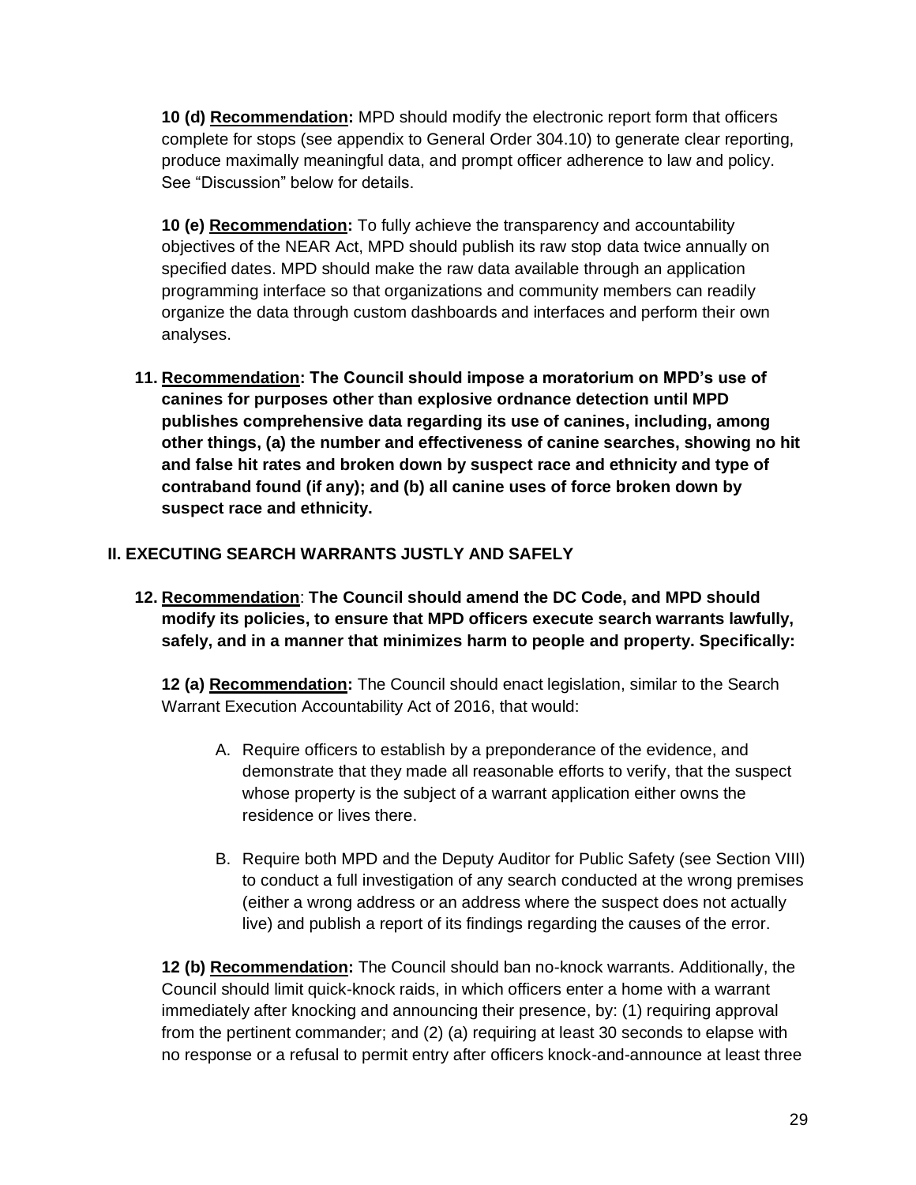**10 (d) Recommendation:** MPD should modify the electronic report form that officers complete for stops (see appendix to General Order 304.10) to generate clear reporting, produce maximally meaningful data, and prompt officer adherence to law and policy. See "Discussion" below for details.

**10 (e) Recommendation:** To fully achieve the transparency and accountability objectives of the NEAR Act, MPD should publish its raw stop data twice annually on specified dates. MPD should make the raw data available through an application programming interface so that organizations and community members can readily organize the data through custom dashboards and interfaces and perform their own analyses.

**11. Recommendation: The Council should impose a moratorium on MPD's use of canines for purposes other than explosive ordnance detection until MPD publishes comprehensive data regarding its use of canines, including, among other things, (a) the number and effectiveness of canine searches, showing no hit and false hit rates and broken down by suspect race and ethnicity and type of contraband found (if any); and (b) all canine uses of force broken down by suspect race and ethnicity.**

# **II. EXECUTING SEARCH WARRANTS JUSTLY AND SAFELY**

**12. Recommendation**: **The Council should amend the DC Code, and MPD should modify its policies, to ensure that MPD officers execute search warrants lawfully, safely, and in a manner that minimizes harm to people and property. Specifically:**

**12 (a) Recommendation:** The Council should enact legislation, similar to the Search Warrant Execution Accountability Act of 2016, that would:

- A. Require officers to establish by a preponderance of the evidence, and demonstrate that they made all reasonable efforts to verify, that the suspect whose property is the subject of a warrant application either owns the residence or lives there.
- B. Require both MPD and the Deputy Auditor for Public Safety (see Section VIII) to conduct a full investigation of any search conducted at the wrong premises (either a wrong address or an address where the suspect does not actually live) and publish a report of its findings regarding the causes of the error.

**12 (b) Recommendation:** The Council should ban no-knock warrants. Additionally, the Council should limit quick-knock raids, in which officers enter a home with a warrant immediately after knocking and announcing their presence, by: (1) requiring approval from the pertinent commander; and (2) (a) requiring at least 30 seconds to elapse with no response or a refusal to permit entry after officers knock-and-announce at least three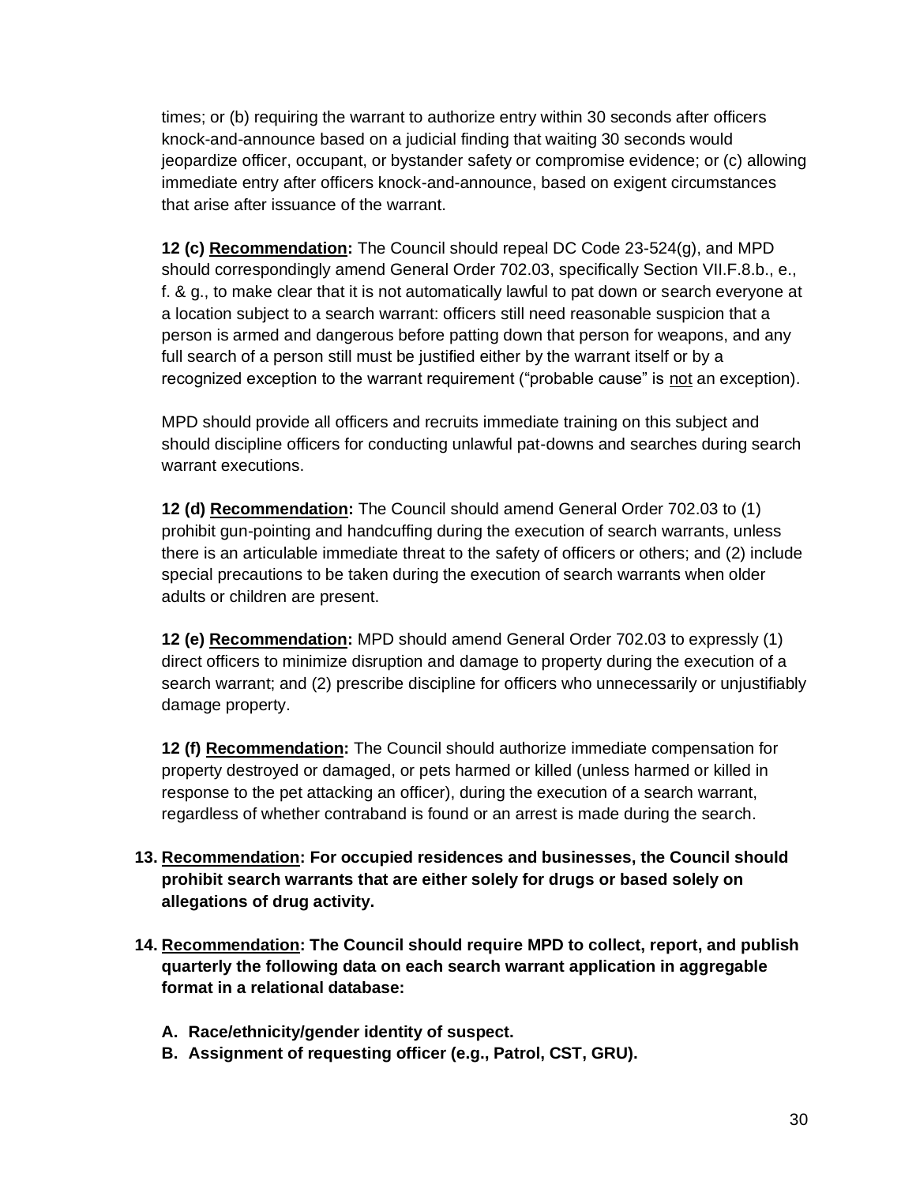times; or (b) requiring the warrant to authorize entry within 30 seconds after officers knock-and-announce based on a judicial finding that waiting 30 seconds would jeopardize officer, occupant, or bystander safety or compromise evidence; or (c) allowing immediate entry after officers knock-and-announce, based on exigent circumstances that arise after issuance of the warrant.

**12 (c) Recommendation:** The Council should repeal DC Code 23-524(g), and MPD should correspondingly amend General Order 702.03, specifically Section VII.F.8.b., e., f. & g., to make clear that it is not automatically lawful to pat down or search everyone at a location subject to a search warrant: officers still need reasonable suspicion that a person is armed and dangerous before patting down that person for weapons, and any full search of a person still must be justified either by the warrant itself or by a recognized exception to the warrant requirement ("probable cause" is not an exception).

MPD should provide all officers and recruits immediate training on this subject and should discipline officers for conducting unlawful pat-downs and searches during search warrant executions.

**12 (d) Recommendation:** The Council should amend General Order 702.03 to (1) prohibit gun-pointing and handcuffing during the execution of search warrants, unless there is an articulable immediate threat to the safety of officers or others; and (2) include special precautions to be taken during the execution of search warrants when older adults or children are present.

**12 (e) Recommendation:** MPD should amend General Order 702.03 to expressly (1) direct officers to minimize disruption and damage to property during the execution of a search warrant; and (2) prescribe discipline for officers who unnecessarily or unjustifiably damage property.

**12 (f) Recommendation:** The Council should authorize immediate compensation for property destroyed or damaged, or pets harmed or killed (unless harmed or killed in response to the pet attacking an officer), during the execution of a search warrant, regardless of whether contraband is found or an arrest is made during the search.

- **13. Recommendation: For occupied residences and businesses, the Council should prohibit search warrants that are either solely for drugs or based solely on allegations of drug activity.**
- **14. Recommendation: The Council should require MPD to collect, report, and publish quarterly the following data on each search warrant application in aggregable format in a relational database:**
	- **A. Race/ethnicity/gender identity of suspect.**
	- **B. Assignment of requesting officer (e.g., Patrol, CST, GRU).**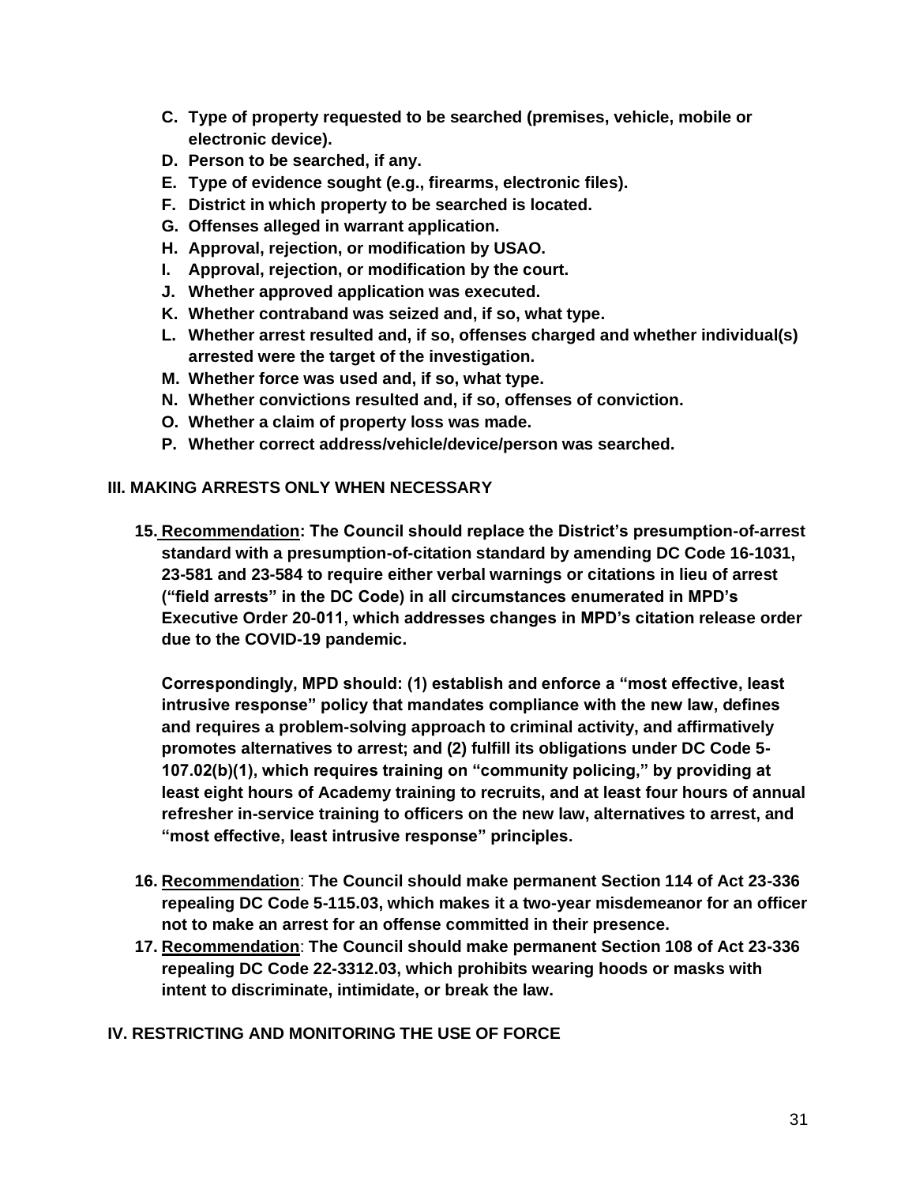- **C. Type of property requested to be searched (premises, vehicle, mobile or electronic device).**
- **D. Person to be searched, if any.**
- **E. Type of evidence sought (e.g., firearms, electronic files).**
- **F. District in which property to be searched is located.**
- **G. Offenses alleged in warrant application.**
- **H. Approval, rejection, or modification by USAO.**
- **I. Approval, rejection, or modification by the court.**
- **J. Whether approved application was executed.**
- **K. Whether contraband was seized and, if so, what type.**
- **L. Whether arrest resulted and, if so, offenses charged and whether individual(s) arrested were the target of the investigation.**
- **M. Whether force was used and, if so, what type.**
- **N. Whether convictions resulted and, if so, offenses of conviction.**
- **O. Whether a claim of property loss was made.**
- **P. Whether correct address/vehicle/device/person was searched.**

#### **III. MAKING ARRESTS ONLY WHEN NECESSARY**

**15. Recommendation: The Council should replace the District's presumption-of-arrest standard with a presumption-of-citation standard by amending DC Code 16-1031, 23-581 and 23-584 to require either verbal warnings or citations in lieu of arrest ("field arrests" in the DC Code) in all circumstances enumerated in MPD's Executive Order 20-011, which addresses changes in MPD's citation release order due to the COVID-19 pandemic.** 

**Correspondingly, MPD should: (1) establish and enforce a "most effective, least intrusive response" policy that mandates compliance with the new law, defines and requires a problem-solving approach to criminal activity, and affirmatively promotes alternatives to arrest; and (2) fulfill its obligations under DC Code 5- 107.02(b)(1), which requires training on "community policing," by providing at least eight hours of Academy training to recruits, and at least four hours of annual refresher in-service training to officers on the new law, alternatives to arrest, and "most effective, least intrusive response" principles.**

- **16. Recommendation**: **The Council should make permanent Section 114 of Act 23-336 repealing DC Code 5-115.03, which makes it a two-year misdemeanor for an officer not to make an arrest for an offense committed in their presence.**
- **17. Recommendation**: **The Council should make permanent Section 108 of Act 23-336 repealing DC Code 22-3312.03, which prohibits wearing hoods or masks with intent to discriminate, intimidate, or break the law.**

#### **IV. RESTRICTING AND MONITORING THE USE OF FORCE**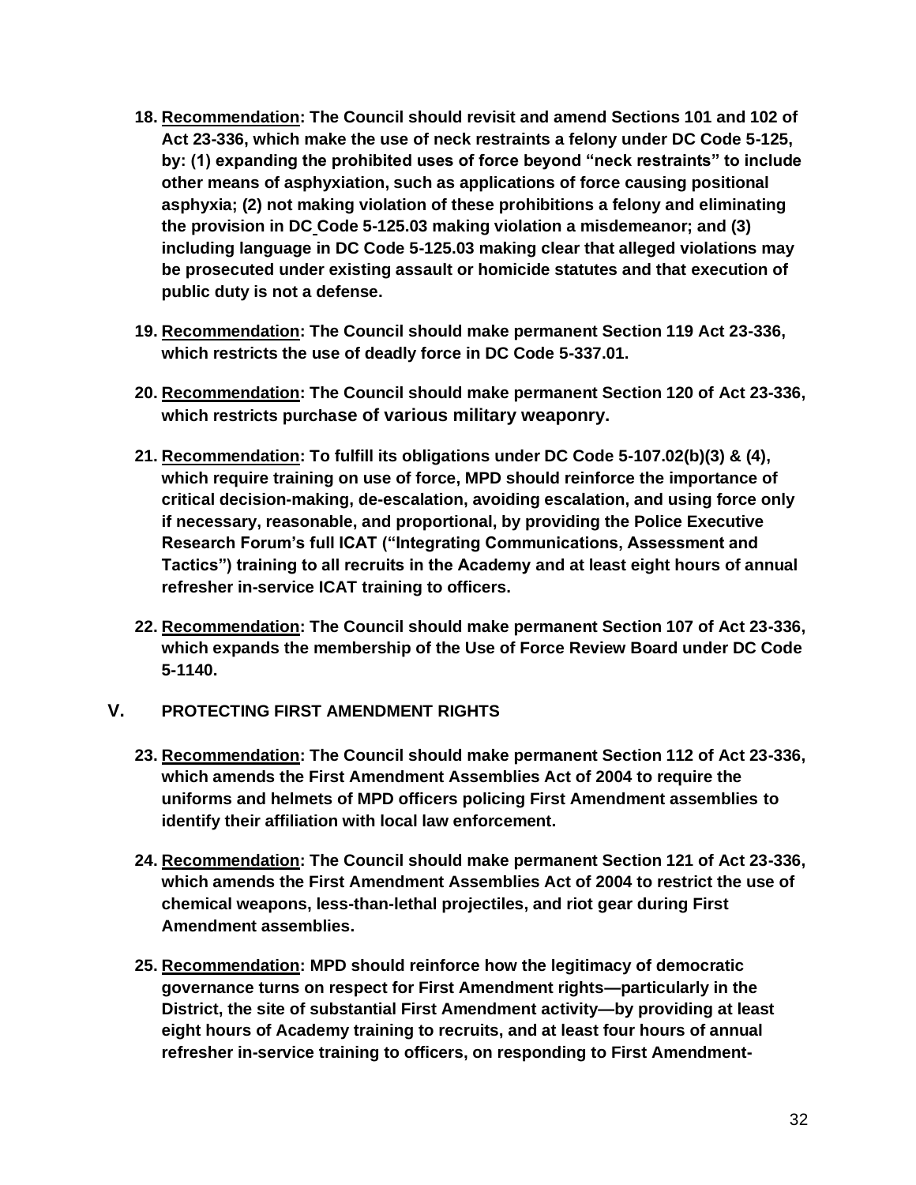- **18. Recommendation: The Council should revisit and amend Sections 101 and 102 of Act 23-336, which make the use of neck restraints a felony under DC Code 5-125, by: (1) expanding the prohibited uses of force beyond "neck restraints" to include other means of asphyxiation, such as applications of force causing positional asphyxia; (2) not making violation of these prohibitions a felony and eliminating the provision in DC Code 5-125.03 making violation a misdemeanor; and (3) including language in DC Code 5-125.03 making clear that alleged violations may be prosecuted under existing assault or homicide statutes and that execution of public duty is not a defense.**
- **19. Recommendation: The Council should make permanent Section 119 Act 23-336, which restricts the use of deadly force in DC Code 5-337.01.**
- **20. Recommendation: The Council should make permanent Section 120 of Act 23-336, which restricts purchase of various military weaponry.**
- **21. Recommendation: To fulfill its obligations under DC Code 5-107.02(b)(3) & (4), which require training on use of force, MPD should reinforce the importance of critical decision-making, de-escalation, avoiding escalation, and using force only if necessary, reasonable, and proportional, by providing the Police Executive Research Forum's full ICAT ("Integrating Communications, Assessment and Tactics") training to all recruits in the Academy and at least eight hours of annual refresher in-service ICAT training to officers.**
- **22. Recommendation: The Council should make permanent Section 107 of Act 23-336, which expands the membership of the Use of Force Review Board under DC Code 5-1140.**

## **V. PROTECTING FIRST AMENDMENT RIGHTS**

- **23. Recommendation: The Council should make permanent Section 112 of Act 23-336, which amends the First Amendment Assemblies Act of 2004 to require the uniforms and helmets of MPD officers policing First Amendment assemblies to identify their affiliation with local law enforcement.**
- **24. Recommendation: The Council should make permanent Section 121 of Act 23-336, which amends the First Amendment Assemblies Act of 2004 to restrict the use of chemical weapons, less-than-lethal projectiles, and riot gear during First Amendment assemblies.**
- **25. Recommendation: MPD should reinforce how the legitimacy of democratic governance turns on respect for First Amendment rights—particularly in the District, the site of substantial First Amendment activity—by providing at least eight hours of Academy training to recruits, and at least four hours of annual refresher in-service training to officers, on responding to First Amendment-**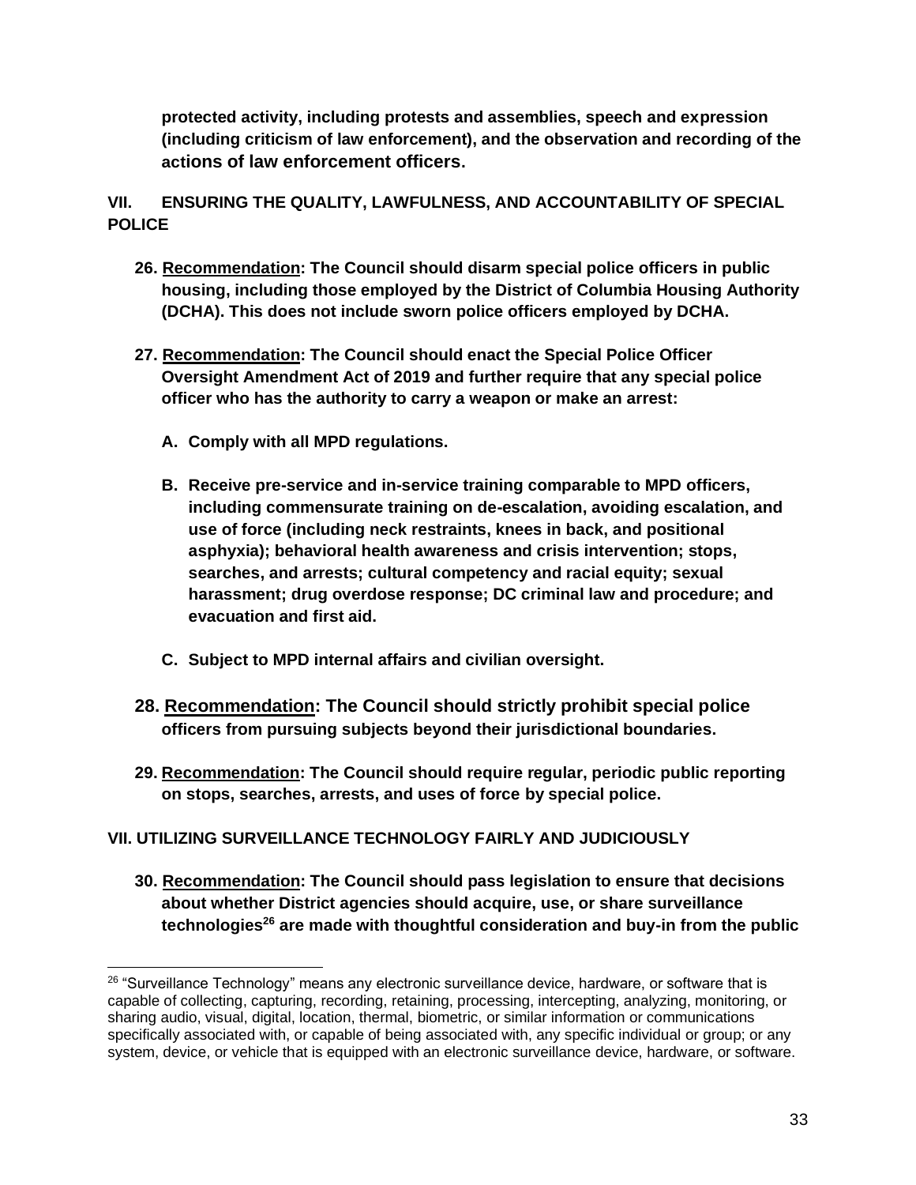**protected activity, including protests and assemblies, speech and expression (including criticism of law enforcement), and the observation and recording of the actions of law enforcement officers.**

**VII. ENSURING THE QUALITY, LAWFULNESS, AND ACCOUNTABILITY OF SPECIAL POLICE**

- **26. Recommendation: The Council should disarm special police officers in public housing, including those employed by the District of Columbia Housing Authority (DCHA). This does not include sworn police officers employed by DCHA.**
- **27. Recommendation: The Council should enact the Special Police Officer Oversight Amendment Act of 2019 and further require that any special police officer who has the authority to carry a weapon or make an arrest:**
	- **A. Comply with all MPD regulations.**
	- **B. Receive pre-service and in-service training comparable to MPD officers, including commensurate training on de-escalation, avoiding escalation, and use of force (including neck restraints, knees in back, and positional asphyxia); behavioral health awareness and crisis intervention; stops, searches, and arrests; cultural competency and racial equity; sexual harassment; drug overdose response; DC criminal law and procedure; and evacuation and first aid.**
	- **C. Subject to MPD internal affairs and civilian oversight.**
- **28. Recommendation: The Council should strictly prohibit special police officers from pursuing subjects beyond their jurisdictional boundaries.**
- **29. Recommendation: The Council should require regular, periodic public reporting on stops, searches, arrests, and uses of force by special police.**

# **VII. UTILIZING SURVEILLANCE TECHNOLOGY FAIRLY AND JUDICIOUSLY**

**30. Recommendation: The Council should pass legislation to ensure that decisions about whether District agencies should acquire, use, or share surveillance technologies<sup>26</sup> are made with thoughtful consideration and buy-in from the public** 

<sup>&</sup>lt;sup>26</sup> "Surveillance Technology" means any electronic surveillance device, hardware, or software that is capable of collecting, capturing, recording, retaining, processing, intercepting, analyzing, monitoring, or sharing audio, visual, digital, location, thermal, biometric, or similar information or communications specifically associated with, or capable of being associated with, any specific individual or group; or any system, device, or vehicle that is equipped with an electronic surveillance device, hardware, or software.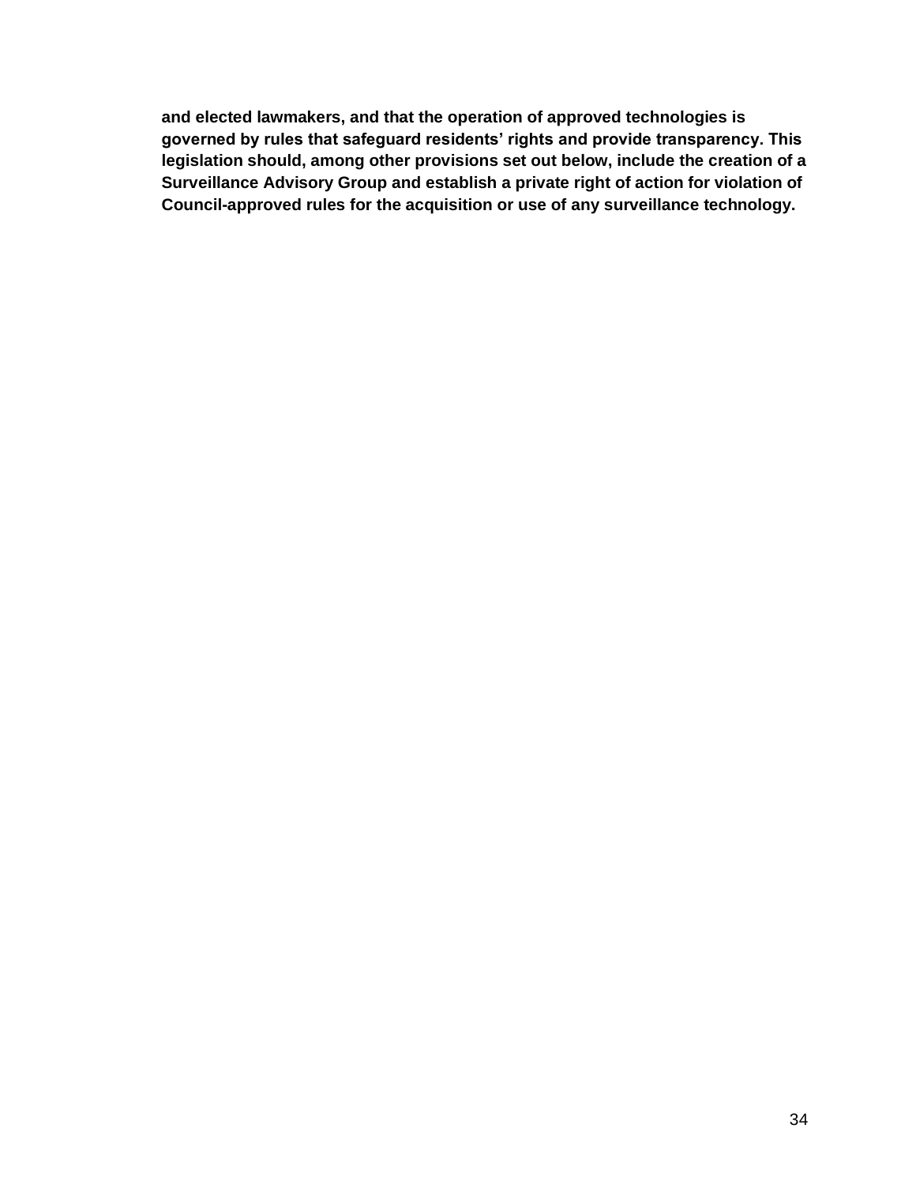**and elected lawmakers, and that the operation of approved technologies is governed by rules that safeguard residents' rights and provide transparency. This legislation should, among other provisions set out below, include the creation of a Surveillance Advisory Group and establish a private right of action for violation of Council-approved rules for the acquisition or use of any surveillance technology.**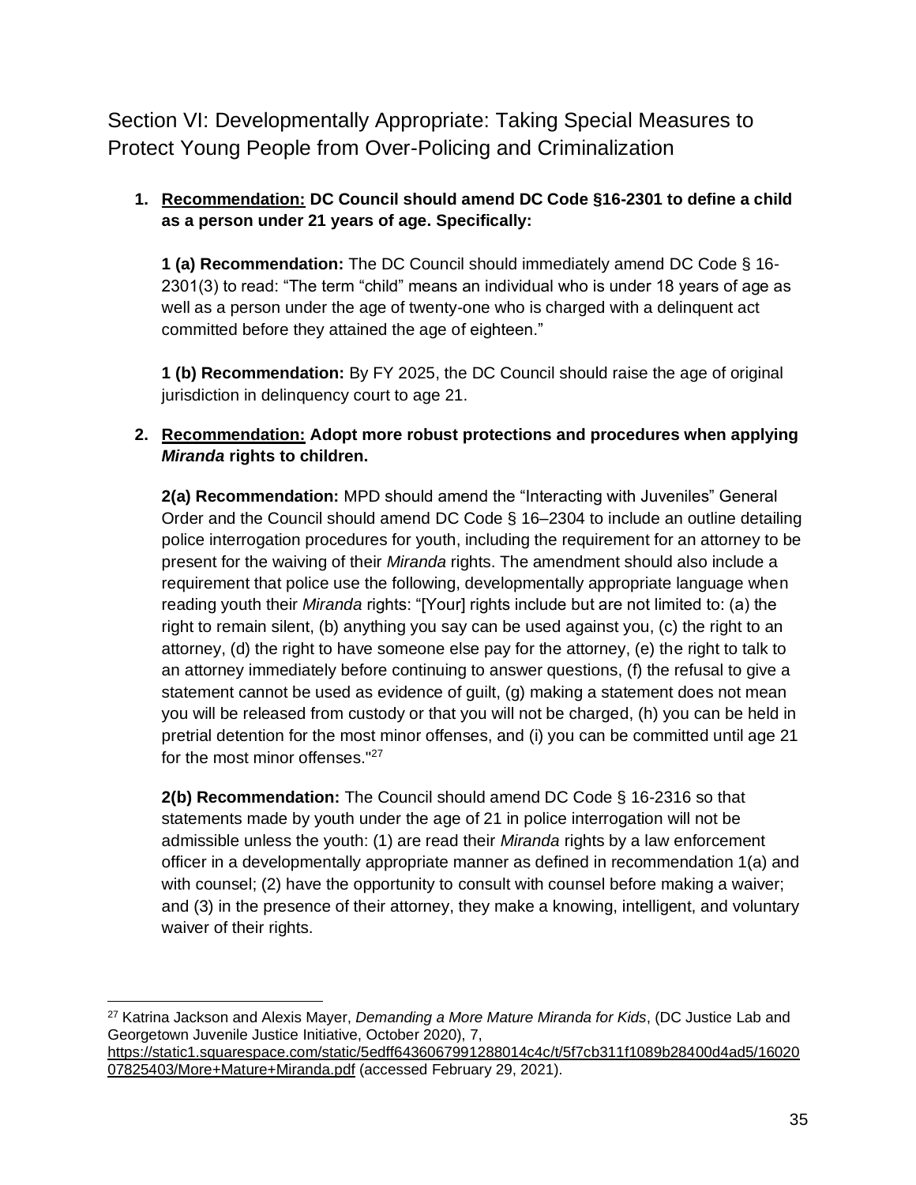<span id="page-34-0"></span>Section VI: Developmentally Appropriate: Taking Special Measures to Protect Young People from Over-Policing and Criminalization

# **1. Recommendation: DC Council should amend DC Code §16-2301 to define a child as a person under 21 years of age. Specifically:**

**1 (a) Recommendation:** The DC Council should immediately amend DC Code § 16- 2301(3) to read: "The term "child" means an individual who is under 18 years of age as well as a person under the age of twenty-one who is charged with a delinquent act committed before they attained the age of eighteen."

**1 (b) Recommendation:** By FY 2025, the DC Council should raise the age of original jurisdiction in delinquency court to age 21.

## **2. Recommendation: Adopt more robust protections and procedures when applying**  *Miranda* **rights to children.**

**2(a) Recommendation:** MPD should amend the "Interacting with Juveniles" General Order and the Council should amend DC Code § 16–2304 to include an outline detailing police interrogation procedures for youth, including the requirement for an attorney to be present for the waiving of their *Miranda* rights. The amendment should also include a requirement that police use the following, developmentally appropriate language when reading youth their *Miranda* rights: "[Your] rights include but are not limited to: (a) the right to remain silent, (b) anything you say can be used against you, (c) the right to an attorney, (d) the right to have someone else pay for the attorney, (e) the right to talk to an attorney immediately before continuing to answer questions, (f) the refusal to give a statement cannot be used as evidence of guilt, (g) making a statement does not mean you will be released from custody or that you will not be charged, (h) you can be held in pretrial detention for the most minor offenses, and (i) you can be committed until age 21 for the most minor offenses."<sup>27</sup>

**2(b) Recommendation:** The Council should amend DC Code § 16-2316 so that statements made by youth under the age of 21 in police interrogation will not be admissible unless the youth: (1) are read their *Miranda* rights by a law enforcement officer in a developmentally appropriate manner as defined in recommendation 1(a) and with counsel; (2) have the opportunity to consult with counsel before making a waiver; and (3) in the presence of their attorney, they make a knowing, intelligent, and voluntary waiver of their rights.

<sup>27</sup> Katrina Jackson and Alexis Mayer, *Demanding a More Mature Miranda for Kids*, (DC Justice Lab and Georgetown Juvenile Justice Initiative, October 2020), 7,

[https://static1.squarespace.com/static/5edff6436067991288014c4c/t/5f7cb311f1089b28400d4ad5/16020](https://static1.squarespace.com/static/5edff6436067991288014c4c/t/5f7cb311f1089b28400d4ad5/1602007825403/More+Mature+Miranda.pdf) [07825403/More+Mature+Miranda.pdf](https://static1.squarespace.com/static/5edff6436067991288014c4c/t/5f7cb311f1089b28400d4ad5/1602007825403/More+Mature+Miranda.pdf) (accessed February 29, 2021).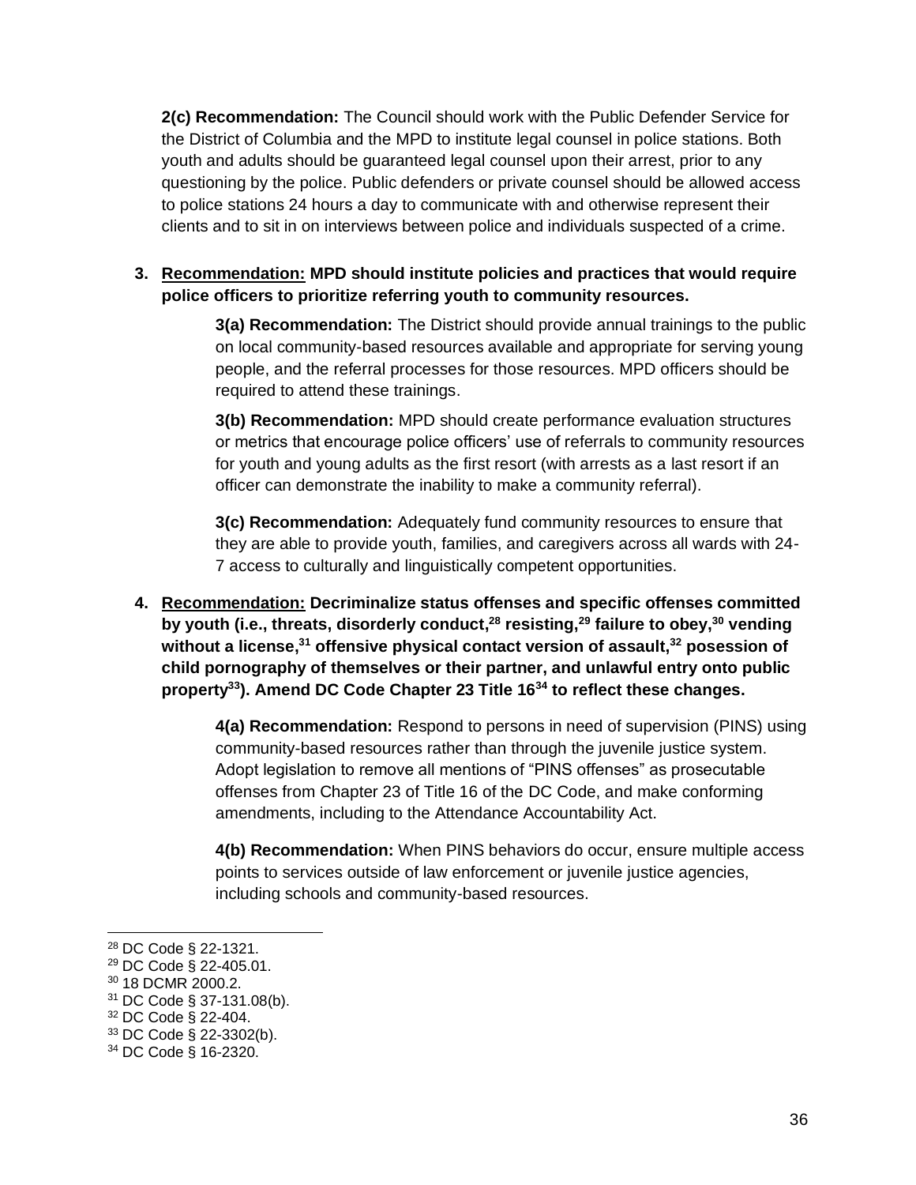**2(c) Recommendation:** The Council should work with the Public Defender Service for the District of Columbia and the MPD to institute legal counsel in police stations. Both youth and adults should be guaranteed legal counsel upon their arrest, prior to any questioning by the police. Public defenders or private counsel should be allowed access to police stations 24 hours a day to communicate with and otherwise represent their clients and to sit in on interviews between police and individuals suspected of a crime.

## **3. Recommendation: MPD should institute policies and practices that would require police officers to prioritize referring youth to community resources.**

**3(a) Recommendation:** The District should provide annual trainings to the public on local community-based resources available and appropriate for serving young people, and the referral processes for those resources. MPD officers should be required to attend these trainings.

**3(b) Recommendation:** MPD should create performance evaluation structures or metrics that encourage police officers' use of referrals to community resources for youth and young adults as the first resort (with arrests as a last resort if an officer can demonstrate the inability to make a community referral).

**3(c) Recommendation:** Adequately fund community resources to ensure that they are able to provide youth, families, and caregivers across all wards with 24- 7 access to culturally and linguistically competent opportunities.

**4. Recommendation: Decriminalize status offenses and specific offenses committed by youth (i.e., threats, disorderly conduct, <sup>28</sup> resisting,<sup>29</sup> failure to obey,<sup>30</sup> vending without a license,<sup>31</sup> offensive physical contact version of assault,<sup>32</sup> posession of child pornography of themselves or their partner, and unlawful entry onto public property<sup>33</sup>). Amend DC Code Chapter 23 Title 16<sup>34</sup> to reflect these changes.**

> **4(a) Recommendation:** Respond to persons in need of supervision (PINS) using community-based resources rather than through the juvenile justice system. Adopt legislation to remove all mentions of "PINS offenses" as prosecutable offenses from Chapter 23 of Title 16 of the DC Code, and make conforming amendments, including to the Attendance Accountability Act.

> **4(b) Recommendation:** When PINS behaviors do occur, ensure multiple access points to services outside of law enforcement or juvenile justice agencies, including schools and community-based resources.

<sup>28</sup> DC Code § 22-1321.

<sup>29</sup> DC Code § 22-405.01.

<sup>30</sup> 18 DCMR 2000.2.

<sup>31</sup> DC Code § 37-131.08(b).

<sup>32</sup> DC Code § 22-404.

<sup>33</sup> DC Code § 22-3302(b).

<sup>34</sup> DC Code § 16-2320.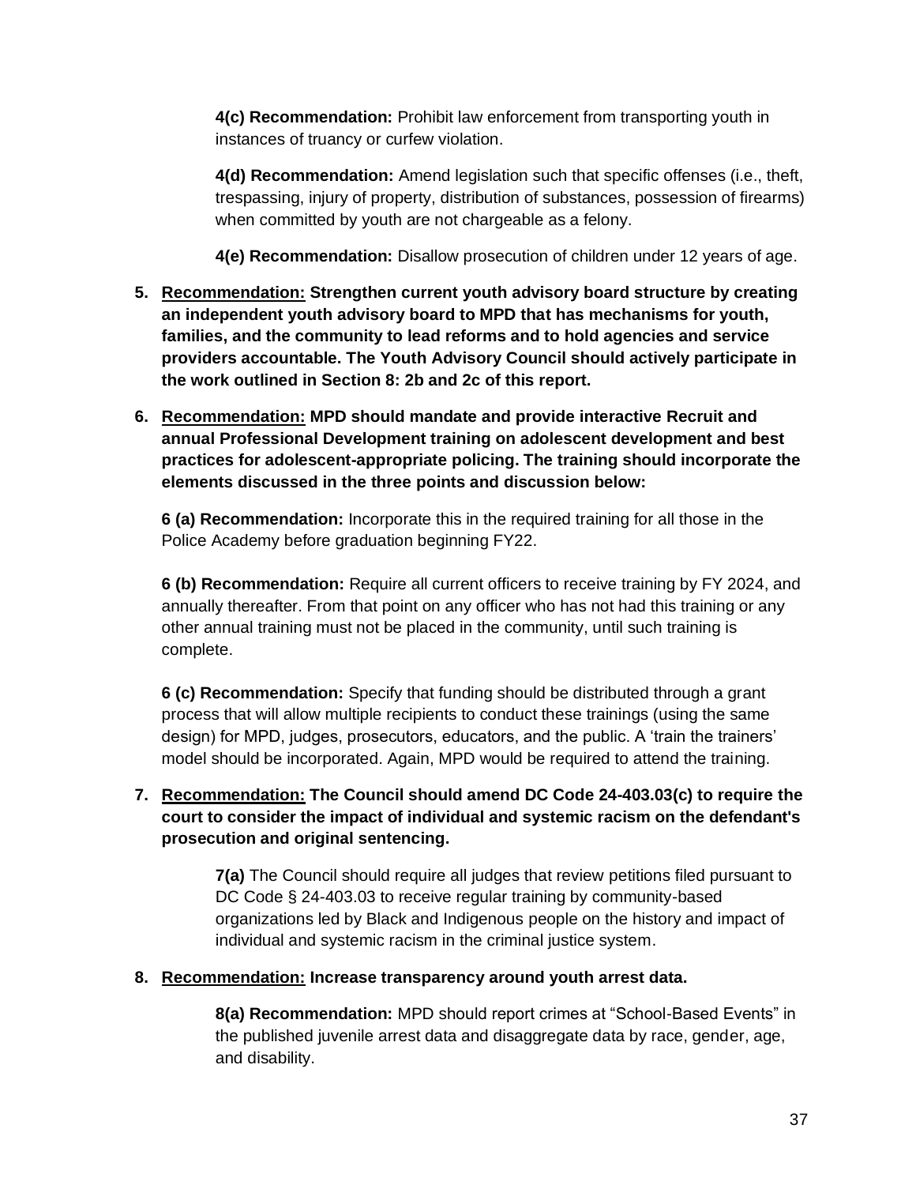**4(c) Recommendation:** Prohibit law enforcement from transporting youth in instances of truancy or curfew violation.

**4(d) Recommendation:** Amend legislation such that specific offenses (i.e., theft, trespassing, injury of property, distribution of substances, possession of firearms) when committed by youth are not chargeable as a felony.

**4(e) Recommendation:** Disallow prosecution of children under 12 years of age.

- **5. Recommendation: Strengthen current youth advisory board structure by creating an independent youth advisory board to MPD that has mechanisms for youth, families, and the community to lead reforms and to hold agencies and service providers accountable. The Youth Advisory Council should actively participate in the work outlined in Section 8: 2b and 2c of this report.**
- **6. Recommendation: MPD should mandate and provide interactive Recruit and annual Professional Development training on adolescent development and best practices for adolescent-appropriate policing. The training should incorporate the elements discussed in the three points and discussion below:**

**6 (a) Recommendation:** Incorporate this in the required training for all those in the Police Academy before graduation beginning FY22.

**6 (b) Recommendation:** Require all current officers to receive training by FY 2024, and annually thereafter. From that point on any officer who has not had this training or any other annual training must not be placed in the community, until such training is complete.

**6 (c) Recommendation:** Specify that funding should be distributed through a grant process that will allow multiple recipients to conduct these trainings (using the same design) for MPD, judges, prosecutors, educators, and the public. A 'train the trainers' model should be incorporated. Again, MPD would be required to attend the training.

# **7. Recommendation: The Council should amend DC Code 24-403.03(c) to require the court to consider the impact of individual and systemic racism on the defendant's prosecution and original sentencing.**

**7(a)** The Council should require all judges that review petitions filed pursuant to DC Code § 24-403.03 to receive regular training by community-based organizations led by Black and Indigenous people on the history and impact of individual and systemic racism in the criminal justice system.

## **8. Recommendation: Increase transparency around youth arrest data.**

**8(a) Recommendation:** MPD should report crimes at "School-Based Events" in the published juvenile arrest data and disaggregate data by race, gender, age, and disability.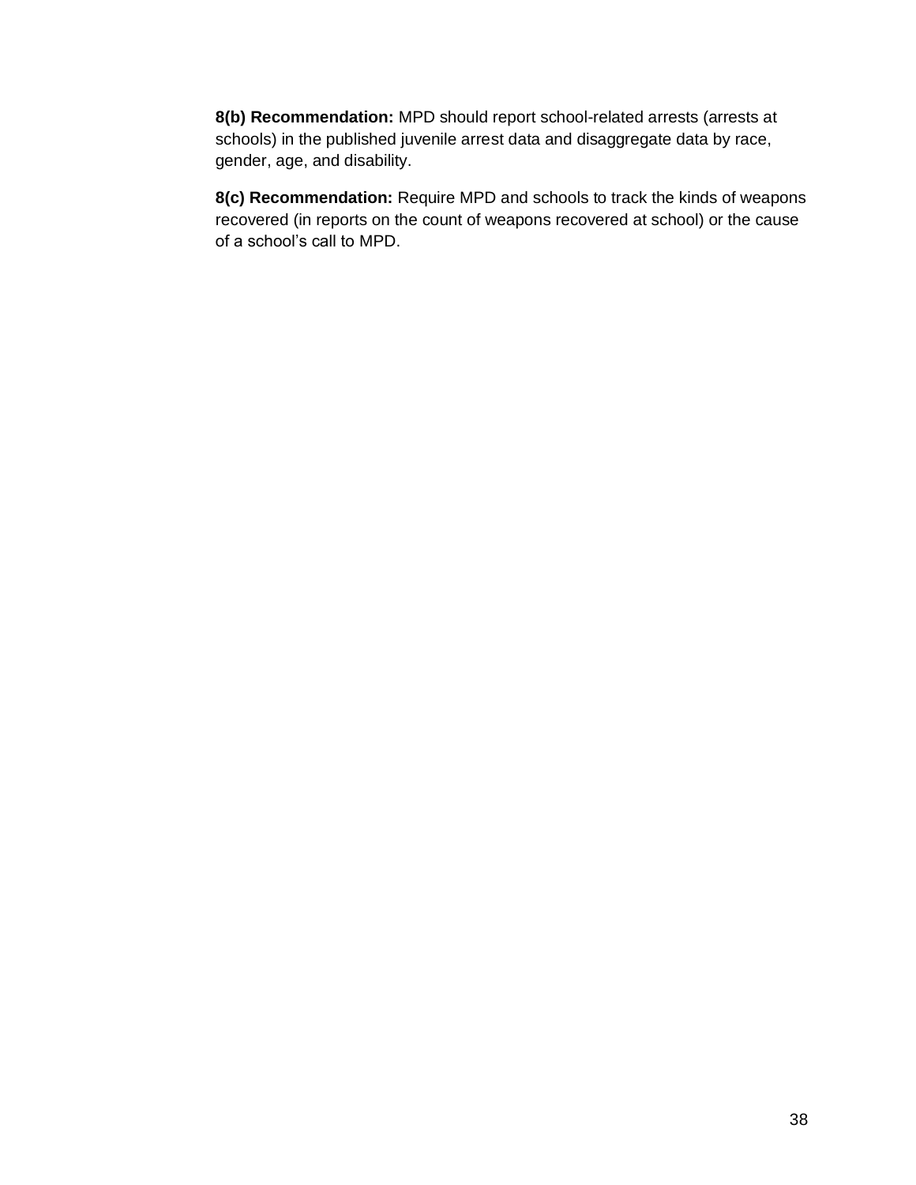**8(b) Recommendation:** MPD should report school-related arrests (arrests at schools) in the published juvenile arrest data and disaggregate data by race, gender, age, and disability.

**8(c) Recommendation:** Require MPD and schools to track the kinds of weapons recovered (in reports on the count of weapons recovered at school) or the cause of a school's call to MPD.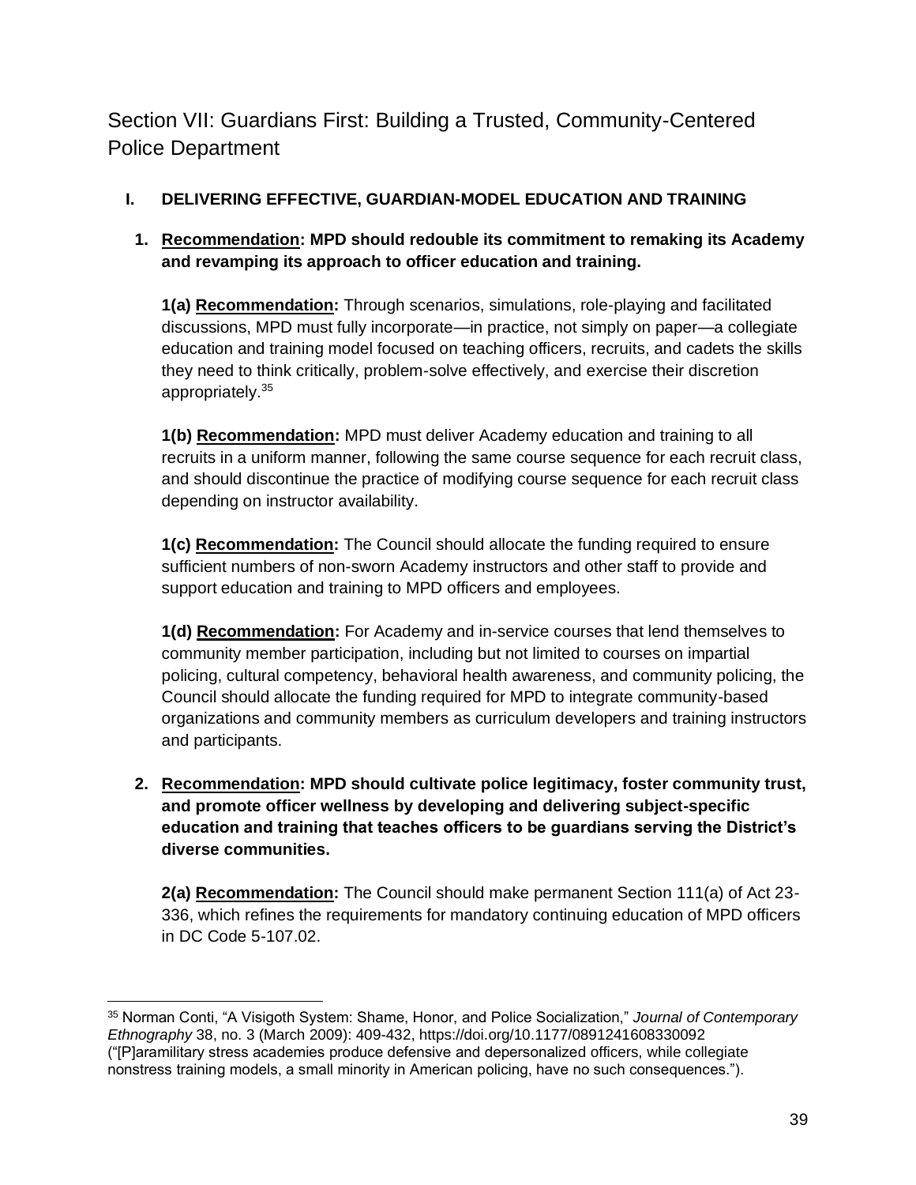<span id="page-38-0"></span>Section VII: Guardians First: Building a Trusted, Community-Centered Police Department

# **I. DELIVERING EFFECTIVE, GUARDIAN-MODEL EDUCATION AND TRAINING**

# **1. Recommendation: MPD should redouble its commitment to remaking its Academy and revamping its approach to officer education and training.**

**1(a) Recommendation:** Through scenarios, simulations, role-playing and facilitated discussions, MPD must fully incorporate—in practice, not simply on paper—a collegiate education and training model focused on teaching officers, recruits, and cadets the skills they need to think critically, problem-solve effectively, and exercise their discretion appropriately.<sup>35</sup>

**1(b) Recommendation:** MPD must deliver Academy education and training to all recruits in a uniform manner, following the same course sequence for each recruit class, and should discontinue the practice of modifying course sequence for each recruit class depending on instructor availability.

**1(c) Recommendation:** The Council should allocate the funding required to ensure sufficient numbers of non-sworn Academy instructors and other staff to provide and support education and training to MPD officers and employees.

**1(d) Recommendation:** For Academy and in-service courses that lend themselves to community member participation, including but not limited to courses on impartial policing, cultural competency, behavioral health awareness, and community policing, the Council should allocate the funding required for MPD to integrate community-based organizations and community members as curriculum developers and training instructors and participants.

**2. Recommendation: MPD should cultivate police legitimacy, foster community trust, and promote officer wellness by developing and delivering subject-specific education and training that teaches officers to be guardians serving the District's diverse communities.** 

**2(a) Recommendation:** The Council should make permanent Section 111(a) of Act 23- 336, which refines the requirements for mandatory continuing education of MPD officers in DC Code 5-107.02.

<sup>35</sup> Norman Conti, "A Visigoth System: Shame, Honor, and Police Socialization," *Journal of Contemporary Ethnography* 38, no. 3 (March 2009): 409-432, https://doi.org/10.1177/0891241608330092 ("[P]aramilitary stress academies produce defensive and depersonalized officers, while collegiate nonstress training models, a small minority in American policing, have no such consequences.").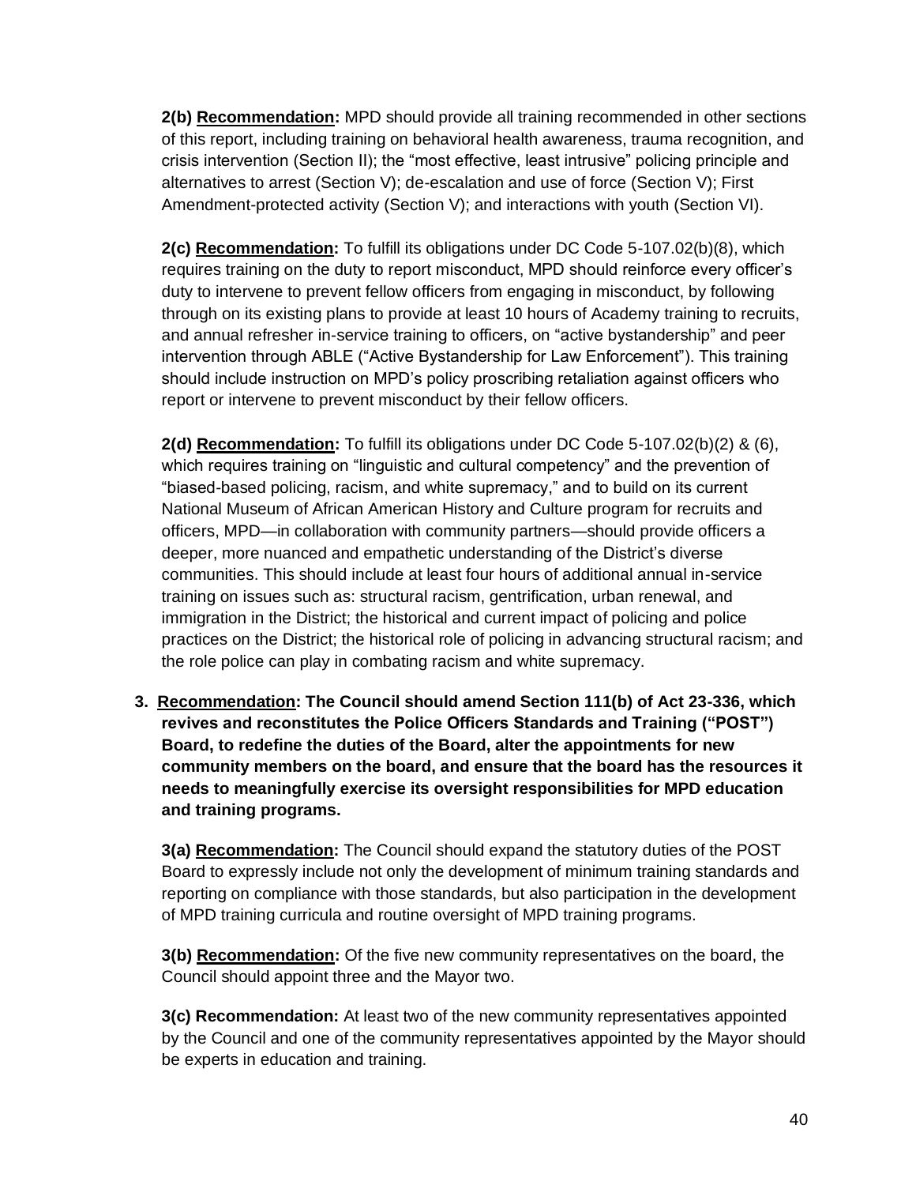**2(b) Recommendation:** MPD should provide all training recommended in other sections of this report, including training on behavioral health awareness, trauma recognition, and crisis intervention (Section II); the "most effective, least intrusive" policing principle and alternatives to arrest (Section V); de-escalation and use of force (Section V); First Amendment-protected activity (Section V); and interactions with youth (Section VI).

**2(c) Recommendation:** To fulfill its obligations under DC Code 5-107.02(b)(8), which requires training on the duty to report misconduct, MPD should reinforce every officer's duty to intervene to prevent fellow officers from engaging in misconduct, by following through on its existing plans to provide at least 10 hours of Academy training to recruits, and annual refresher in-service training to officers, on "active bystandership" and peer intervention through ABLE ("Active Bystandership for Law Enforcement"). This training should include instruction on MPD's policy proscribing retaliation against officers who report or intervene to prevent misconduct by their fellow officers.

**2(d) Recommendation:** To fulfill its obligations under DC Code 5-107.02(b)(2) & (6), which requires training on "linguistic and cultural competency" and the prevention of "biased-based policing, racism, and white supremacy," and to build on its current National Museum of African American History and Culture program for recruits and officers, MPD—in collaboration with community partners—should provide officers a deeper, more nuanced and empathetic understanding of the District's diverse communities. This should include at least four hours of additional annual in-service training on issues such as: structural racism, gentrification, urban renewal, and immigration in the District; the historical and current impact of policing and police practices on the District; the historical role of policing in advancing structural racism; and the role police can play in combating racism and white supremacy.

**3. Recommendation: The Council should amend Section 111(b) of Act 23-336, which revives and reconstitutes the Police Officers Standards and Training ("POST") Board, to redefine the duties of the Board, alter the appointments for new community members on the board, and ensure that the board has the resources it needs to meaningfully exercise its oversight responsibilities for MPD education and training programs.** 

**3(a) Recommendation:** The Council should expand the statutory duties of the POST Board to expressly include not only the development of minimum training standards and reporting on compliance with those standards, but also participation in the development of MPD training curricula and routine oversight of MPD training programs.

**3(b) Recommendation:** Of the five new community representatives on the board, the Council should appoint three and the Mayor two.

**3(c) Recommendation:** At least two of the new community representatives appointed by the Council and one of the community representatives appointed by the Mayor should be experts in education and training.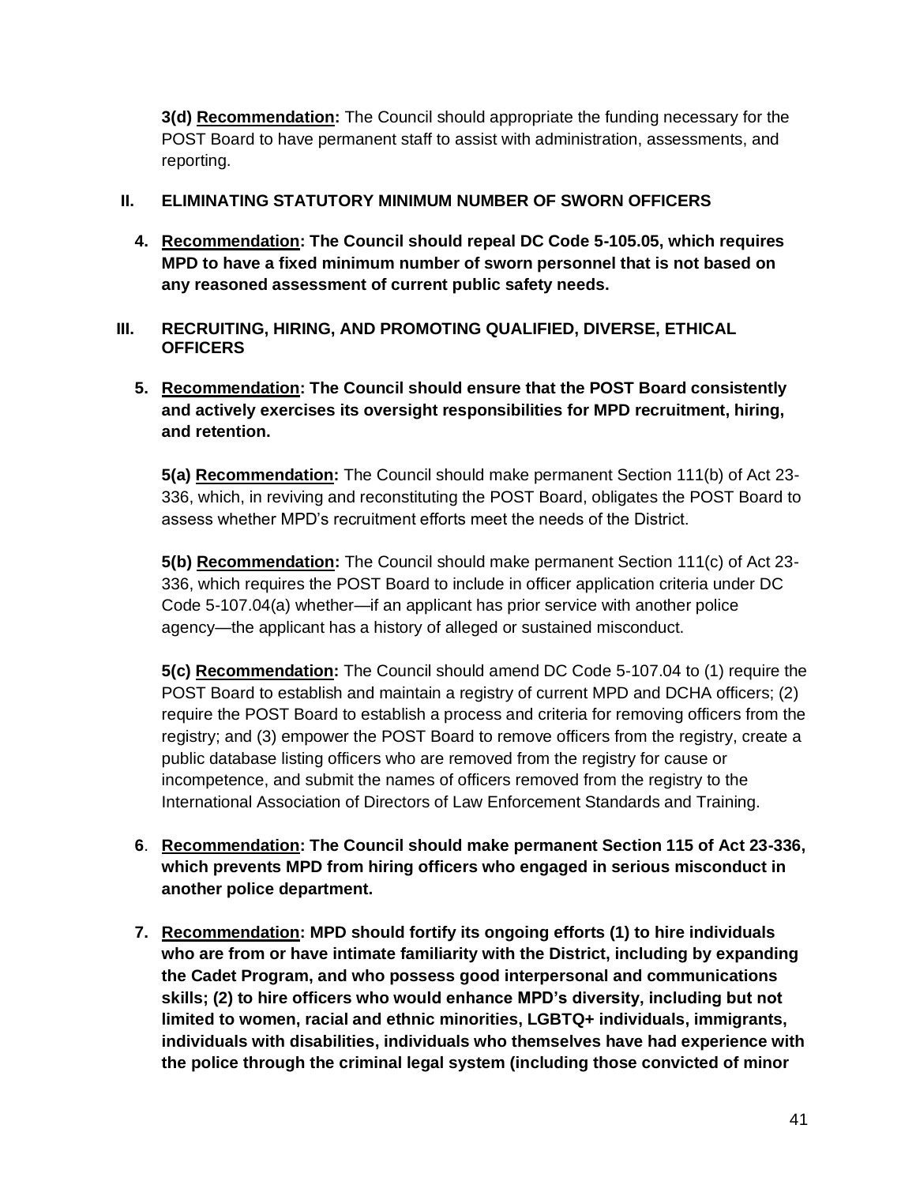**3(d) Recommendation:** The Council should appropriate the funding necessary for the POST Board to have permanent staff to assist with administration, assessments, and reporting.

## **II. ELIMINATING STATUTORY MINIMUM NUMBER OF SWORN OFFICERS**

- **4. Recommendation: The Council should repeal DC Code 5-105.05, which requires MPD to have a fixed minimum number of sworn personnel that is not based on any reasoned assessment of current public safety needs.**
- **III. RECRUITING, HIRING, AND PROMOTING QUALIFIED, DIVERSE, ETHICAL OFFICERS**
	- **5. Recommendation: The Council should ensure that the POST Board consistently and actively exercises its oversight responsibilities for MPD recruitment, hiring, and retention.**

**5(a) Recommendation:** The Council should make permanent Section 111(b) of Act 23- 336, which, in reviving and reconstituting the POST Board, obligates the POST Board to assess whether MPD's recruitment efforts meet the needs of the District.

**5(b) Recommendation:** The Council should make permanent Section 111(c) of Act 23- 336, which requires the POST Board to include in officer application criteria under DC Code 5-107.04(a) whether—if an applicant has prior service with another police agency—the applicant has a history of alleged or sustained misconduct.

**5(c) Recommendation:** The Council should amend DC Code 5-107.04 to (1) require the POST Board to establish and maintain a registry of current MPD and DCHA officers; (2) require the POST Board to establish a process and criteria for removing officers from the registry; and (3) empower the POST Board to remove officers from the registry, create a public database listing officers who are removed from the registry for cause or incompetence, and submit the names of officers removed from the registry to the International Association of Directors of Law Enforcement Standards and Training.

- **6**. **Recommendation: The Council should make permanent Section 115 of Act 23-336, which prevents MPD from hiring officers who engaged in serious misconduct in another police department.**
- **7. Recommendation: MPD should fortify its ongoing efforts (1) to hire individuals who are from or have intimate familiarity with the District, including by expanding the Cadet Program, and who possess good interpersonal and communications skills; (2) to hire officers who would enhance MPD's diversity, including but not limited to women, racial and ethnic minorities, LGBTQ+ individuals, immigrants, individuals with disabilities, individuals who themselves have had experience with the police through the criminal legal system (including those convicted of minor**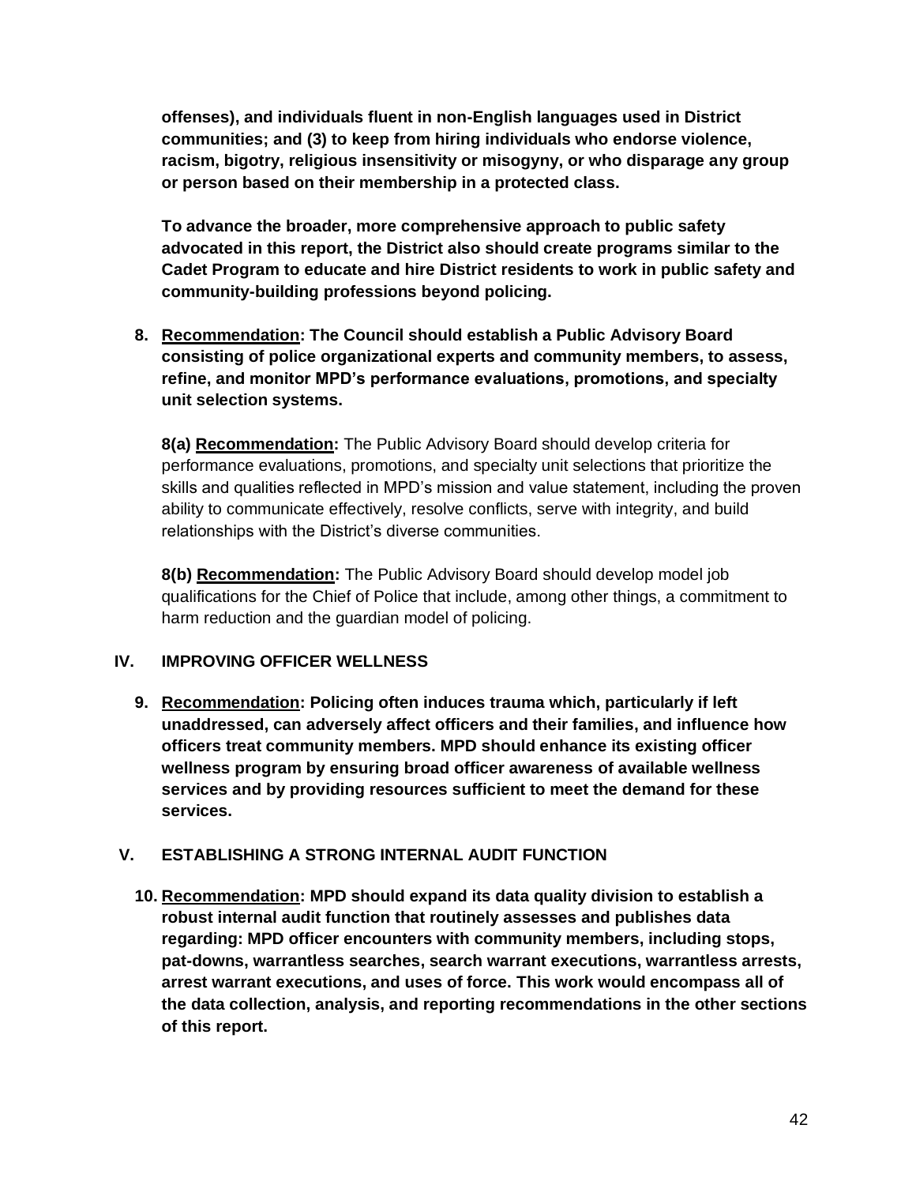**offenses), and individuals fluent in non-English languages used in District communities; and (3) to keep from hiring individuals who endorse violence, racism, bigotry, religious insensitivity or misogyny, or who disparage any group or person based on their membership in a protected class.** 

**To advance the broader, more comprehensive approach to public safety advocated in this report, the District also should create programs similar to the Cadet Program to educate and hire District residents to work in public safety and community-building professions beyond policing.**

**8. Recommendation: The Council should establish a Public Advisory Board consisting of police organizational experts and community members, to assess, refine, and monitor MPD's performance evaluations, promotions, and specialty unit selection systems.**

**8(a) Recommendation:** The Public Advisory Board should develop criteria for performance evaluations, promotions, and specialty unit selections that prioritize the skills and qualities reflected in MPD's mission and value statement, including the proven ability to communicate effectively, resolve conflicts, serve with integrity, and build relationships with the District's diverse communities.

**8(b) Recommendation:** The Public Advisory Board should develop model job qualifications for the Chief of Police that include, among other things, a commitment to harm reduction and the guardian model of policing.

## **IV. IMPROVING OFFICER WELLNESS**

**9. Recommendation: Policing often induces trauma which, particularly if left unaddressed, can adversely affect officers and their families, and influence how officers treat community members. MPD should enhance its existing officer wellness program by ensuring broad officer awareness of available wellness services and by providing resources sufficient to meet the demand for these services.**

## **V. ESTABLISHING A STRONG INTERNAL AUDIT FUNCTION**

**10. Recommendation: MPD should expand its data quality division to establish a robust internal audit function that routinely assesses and publishes data regarding: MPD officer encounters with community members, including stops, pat-downs, warrantless searches, search warrant executions, warrantless arrests, arrest warrant executions, and uses of force. This work would encompass all of the data collection, analysis, and reporting recommendations in the other sections of this report.**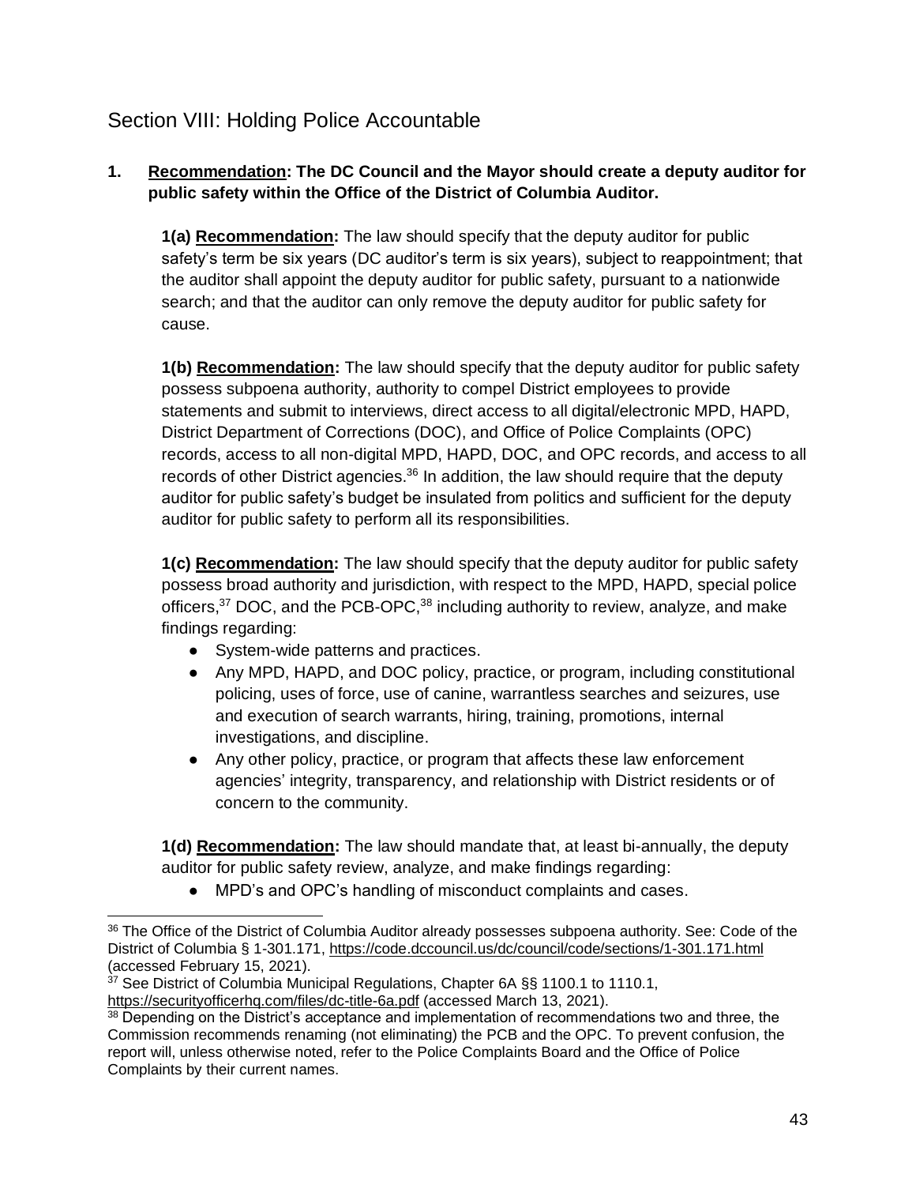# <span id="page-42-0"></span>Section VIII: Holding Police Accountable

# **1. Recommendation: The DC Council and the Mayor should create a deputy auditor for public safety within the Office of the District of Columbia Auditor.**

**1(a) Recommendation:** The law should specify that the deputy auditor for public safety's term be six years (DC auditor's term is six years), subject to reappointment; that the auditor shall appoint the deputy auditor for public safety, pursuant to a nationwide search; and that the auditor can only remove the deputy auditor for public safety for cause.

**1(b) Recommendation:** The law should specify that the deputy auditor for public safety possess subpoena authority, authority to compel District employees to provide statements and submit to interviews, direct access to all digital/electronic MPD, HAPD, District Department of Corrections (DOC), and Office of Police Complaints (OPC) records, access to all non-digital MPD, HAPD, DOC, and OPC records, and access to all records of other District agencies.<sup>36</sup> In addition, the law should require that the deputy auditor for public safety's budget be insulated from politics and sufficient for the deputy auditor for public safety to perform all its responsibilities.

**1(c) Recommendation:** The law should specify that the deputy auditor for public safety possess broad authority and jurisdiction, with respect to the MPD, HAPD, special police officers, $37$  DOC, and the PCB-OPC, $38$  including authority to review, analyze, and make findings regarding:

- System-wide patterns and practices.
- Any MPD, HAPD, and DOC policy, practice, or program, including constitutional policing, uses of force, use of canine, warrantless searches and seizures, use and execution of search warrants, hiring, training, promotions, internal investigations, and discipline.
- Any other policy, practice, or program that affects these law enforcement agencies' integrity, transparency, and relationship with District residents or of concern to the community.

**1(d) Recommendation:** The law should mandate that, at least bi-annually, the deputy auditor for public safety review, analyze, and make findings regarding:

● MPD's and OPC's handling of misconduct complaints and cases.

<sup>&</sup>lt;sup>36</sup> The Office of the District of Columbia Auditor already possesses subpoena authority. See: Code of the District of Columbia § 1-301.171,<https://code.dccouncil.us/dc/council/code/sections/1-301.171.html> (accessed February 15, 2021).

 $37$  See District of Columbia Municipal Regulations, Chapter 6A §§ 1100.1 to 1110.1, <https://securityofficerhq.com/files/dc-title-6a.pdf> (accessed March 13, 2021).

<sup>&</sup>lt;sup>38</sup> Depending on the District's acceptance and implementation of recommendations two and three, the Commission recommends renaming (not eliminating) the PCB and the OPC. To prevent confusion, the report will, unless otherwise noted, refer to the Police Complaints Board and the Office of Police Complaints by their current names.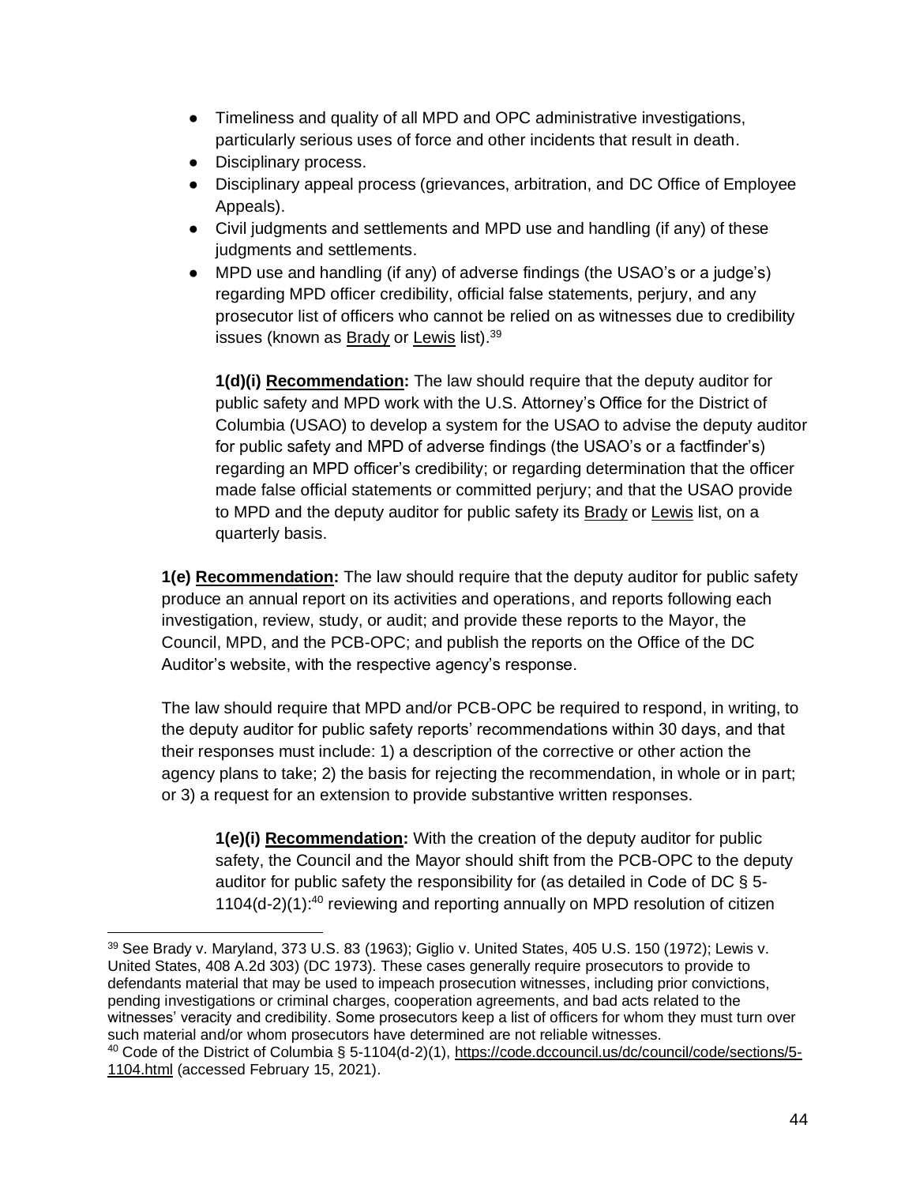- Timeliness and quality of all MPD and OPC administrative investigations, particularly serious uses of force and other incidents that result in death.
- Disciplinary process.
- Disciplinary appeal process (grievances, arbitration, and DC Office of Employee Appeals).
- Civil judgments and settlements and MPD use and handling (if any) of these judgments and settlements.
- MPD use and handling (if any) of adverse findings (the USAO's or a judge's) regarding MPD officer credibility, official false statements, perjury, and any prosecutor list of officers who cannot be relied on as witnesses due to credibility issues (known as <u>Brady</u> or <u>Lewis</u> list).<sup>39</sup>

**1(d)(i) Recommendation:** The law should require that the deputy auditor for public safety and MPD work with the U.S. Attorney's Office for the District of Columbia (USAO) to develop a system for the USAO to advise the deputy auditor for public safety and MPD of adverse findings (the USAO's or a factfinder's) regarding an MPD officer's credibility; or regarding determination that the officer made false official statements or committed perjury; and that the USAO provide to MPD and the deputy auditor for public safety its Brady or Lewis list, on a quarterly basis.

**1(e) Recommendation:** The law should require that the deputy auditor for public safety produce an annual report on its activities and operations, and reports following each investigation, review, study, or audit; and provide these reports to the Mayor, the Council, MPD, and the PCB-OPC; and publish the reports on the Office of the DC Auditor's website, with the respective agency's response.

The law should require that MPD and/or PCB-OPC be required to respond, in writing, to the deputy auditor for public safety reports' recommendations within 30 days, and that their responses must include: 1) a description of the corrective or other action the agency plans to take; 2) the basis for rejecting the recommendation, in whole or in part; or 3) a request for an extension to provide substantive written responses.

**1(e)(i) Recommendation:** With the creation of the deputy auditor for public safety, the Council and the Mayor should shift from the PCB-OPC to the deputy auditor for public safety the responsibility for (as detailed in Code of DC § 5-  $1104(d-2)(1)$ :<sup>40</sup> reviewing and reporting annually on MPD resolution of citizen

<sup>39</sup> See Brady v. Maryland, 373 U.S. 83 (1963); Giglio v. United States, 405 U.S. 150 (1972); Lewis v. United States, 408 A.2d 303) (DC 1973). These cases generally require prosecutors to provide to defendants material that may be used to impeach prosecution witnesses, including prior convictions, pending investigations or criminal charges, cooperation agreements, and bad acts related to the witnesses' veracity and credibility. Some prosecutors keep a list of officers for whom they must turn over such material and/or whom prosecutors have determined are not reliable witnesses. <sup>40</sup> Code of the District of Columbia § 5-1104(d-2)(1), [https://code.dccouncil.us/dc/council/code/sections/5-](https://code.dccouncil.us/dc/council/code/sections/5-1104.html) [1104.html](https://code.dccouncil.us/dc/council/code/sections/5-1104.html) (accessed February 15, 2021).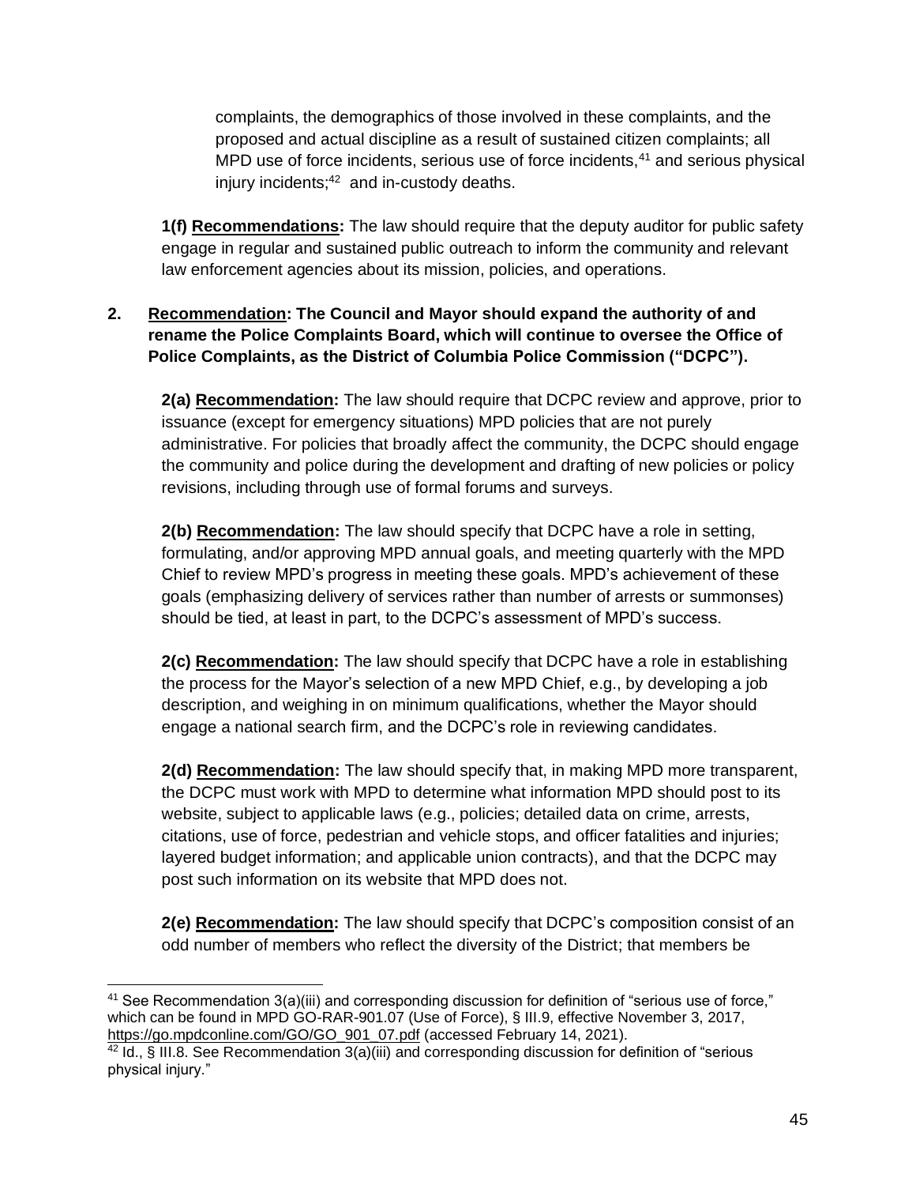complaints, the demographics of those involved in these complaints, and the proposed and actual discipline as a result of sustained citizen complaints; all MPD use of force incidents, serious use of force incidents, $41$  and serious physical injury incidents;<sup>42</sup> and in-custody deaths.

**1(f) Recommendations:** The law should require that the deputy auditor for public safety engage in regular and sustained public outreach to inform the community and relevant law enforcement agencies about its mission, policies, and operations.

# **2. Recommendation: The Council and Mayor should expand the authority of and rename the Police Complaints Board, which will continue to oversee the Office of Police Complaints, as the District of Columbia Police Commission ("DCPC").**

**2(a) Recommendation:** The law should require that DCPC review and approve, prior to issuance (except for emergency situations) MPD policies that are not purely administrative. For policies that broadly affect the community, the DCPC should engage the community and police during the development and drafting of new policies or policy revisions, including through use of formal forums and surveys.

**2(b) Recommendation:** The law should specify that DCPC have a role in setting, formulating, and/or approving MPD annual goals, and meeting quarterly with the MPD Chief to review MPD's progress in meeting these goals. MPD's achievement of these goals (emphasizing delivery of services rather than number of arrests or summonses) should be tied, at least in part, to the DCPC's assessment of MPD's success.

**2(c) Recommendation:** The law should specify that DCPC have a role in establishing the process for the Mayor's selection of a new MPD Chief, e.g., by developing a job description, and weighing in on minimum qualifications, whether the Mayor should engage a national search firm, and the DCPC's role in reviewing candidates.

**2(d) Recommendation:** The law should specify that, in making MPD more transparent, the DCPC must work with MPD to determine what information MPD should post to its website, subject to applicable laws (e.g., policies; detailed data on crime, arrests, citations, use of force, pedestrian and vehicle stops, and officer fatalities and injuries; layered budget information; and applicable union contracts), and that the DCPC may post such information on its website that MPD does not.

**2(e) Recommendation:** The law should specify that DCPC's composition consist of an odd number of members who reflect the diversity of the District; that members be

<sup>&</sup>lt;sup>41</sup> See Recommendation  $3(a)$ (iii) and corresponding discussion for definition of "serious use of force," which can be found in MPD GO-RAR-901.07 (Use of Force), § III.9, effective November 3, 2017, [https://go.mpdconline.com/GO/GO\\_901\\_07.pdf](https://go.mpdconline.com/GO/GO_901_07.pdf) (accessed February 14, 2021).

<sup>&</sup>lt;sup>42</sup> Id., § III.8. See Recommendation  $3(a)$ (iii) and corresponding discussion for definition of "serious physical injury."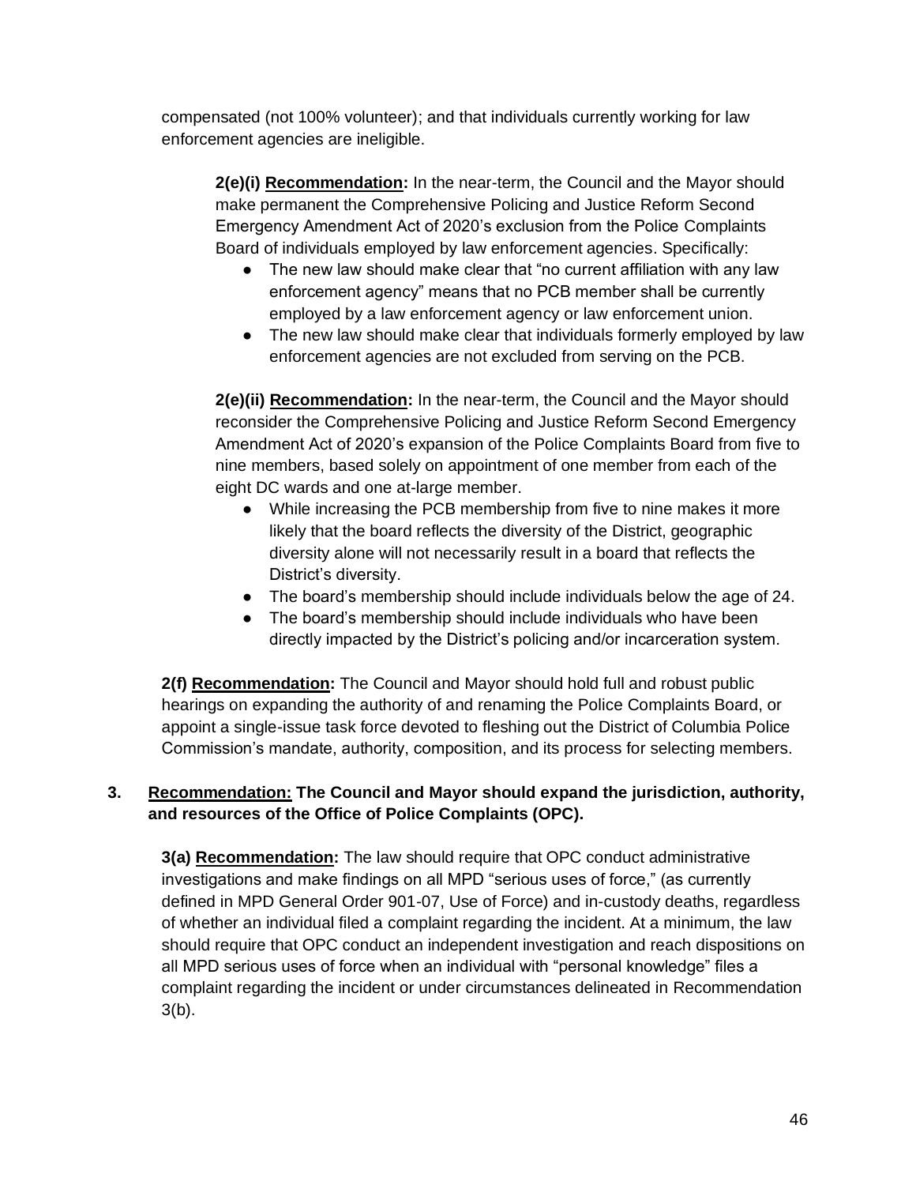compensated (not 100% volunteer); and that individuals currently working for law enforcement agencies are ineligible.

**2(e)(i) Recommendation:** In the near-term, the Council and the Mayor should make permanent the Comprehensive Policing and Justice Reform Second Emergency Amendment Act of 2020's exclusion from the Police Complaints Board of individuals employed by law enforcement agencies. Specifically:

- The new law should make clear that "no current affiliation with any law enforcement agency" means that no PCB member shall be currently employed by a law enforcement agency or law enforcement union.
- The new law should make clear that individuals formerly employed by law enforcement agencies are not excluded from serving on the PCB.

**2(e)(ii) Recommendation:** In the near-term, the Council and the Mayor should reconsider the Comprehensive Policing and Justice Reform Second Emergency Amendment Act of 2020's expansion of the Police Complaints Board from five to nine members, based solely on appointment of one member from each of the eight DC wards and one at-large member.

- While increasing the PCB membership from five to nine makes it more likely that the board reflects the diversity of the District, geographic diversity alone will not necessarily result in a board that reflects the District's diversity.
- The board's membership should include individuals below the age of 24.
- The board's membership should include individuals who have been directly impacted by the District's policing and/or incarceration system.

**2(f) Recommendation:** The Council and Mayor should hold full and robust public hearings on expanding the authority of and renaming the Police Complaints Board, or appoint a single-issue task force devoted to fleshing out the District of Columbia Police Commission's mandate, authority, composition, and its process for selecting members.

# **3. Recommendation: The Council and Mayor should expand the jurisdiction, authority, and resources of the Office of Police Complaints (OPC).**

**3(a) Recommendation:** The law should require that OPC conduct administrative investigations and make findings on all MPD "serious uses of force," (as currently defined in MPD General Order 901-07, Use of Force) and in-custody deaths, regardless of whether an individual filed a complaint regarding the incident. At a minimum, the law should require that OPC conduct an independent investigation and reach dispositions on all MPD serious uses of force when an individual with "personal knowledge" files a complaint regarding the incident or under circumstances delineated in Recommendation 3(b).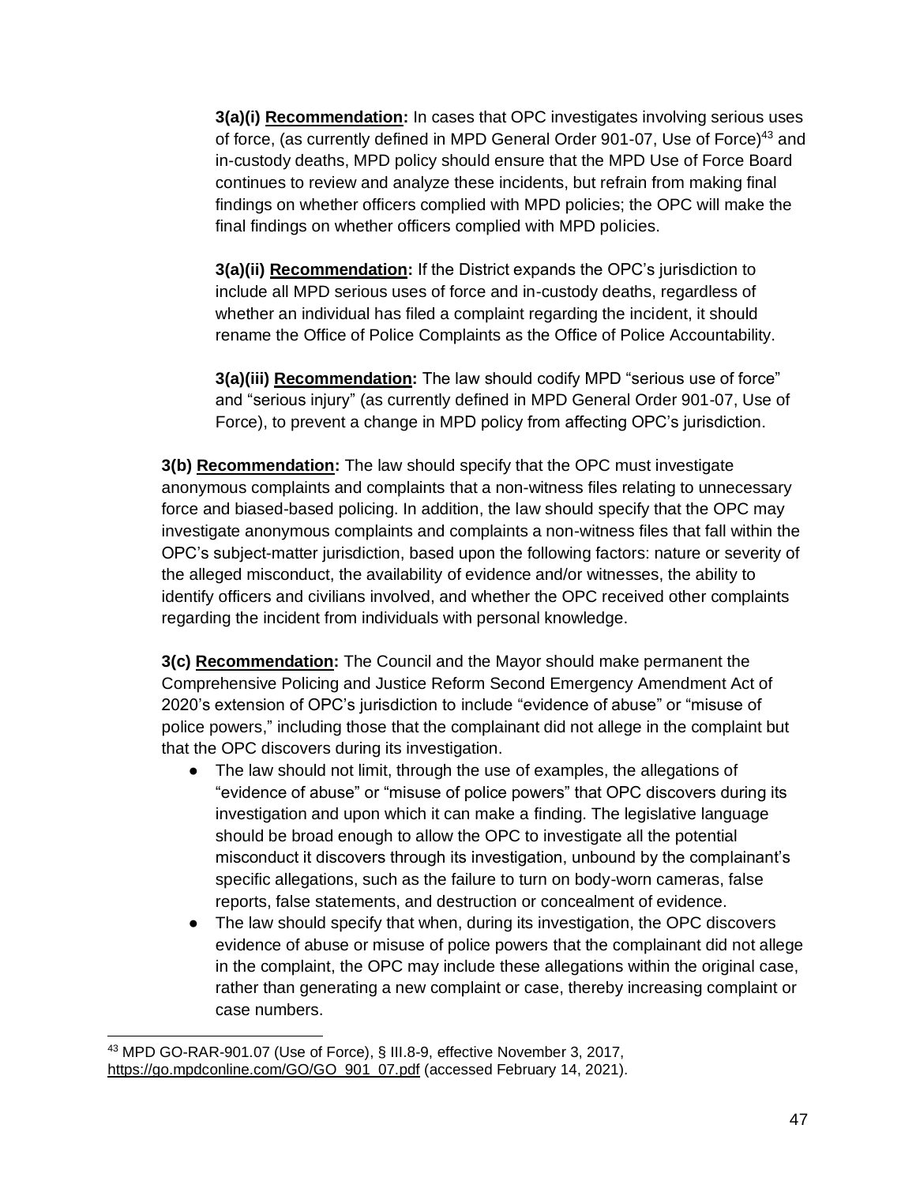**3(a)(i) Recommendation:** In cases that OPC investigates involving serious uses of force, (as currently defined in MPD General Order 901-07, Use of Force)<sup>43</sup> and in-custody deaths, MPD policy should ensure that the MPD Use of Force Board continues to review and analyze these incidents, but refrain from making final findings on whether officers complied with MPD policies; the OPC will make the final findings on whether officers complied with MPD policies.

**3(a)(ii) Recommendation:** If the District expands the OPC's jurisdiction to include all MPD serious uses of force and in-custody deaths, regardless of whether an individual has filed a complaint regarding the incident, it should rename the Office of Police Complaints as the Office of Police Accountability.

**3(a)(iii) Recommendation:** The law should codify MPD "serious use of force" and "serious injury" (as currently defined in MPD General Order 901-07, Use of Force), to prevent a change in MPD policy from affecting OPC's jurisdiction.

**3(b) Recommendation:** The law should specify that the OPC must investigate anonymous complaints and complaints that a non-witness files relating to unnecessary force and biased-based policing. In addition, the law should specify that the OPC may investigate anonymous complaints and complaints a non-witness files that fall within the OPC's subject-matter jurisdiction, based upon the following factors: nature or severity of the alleged misconduct, the availability of evidence and/or witnesses, the ability to identify officers and civilians involved, and whether the OPC received other complaints regarding the incident from individuals with personal knowledge.

**3(c) Recommendation:** The Council and the Mayor should make permanent the Comprehensive Policing and Justice Reform Second Emergency Amendment Act of 2020's extension of OPC's jurisdiction to include "evidence of abuse" or "misuse of police powers," including those that the complainant did not allege in the complaint but that the OPC discovers during its investigation.

- The law should not limit, through the use of examples, the allegations of "evidence of abuse" or "misuse of police powers" that OPC discovers during its investigation and upon which it can make a finding. The legislative language should be broad enough to allow the OPC to investigate all the potential misconduct it discovers through its investigation, unbound by the complainant's specific allegations, such as the failure to turn on body-worn cameras, false reports, false statements, and destruction or concealment of evidence.
- The law should specify that when, during its investigation, the OPC discovers evidence of abuse or misuse of police powers that the complainant did not allege in the complaint, the OPC may include these allegations within the original case, rather than generating a new complaint or case, thereby increasing complaint or case numbers.

<sup>43</sup> MPD GO-RAR-901.07 (Use of Force), § III.8-9, effective November 3, 2017, [https://go.mpdconline.com/GO/GO\\_901\\_07.pdf](https://go.mpdconline.com/GO/GO_901_07.pdf) (accessed February 14, 2021).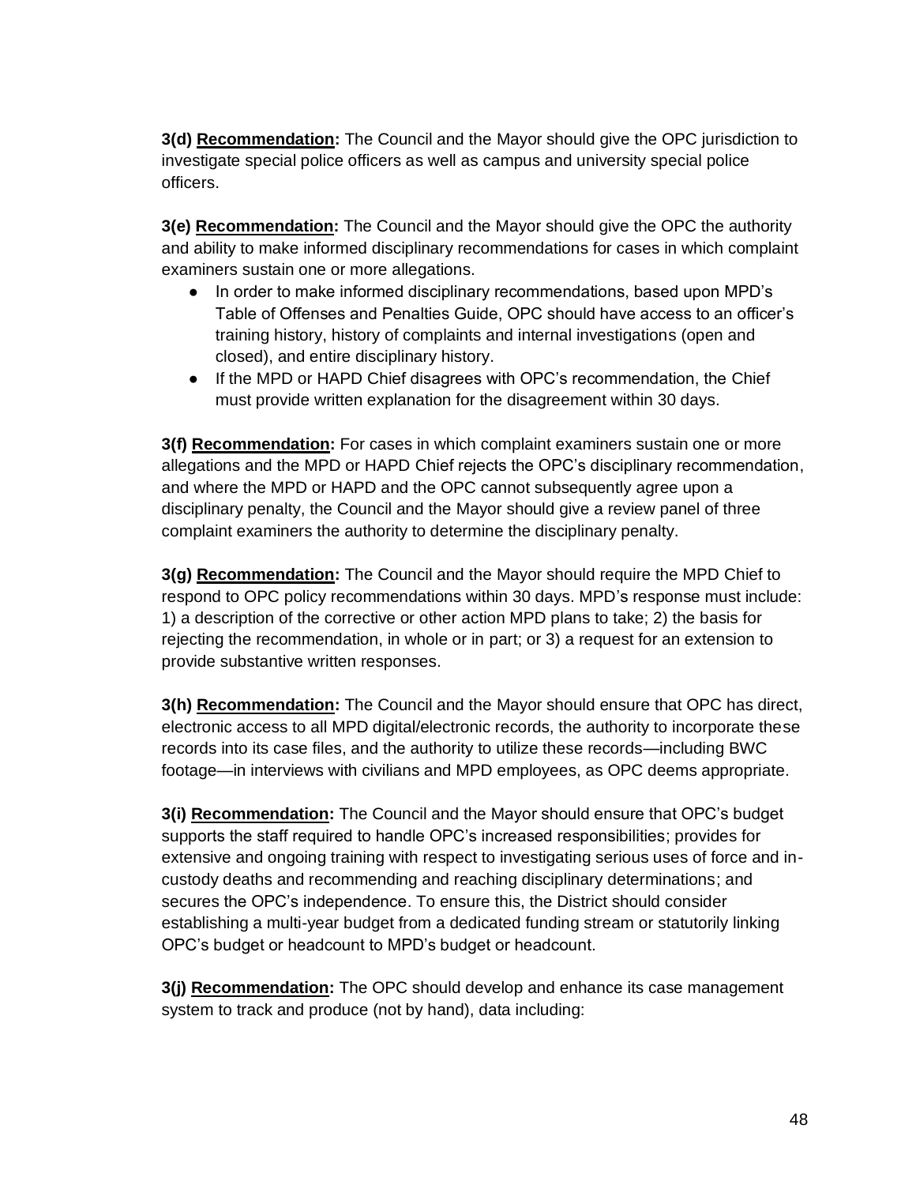**3(d) Recommendation:** The Council and the Mayor should give the OPC jurisdiction to investigate special police officers as well as campus and university special police officers.

**3(e) Recommendation:** The Council and the Mayor should give the OPC the authority and ability to make informed disciplinary recommendations for cases in which complaint examiners sustain one or more allegations.

- In order to make informed disciplinary recommendations, based upon MPD's Table of Offenses and Penalties Guide, OPC should have access to an officer's training history, history of complaints and internal investigations (open and closed), and entire disciplinary history.
- If the MPD or HAPD Chief disagrees with OPC's recommendation, the Chief must provide written explanation for the disagreement within 30 days.

**3(f) Recommendation:** For cases in which complaint examiners sustain one or more allegations and the MPD or HAPD Chief rejects the OPC's disciplinary recommendation, and where the MPD or HAPD and the OPC cannot subsequently agree upon a disciplinary penalty, the Council and the Mayor should give a review panel of three complaint examiners the authority to determine the disciplinary penalty.

**3(g) Recommendation:** The Council and the Mayor should require the MPD Chief to respond to OPC policy recommendations within 30 days. MPD's response must include: 1) a description of the corrective or other action MPD plans to take; 2) the basis for rejecting the recommendation, in whole or in part; or 3) a request for an extension to provide substantive written responses.

**3(h) Recommendation:** The Council and the Mayor should ensure that OPC has direct, electronic access to all MPD digital/electronic records, the authority to incorporate these records into its case files, and the authority to utilize these records—including BWC footage—in interviews with civilians and MPD employees, as OPC deems appropriate.

**3(i) Recommendation:** The Council and the Mayor should ensure that OPC's budget supports the staff required to handle OPC's increased responsibilities; provides for extensive and ongoing training with respect to investigating serious uses of force and incustody deaths and recommending and reaching disciplinary determinations; and secures the OPC's independence. To ensure this, the District should consider establishing a multi-year budget from a dedicated funding stream or statutorily linking OPC's budget or headcount to MPD's budget or headcount.

**3(j) Recommendation:** The OPC should develop and enhance its case management system to track and produce (not by hand), data including: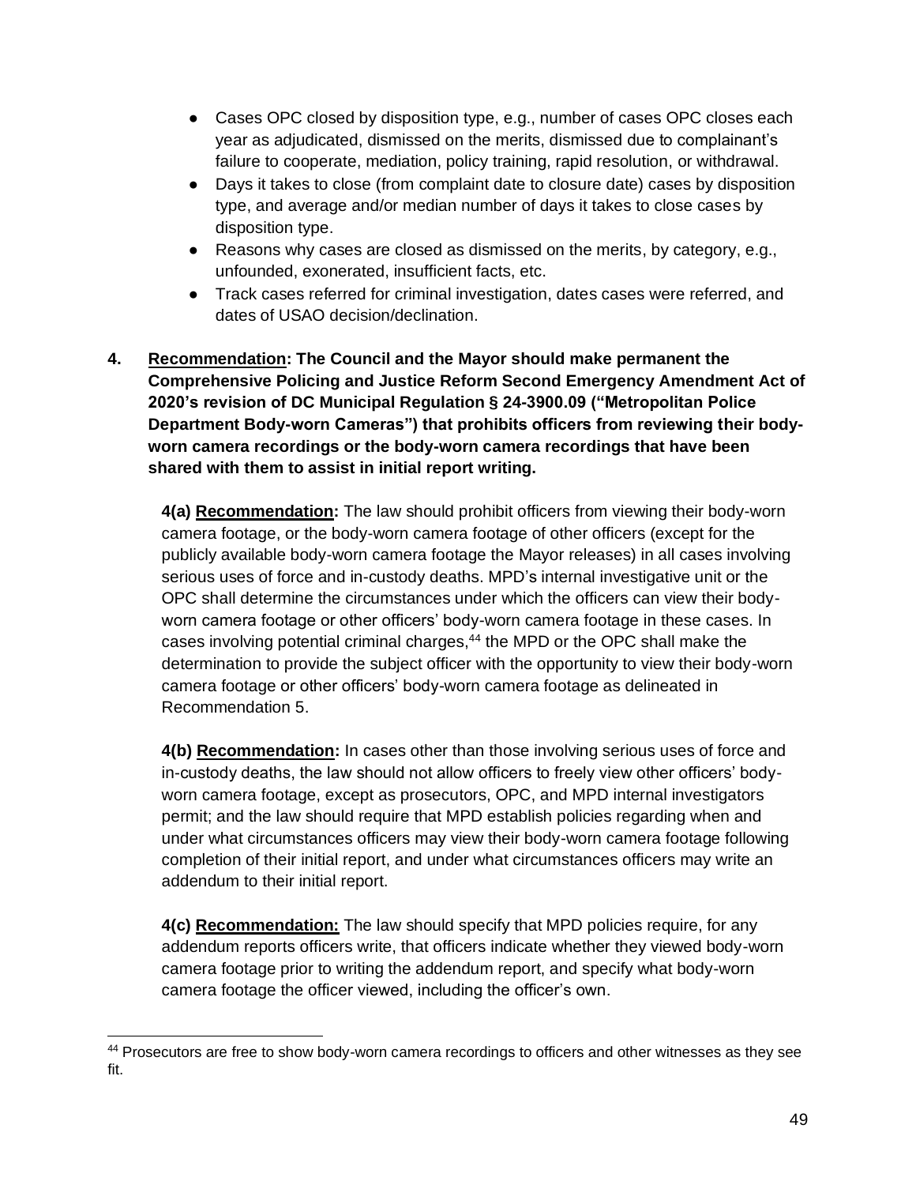- Cases OPC closed by disposition type, e.g., number of cases OPC closes each year as adjudicated, dismissed on the merits, dismissed due to complainant's failure to cooperate, mediation, policy training, rapid resolution, or withdrawal.
- Days it takes to close (from complaint date to closure date) cases by disposition type, and average and/or median number of days it takes to close cases by disposition type.
- Reasons why cases are closed as dismissed on the merits, by category, e.g., unfounded, exonerated, insufficient facts, etc.
- Track cases referred for criminal investigation, dates cases were referred, and dates of USAO decision/declination.
- **4. Recommendation: The Council and the Mayor should make permanent the Comprehensive Policing and Justice Reform Second Emergency Amendment Act of 2020's revision of DC Municipal Regulation § 24-3900.09 ("Metropolitan Police Department Body-worn Cameras") that prohibits officers from reviewing their bodyworn camera recordings or the body-worn camera recordings that have been shared with them to assist in initial report writing.**

**4(a) Recommendation:** The law should prohibit officers from viewing their body-worn camera footage, or the body-worn camera footage of other officers (except for the publicly available body-worn camera footage the Mayor releases) in all cases involving serious uses of force and in-custody deaths. MPD's internal investigative unit or the OPC shall determine the circumstances under which the officers can view their bodyworn camera footage or other officers' body-worn camera footage in these cases. In cases involving potential criminal charges,<sup>44</sup> the MPD or the OPC shall make the determination to provide the subject officer with the opportunity to view their body-worn camera footage or other officers' body-worn camera footage as delineated in Recommendation 5.

**4(b) Recommendation:** In cases other than those involving serious uses of force and in-custody deaths, the law should not allow officers to freely view other officers' bodyworn camera footage, except as prosecutors, OPC, and MPD internal investigators permit; and the law should require that MPD establish policies regarding when and under what circumstances officers may view their body-worn camera footage following completion of their initial report, and under what circumstances officers may write an addendum to their initial report.

**4(c) Recommendation:** The law should specify that MPD policies require, for any addendum reports officers write, that officers indicate whether they viewed body-worn camera footage prior to writing the addendum report, and specify what body-worn camera footage the officer viewed, including the officer's own.

<sup>44</sup> Prosecutors are free to show body-worn camera recordings to officers and other witnesses as they see fit.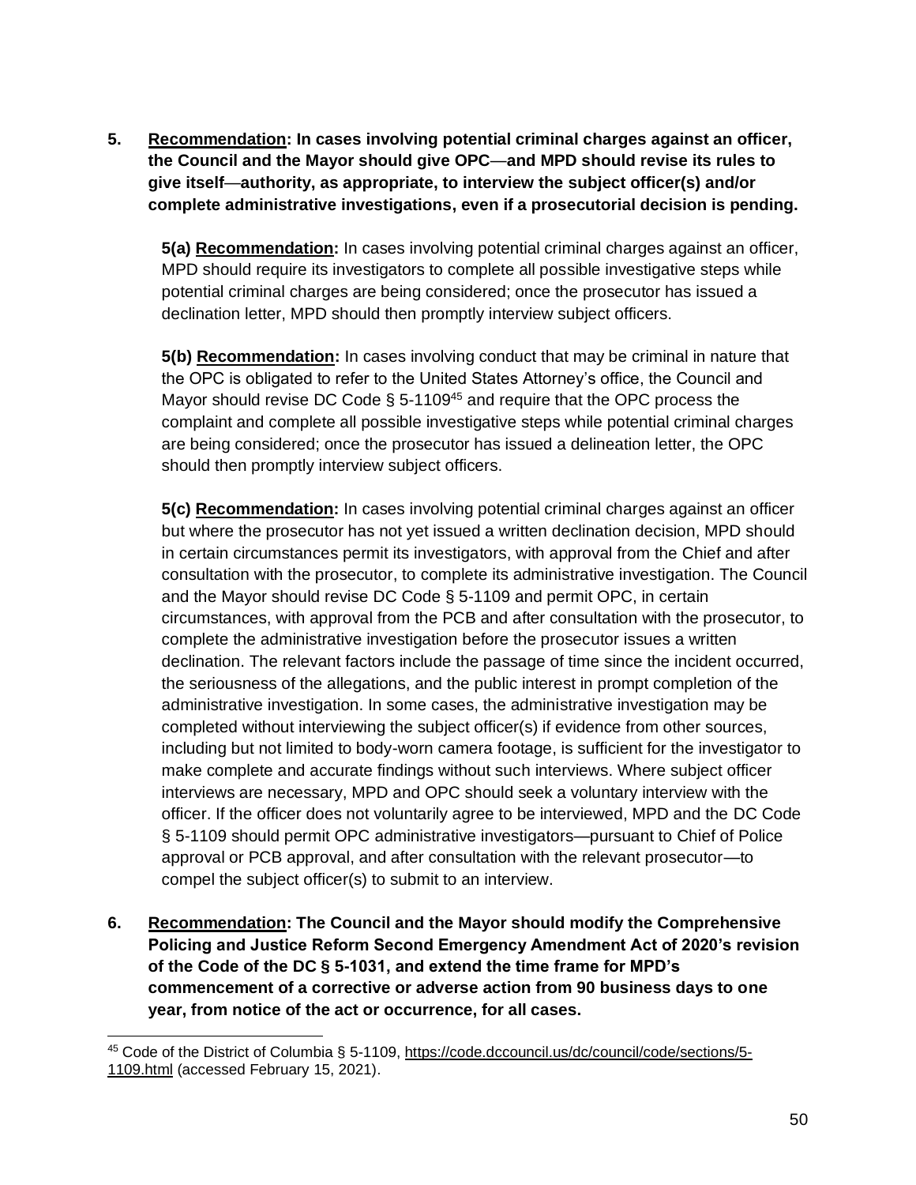**5. Recommendation: In cases involving potential criminal charges against an officer, the Council and the Mayor should give OPC**—**and MPD should revise its rules to give itself**—**authority, as appropriate, to interview the subject officer(s) and/or complete administrative investigations, even if a prosecutorial decision is pending.** 

**5(a) Recommendation:** In cases involving potential criminal charges against an officer, MPD should require its investigators to complete all possible investigative steps while potential criminal charges are being considered; once the prosecutor has issued a declination letter, MPD should then promptly interview subject officers.

**5(b) Recommendation:** In cases involving conduct that may be criminal in nature that the OPC is obligated to refer to the United States Attorney's office, the Council and Mayor should revise DC Code  $\S$  5-1109<sup>45</sup> and require that the OPC process the complaint and complete all possible investigative steps while potential criminal charges are being considered; once the prosecutor has issued a delineation letter, the OPC should then promptly interview subject officers.

**5(c) Recommendation:** In cases involving potential criminal charges against an officer but where the prosecutor has not yet issued a written declination decision, MPD should in certain circumstances permit its investigators, with approval from the Chief and after consultation with the prosecutor, to complete its administrative investigation. The Council and the Mayor should revise DC Code § 5-1109 and permit OPC, in certain circumstances, with approval from the PCB and after consultation with the prosecutor, to complete the administrative investigation before the prosecutor issues a written declination. The relevant factors include the passage of time since the incident occurred, the seriousness of the allegations, and the public interest in prompt completion of the administrative investigation. In some cases, the administrative investigation may be completed without interviewing the subject officer(s) if evidence from other sources, including but not limited to body-worn camera footage, is sufficient for the investigator to make complete and accurate findings without such interviews. Where subject officer interviews are necessary, MPD and OPC should seek a voluntary interview with the officer. If the officer does not voluntarily agree to be interviewed, MPD and the DC Code § 5-1109 should permit OPC administrative investigators—pursuant to Chief of Police approval or PCB approval, and after consultation with the relevant prosecutor—to compel the subject officer(s) to submit to an interview.

**6. Recommendation: The Council and the Mayor should modify the Comprehensive Policing and Justice Reform Second Emergency Amendment Act of 2020's revision of the Code of the DC § 5-1031, and extend the time frame for MPD's commencement of a corrective or adverse action from 90 business days to one year, from notice of the act or occurrence, for all cases.** 

<sup>45</sup> Code of the District of Columbia § 5-1109, [https://code.dccouncil.us/dc/council/code/sections/5-](https://code.dccouncil.us/dc/council/code/sections/5-1109.html) [1109.html](https://code.dccouncil.us/dc/council/code/sections/5-1109.html) (accessed February 15, 2021).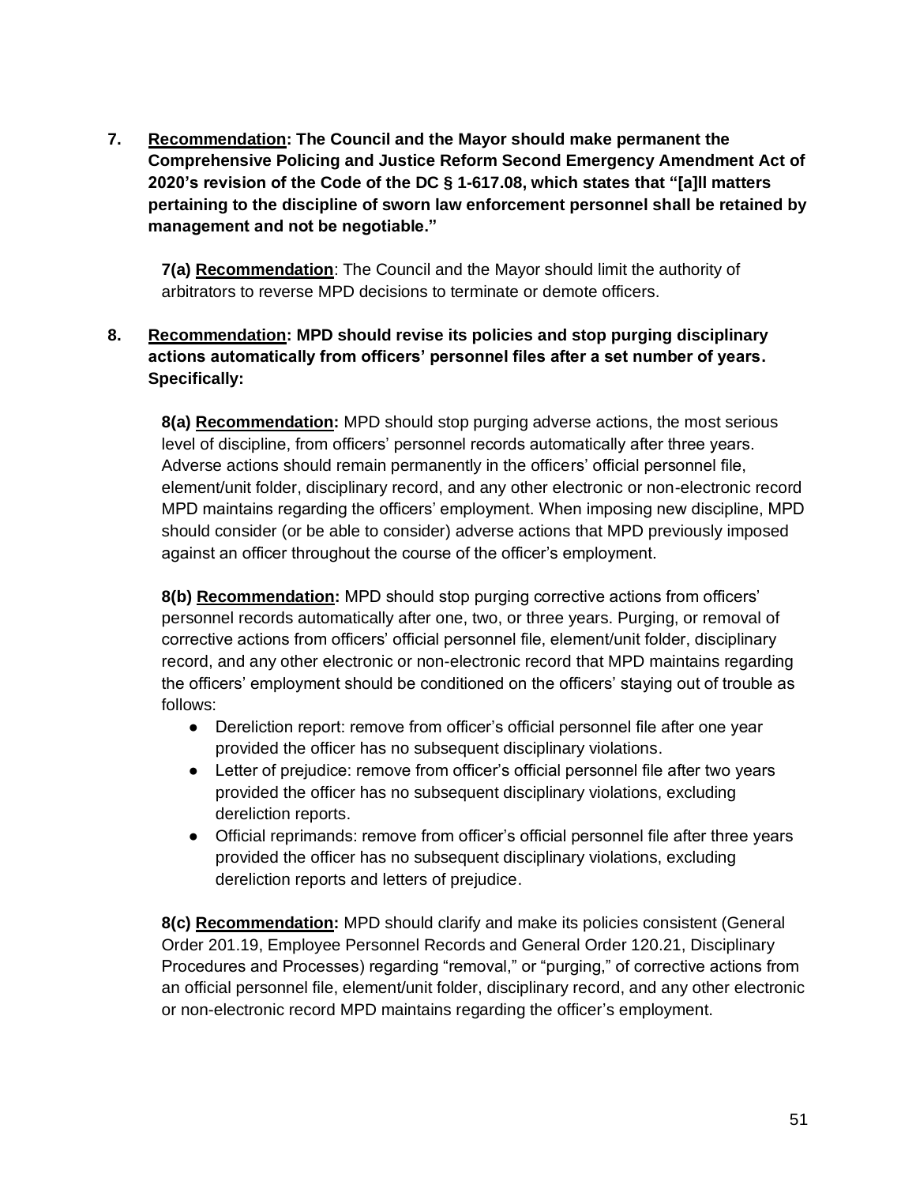**7. Recommendation: The Council and the Mayor should make permanent the Comprehensive Policing and Justice Reform Second Emergency Amendment Act of 2020's revision of the Code of the DC § 1-617.08, which states that "[a]ll matters pertaining to the discipline of sworn law enforcement personnel shall be retained by management and not be negotiable."**

**7(a) Recommendation**: The Council and the Mayor should limit the authority of arbitrators to reverse MPD decisions to terminate or demote officers.

## **8. Recommendation: MPD should revise its policies and stop purging disciplinary actions automatically from officers' personnel files after a set number of years. Specifically:**

**8(a) Recommendation:** MPD should stop purging adverse actions, the most serious level of discipline, from officers' personnel records automatically after three years. Adverse actions should remain permanently in the officers' official personnel file, element/unit folder, disciplinary record, and any other electronic or non-electronic record MPD maintains regarding the officers' employment. When imposing new discipline, MPD should consider (or be able to consider) adverse actions that MPD previously imposed against an officer throughout the course of the officer's employment.

**8(b) Recommendation:** MPD should stop purging corrective actions from officers' personnel records automatically after one, two, or three years. Purging, or removal of corrective actions from officers' official personnel file, element/unit folder, disciplinary record, and any other electronic or non-electronic record that MPD maintains regarding the officers' employment should be conditioned on the officers' staying out of trouble as follows:

- Dereliction report: remove from officer's official personnel file after one year provided the officer has no subsequent disciplinary violations.
- Letter of prejudice: remove from officer's official personnel file after two years provided the officer has no subsequent disciplinary violations, excluding dereliction reports.
- Official reprimands: remove from officer's official personnel file after three years provided the officer has no subsequent disciplinary violations, excluding dereliction reports and letters of prejudice.

**8(c) Recommendation:** MPD should clarify and make its policies consistent (General Order 201.19, Employee Personnel Records and General Order 120.21, Disciplinary Procedures and Processes) regarding "removal," or "purging," of corrective actions from an official personnel file, element/unit folder, disciplinary record, and any other electronic or non-electronic record MPD maintains regarding the officer's employment.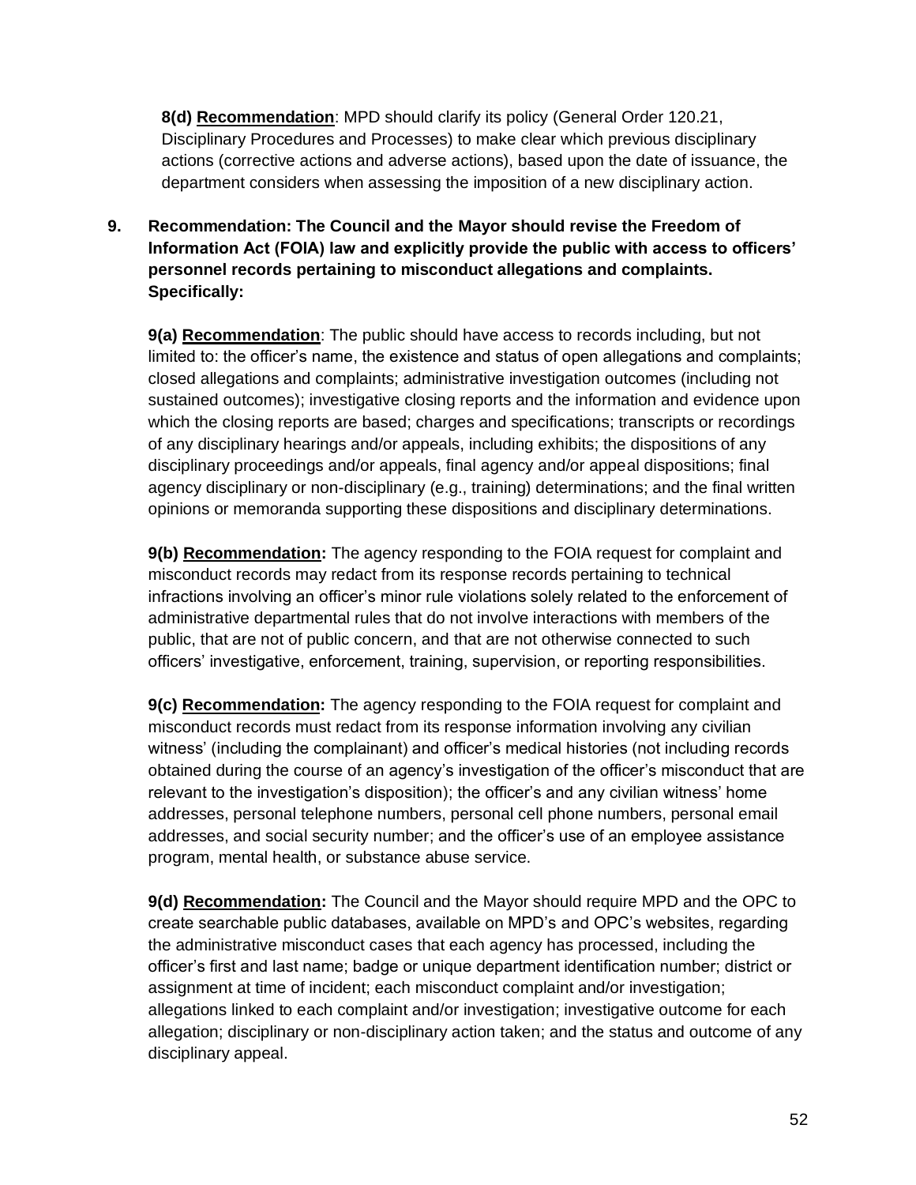**8(d) Recommendation**: MPD should clarify its policy (General Order 120.21, Disciplinary Procedures and Processes) to make clear which previous disciplinary actions (corrective actions and adverse actions), based upon the date of issuance, the department considers when assessing the imposition of a new disciplinary action.

# **9. Recommendation: The Council and the Mayor should revise the Freedom of Information Act (FOIA) law and explicitly provide the public with access to officers' personnel records pertaining to misconduct allegations and complaints. Specifically:**

**9(a) Recommendation**: The public should have access to records including, but not limited to: the officer's name, the existence and status of open allegations and complaints; closed allegations and complaints; administrative investigation outcomes (including not sustained outcomes); investigative closing reports and the information and evidence upon which the closing reports are based; charges and specifications; transcripts or recordings of any disciplinary hearings and/or appeals, including exhibits; the dispositions of any disciplinary proceedings and/or appeals, final agency and/or appeal dispositions; final agency disciplinary or non-disciplinary (e.g., training) determinations; and the final written opinions or memoranda supporting these dispositions and disciplinary determinations.

**9(b) Recommendation:** The agency responding to the FOIA request for complaint and misconduct records may redact from its response records pertaining to technical infractions involving an officer's minor rule violations solely related to the enforcement of administrative departmental rules that do not involve interactions with members of the public, that are not of public concern, and that are not otherwise connected to such officers' investigative, enforcement, training, supervision, or reporting responsibilities.

**9(c) Recommendation:** The agency responding to the FOIA request for complaint and misconduct records must redact from its response information involving any civilian witness' (including the complainant) and officer's medical histories (not including records obtained during the course of an agency's investigation of the officer's misconduct that are relevant to the investigation's disposition); the officer's and any civilian witness' home addresses, personal telephone numbers, personal cell phone numbers, personal email addresses, and social security number; and the officer's use of an employee assistance program, mental health, or substance abuse service.

**9(d) Recommendation:** The Council and the Mayor should require MPD and the OPC to create searchable public databases, available on MPD's and OPC's websites, regarding the administrative misconduct cases that each agency has processed, including the officer's first and last name; badge or unique department identification number; district or assignment at time of incident; each misconduct complaint and/or investigation; allegations linked to each complaint and/or investigation; investigative outcome for each allegation; disciplinary or non-disciplinary action taken; and the status and outcome of any disciplinary appeal.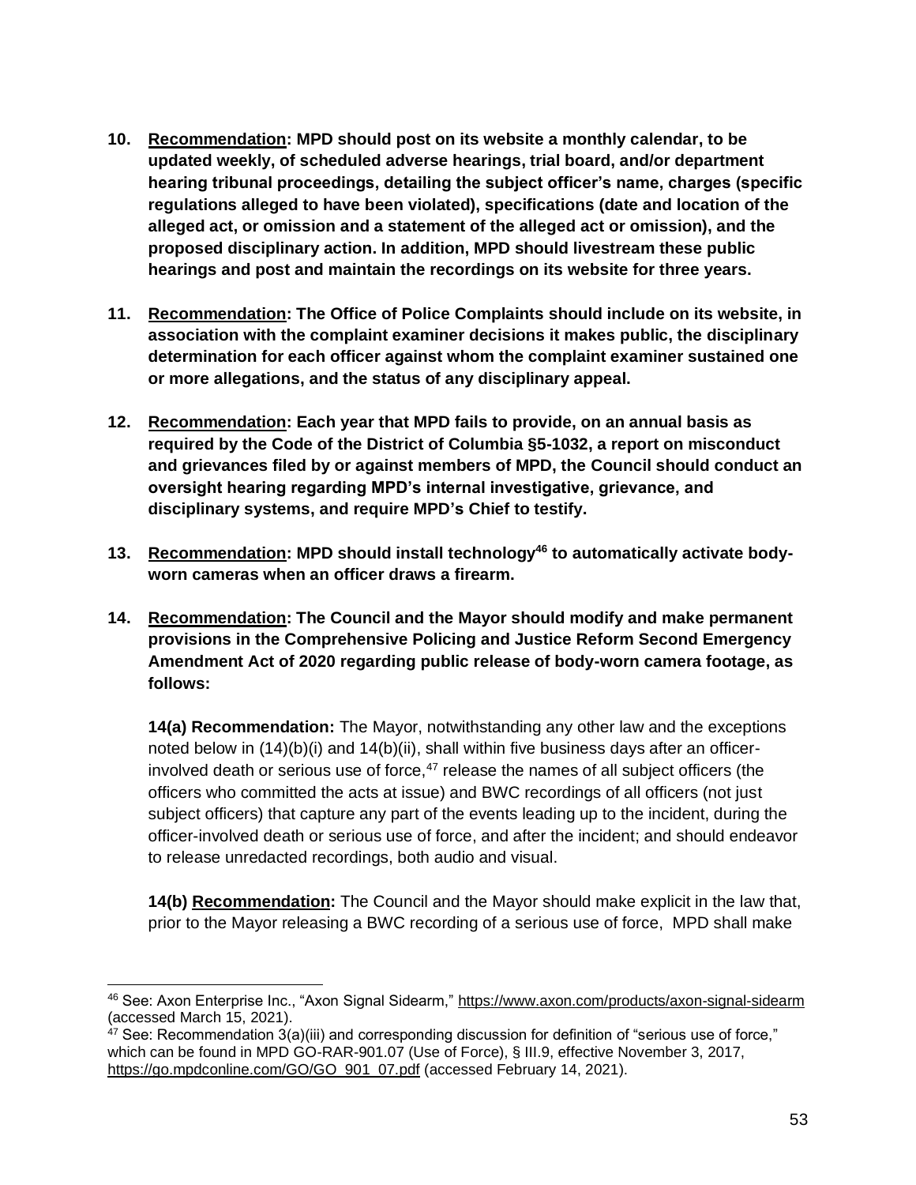- **10. Recommendation: MPD should post on its website a monthly calendar, to be updated weekly, of scheduled adverse hearings, trial board, and/or department hearing tribunal proceedings, detailing the subject officer's name, charges (specific regulations alleged to have been violated), specifications (date and location of the alleged act, or omission and a statement of the alleged act or omission), and the proposed disciplinary action. In addition, MPD should livestream these public hearings and post and maintain the recordings on its website for three years.**
- **11. Recommendation: The Office of Police Complaints should include on its website, in association with the complaint examiner decisions it makes public, the disciplinary determination for each officer against whom the complaint examiner sustained one or more allegations, and the status of any disciplinary appeal.**
- **12. Recommendation: Each year that MPD fails to provide, on an annual basis as required by the Code of the District of Columbia §5-1032, a report on misconduct and grievances filed by or against members of MPD, the Council should conduct an oversight hearing regarding MPD's internal investigative, grievance, and disciplinary systems, and require MPD's Chief to testify.**
- **13. Recommendation: MPD should install technology<sup>46</sup> to automatically activate bodyworn cameras when an officer draws a firearm.**
- **14. Recommendation: The Council and the Mayor should modify and make permanent provisions in the Comprehensive Policing and Justice Reform Second Emergency Amendment Act of 2020 regarding public release of body-worn camera footage, as follows:**

**14(a) Recommendation:** The Mayor, notwithstanding any other law and the exceptions noted below in (14)(b)(i) and 14(b)(ii), shall within five business days after an officerinvolved death or serious use of force, $47$  release the names of all subject officers (the officers who committed the acts at issue) and BWC recordings of all officers (not just subject officers) that capture any part of the events leading up to the incident, during the officer-involved death or serious use of force, and after the incident; and should endeavor to release unredacted recordings, both audio and visual.

**14(b) Recommendation:** The Council and the Mayor should make explicit in the law that, prior to the Mayor releasing a BWC recording of a serious use of force, MPD shall make

<sup>46</sup> See: Axon Enterprise Inc., "Axon Signal Sidearm,"<https://www.axon.com/products/axon-signal-sidearm> (accessed March 15, 2021).

<sup>&</sup>lt;sup>47</sup> See: Recommendation 3(a)(iii) and corresponding discussion for definition of "serious use of force," which can be found in MPD GO-RAR-901.07 (Use of Force), § III.9, effective November 3, 2017, [https://go.mpdconline.com/GO/GO\\_901\\_07.pdf](https://go.mpdconline.com/GO/GO_901_07.pdf) (accessed February 14, 2021).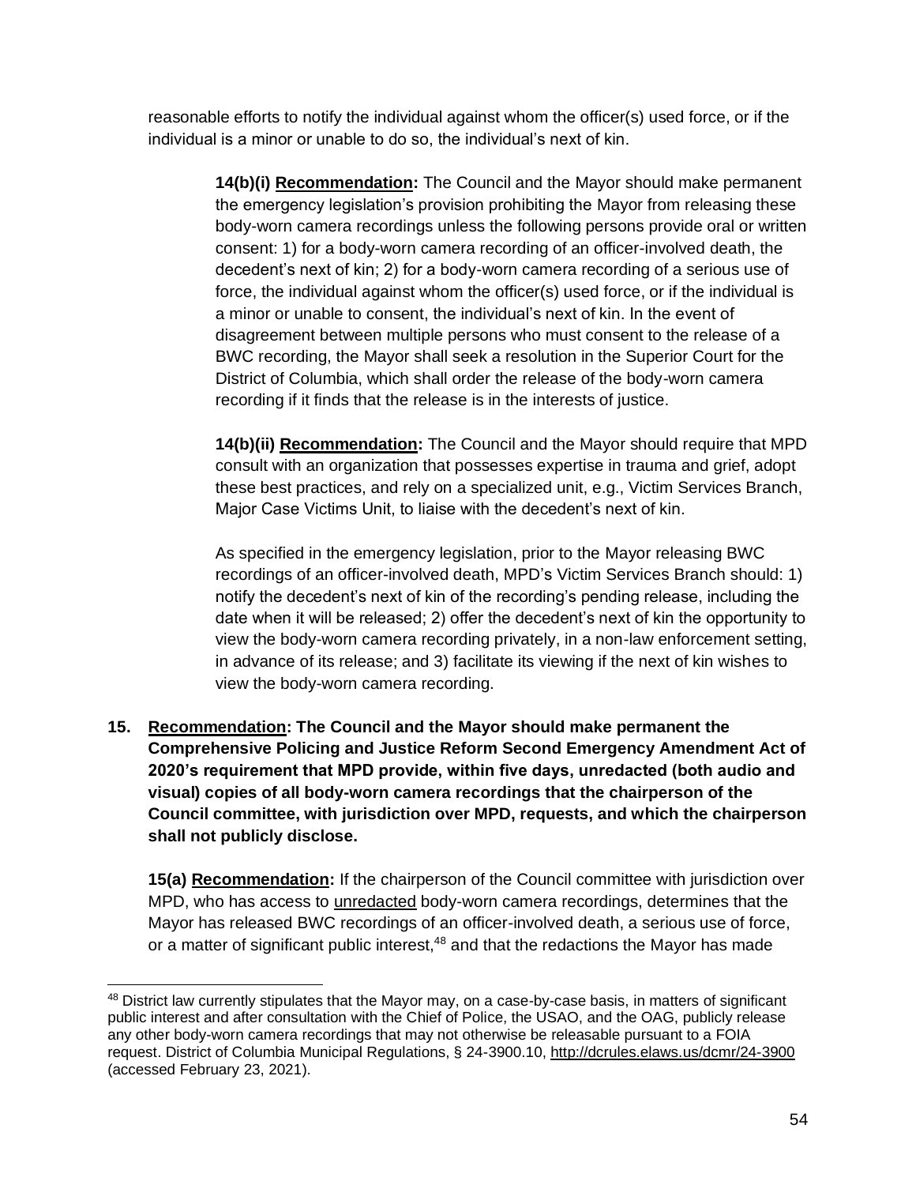reasonable efforts to notify the individual against whom the officer(s) used force, or if the individual is a minor or unable to do so, the individual's next of kin.

> **14(b)(i) Recommendation:** The Council and the Mayor should make permanent the emergency legislation's provision prohibiting the Mayor from releasing these body-worn camera recordings unless the following persons provide oral or written consent: 1) for a body-worn camera recording of an officer-involved death, the decedent's next of kin; 2) for a body-worn camera recording of a serious use of force, the individual against whom the officer(s) used force, or if the individual is a minor or unable to consent, the individual's next of kin. In the event of disagreement between multiple persons who must consent to the release of a BWC recording, the Mayor shall seek a resolution in the Superior Court for the District of Columbia, which shall order the release of the body-worn camera recording if it finds that the release is in the interests of justice.

> **14(b)(ii) Recommendation:** The Council and the Mayor should require that MPD consult with an organization that possesses expertise in trauma and grief, adopt these best practices, and rely on a specialized unit, e.g., Victim Services Branch, Major Case Victims Unit, to liaise with the decedent's next of kin.

> As specified in the emergency legislation, prior to the Mayor releasing BWC recordings of an officer-involved death, MPD's Victim Services Branch should: 1) notify the decedent's next of kin of the recording's pending release, including the date when it will be released; 2) offer the decedent's next of kin the opportunity to view the body-worn camera recording privately, in a non-law enforcement setting, in advance of its release; and 3) facilitate its viewing if the next of kin wishes to view the body-worn camera recording.

**15. Recommendation: The Council and the Mayor should make permanent the Comprehensive Policing and Justice Reform Second Emergency Amendment Act of 2020's requirement that MPD provide, within five days, unredacted (both audio and visual) copies of all body-worn camera recordings that the chairperson of the Council committee, with jurisdiction over MPD, requests, and which the chairperson shall not publicly disclose.**

**15(a) Recommendation:** If the chairperson of the Council committee with jurisdiction over MPD, who has access to unredacted body-worn camera recordings, determines that the Mayor has released BWC recordings of an officer-involved death, a serious use of force, or a matter of significant public interest,<sup>48</sup> and that the redactions the Mayor has made

<sup>&</sup>lt;sup>48</sup> District law currently stipulates that the Mayor may, on a case-by-case basis, in matters of significant public interest and after consultation with the Chief of Police, the USAO, and the OAG, publicly release any other body-worn camera recordings that may not otherwise be releasable pursuant to a FOIA request. District of Columbia Municipal Regulations, § 24-3900.10,<http://dcrules.elaws.us/dcmr/24-3900> (accessed February 23, 2021).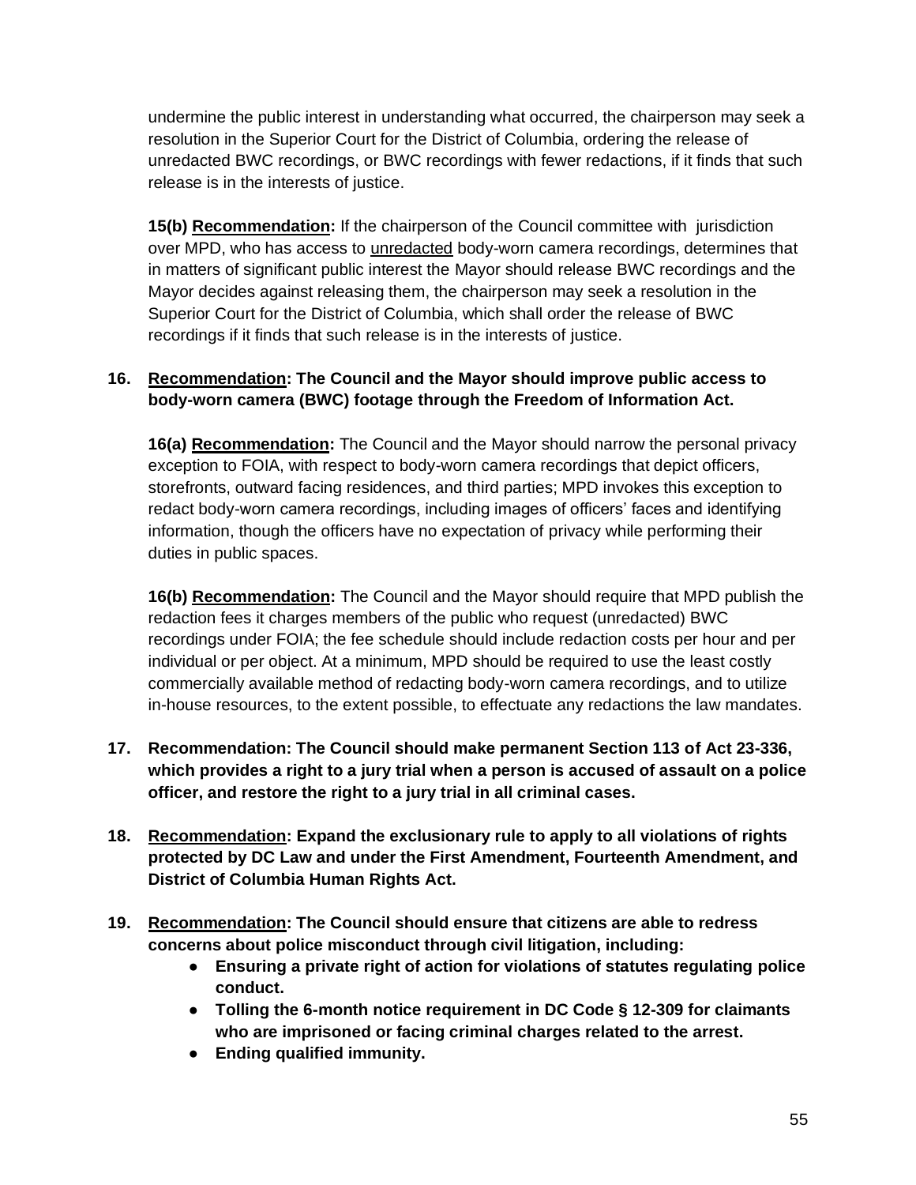undermine the public interest in understanding what occurred, the chairperson may seek a resolution in the Superior Court for the District of Columbia, ordering the release of unredacted BWC recordings, or BWC recordings with fewer redactions, if it finds that such release is in the interests of justice.

**15(b) Recommendation:** If the chairperson of the Council committee with jurisdiction over MPD, who has access to unredacted body-worn camera recordings, determines that in matters of significant public interest the Mayor should release BWC recordings and the Mayor decides against releasing them, the chairperson may seek a resolution in the Superior Court for the District of Columbia, which shall order the release of BWC recordings if it finds that such release is in the interests of justice.

# **16. Recommendation: The Council and the Mayor should improve public access to body-worn camera (BWC) footage through the Freedom of Information Act.**

**16(a) Recommendation:** The Council and the Mayor should narrow the personal privacy exception to FOIA, with respect to body-worn camera recordings that depict officers, storefronts, outward facing residences, and third parties; MPD invokes this exception to redact body-worn camera recordings, including images of officers' faces and identifying information, though the officers have no expectation of privacy while performing their duties in public spaces.

**16(b) Recommendation:** The Council and the Mayor should require that MPD publish the redaction fees it charges members of the public who request (unredacted) BWC recordings under FOIA; the fee schedule should include redaction costs per hour and per individual or per object. At a minimum, MPD should be required to use the least costly commercially available method of redacting body-worn camera recordings, and to utilize in-house resources, to the extent possible, to effectuate any redactions the law mandates.

- **17. Recommendation: The Council should make permanent Section 113 of Act 23-336, which provides a right to a jury trial when a person is accused of assault on a police officer, and restore the right to a jury trial in all criminal cases.**
- **18. Recommendation: Expand the exclusionary rule to apply to all violations of rights protected by DC Law and under the First Amendment, Fourteenth Amendment, and District of Columbia Human Rights Act.**
- **19. Recommendation: The Council should ensure that citizens are able to redress concerns about police misconduct through civil litigation, including:**
	- **Ensuring a private right of action for violations of statutes regulating police conduct.**
	- **Tolling the 6-month notice requirement in DC Code § 12-309 for claimants who are imprisoned or facing criminal charges related to the arrest.**
	- **Ending qualified immunity.**